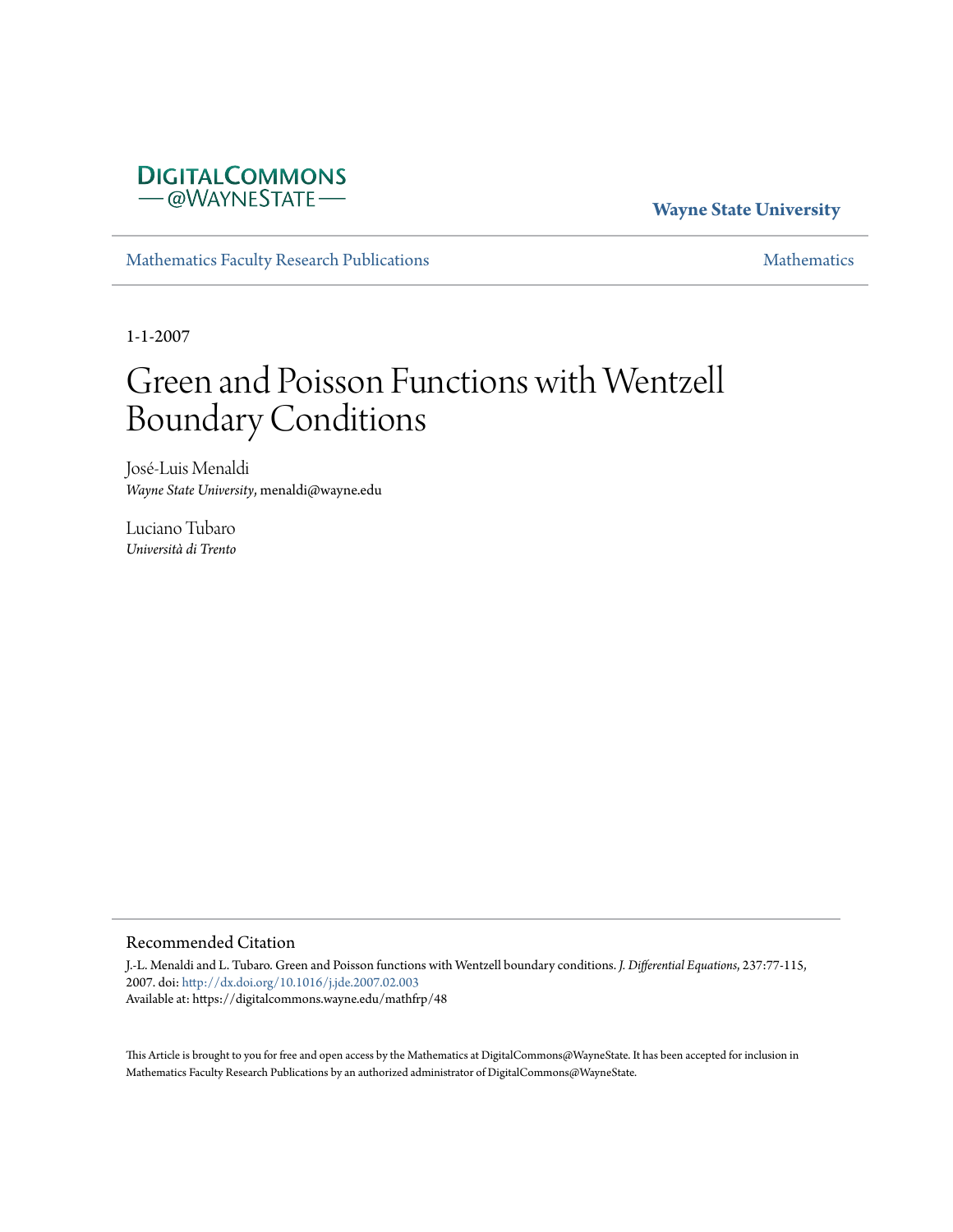## **DIGITALCOMMONS** - @WAYNESTATE-

## **Wayne State University**

[Mathematics Faculty Research Publications](https://digitalcommons.wayne.edu/mathfrp) **[Mathematics](https://digitalcommons.wayne.edu/math)** Mathematics

1-1-2007

# Green and Poisson Functions with Wentzell Boundary Conditions

José-Luis Menaldi *Wayne State University*, menaldi@wayne.edu

Luciano Tubaro *Università di Trento*

#### Recommended Citation

J.-L. Menaldi and L. Tubaro. Green and Poisson functions with Wentzell boundary conditions. *J. Differential Equations*, 237:77-115, 2007. doi: [http://dx.doi.org/10.1016/j.jde.2007.02.003](https://dx.doi.org/http://dx.doi.org/10.1016/j.jde.2007.02.003) Available at: https://digitalcommons.wayne.edu/mathfrp/48

This Article is brought to you for free and open access by the Mathematics at DigitalCommons@WayneState. It has been accepted for inclusion in Mathematics Faculty Research Publications by an authorized administrator of DigitalCommons@WayneState.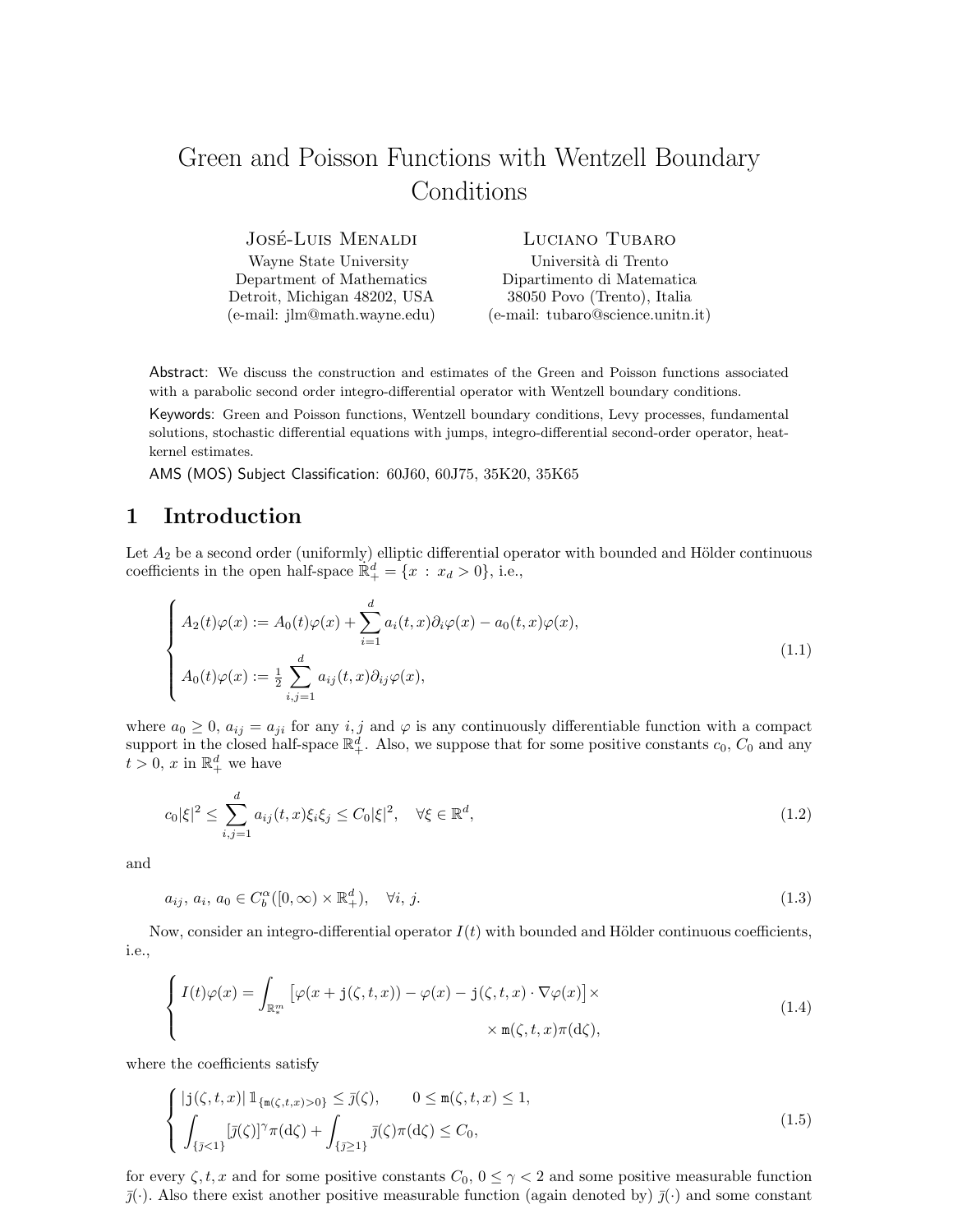## Green and Poisson Functions with Wentzell Boundary Conditions

JOSÉ-LUIS MENALDI Wayne State University

Department of Mathematics Detroit, Michigan 48202, USA (e-mail: jlm@math.wayne.edu) Luciano Tubaro

Università di Trento Dipartimento di Matematica 38050 Povo (Trento), Italia (e-mail: tubaro@science.unitn.it)

Abstract: We discuss the construction and estimates of the Green and Poisson functions associated with a parabolic second order integro-differential operator with Wentzell boundary conditions.

Keywords: Green and Poisson functions, Wentzell boundary conditions, Levy processes, fundamental solutions, stochastic differential equations with jumps, integro-differential second-order operator, heatkernel estimates.

AMS (MOS) Subject Classification: 60J60, 60J75, 35K20, 35K65

## 1 Introduction

Let  $A_2$  be a second order (uniformly) elliptic differential operator with bounded and Hölder continuous coefficients in the open half-space  $\mathbb{R}^d_+ = \{x : x_d > 0\}$ , i.e.,

$$
\begin{cases}\nA_2(t)\varphi(x) := A_0(t)\varphi(x) + \sum_{i=1}^d a_i(t,x)\partial_i\varphi(x) - a_0(t,x)\varphi(x), \\
A_0(t)\varphi(x) := \frac{1}{2}\sum_{i,j=1}^d a_{ij}(t,x)\partial_{ij}\varphi(x),\n\end{cases} \tag{1.1}
$$

where  $a_0 \geq 0$ ,  $a_{ij} = a_{ji}$  for any i, j and  $\varphi$  is any continuously differentiable function with a compact support in the closed half-space  $\mathbb{R}^d_+$ . Also, we suppose that for some positive constants  $c_0$ ,  $C_0$  and any  $t > 0$ , x in  $\mathbb{R}^d_+$  we have

$$
c_0|\xi|^2 \le \sum_{i,j=1}^d a_{ij}(t,x)\xi_i\xi_j \le C_0|\xi|^2, \quad \forall \xi \in \mathbb{R}^d,
$$
\n(1.2)

and

$$
a_{ij}, a_i, a_0 \in C_b^{\alpha}([0, \infty) \times \mathbb{R}^d_+), \quad \forall i, j.
$$
\n
$$
(1.3)
$$

Now, consider an integro-differential operator  $I(t)$  with bounded and Hölder continuous coefficients, i.e.,

$$
\begin{cases}\nI(t)\varphi(x) = \int_{\mathbb{R}_{*}^{m}} \left[ \varphi(x + \mathbf{j}(\zeta, t, x)) - \varphi(x) - \mathbf{j}(\zeta, t, x) \cdot \nabla \varphi(x) \right] \times \\
& \times \mathfrak{m}(\zeta, t, x) \pi(\mathrm{d}\zeta),\n\end{cases} \tag{1.4}
$$

where the coefficients satisfy

$$
\begin{cases}\n|\mathbf{j}(\zeta,t,x)|\mathbb{1}_{\{\mathbf{m}(\zeta,t,x)>0\}}\leq\overline{\jmath}(\zeta), & 0\leq\mathbf{m}(\zeta,t,x)\leq1, \\
\int_{\{\overline{\jmath}\leq1\}}[\overline{\jmath}(\zeta)]^{\gamma}\pi(\mathrm{d}\zeta)+\int_{\{\overline{\jmath}\geq1\}}\overline{\jmath}(\zeta)\pi(\mathrm{d}\zeta)\leq C_0,\n\end{cases}
$$
\n(1.5)

for every  $\zeta, t, x$  and for some positive constants  $C_0$ ,  $0 \leq \gamma < 2$  and some positive measurable function  $\bar{j}(\cdot)$ . Also there exist another positive measurable function (again denoted by)  $\bar{j}(\cdot)$  and some constant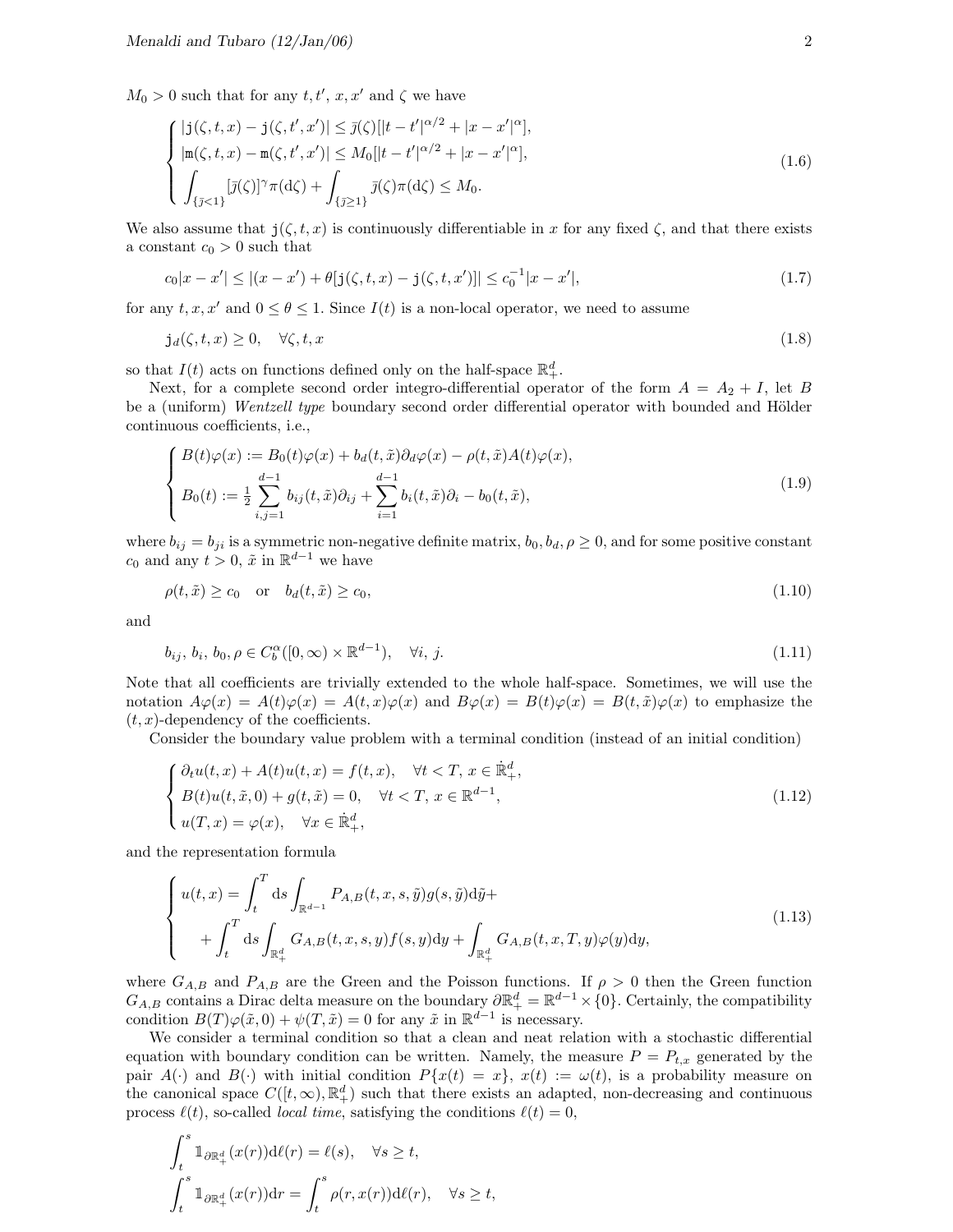$M_0 > 0$  such that for any  $t, t', x, x'$  and  $\zeta$  we have

$$
\begin{cases}\n|\mathbf{j}(\zeta, t, x) - \mathbf{j}(\zeta, t', x')| \leq \bar{\jmath}(\zeta)[|t - t'|^{\alpha/2} + |x - x'|^{\alpha}], \\
|\mathbf{m}(\zeta, t, x) - \mathbf{m}(\zeta, t', x')| \leq M_0[|t - t'|^{\alpha/2} + |x - x'|^{\alpha}], \\
\int_{\{\bar{\jmath} < 1\}} [\bar{\jmath}(\zeta)]^{\gamma} \pi(\mathrm{d}\zeta) + \int_{\{\bar{\jmath} \geq 1\}} \bar{\jmath}(\zeta) \pi(\mathrm{d}\zeta) \leq M_0.\n\end{cases} \tag{1.6}
$$

We also assume that  $j(\zeta, t, x)$  is continuously differentiable in x for any fixed  $\zeta$ , and that there exists a constant  $c_0 > 0$  such that

$$
c_0|x - x'| \le |(x - x') + \theta[\mathbf{j}(\zeta, t, x) - \mathbf{j}(\zeta, t, x')]| \le c_0^{-1}|x - x'|,\tag{1.7}
$$

for any  $t, x, x'$  and  $0 \le \theta \le 1$ . Since  $I(t)$  is a non-local operator, we need to assume

$$
\mathbf{j}_d(\zeta, t, x) \ge 0, \quad \forall \zeta, t, x \tag{1.8}
$$

so that  $I(t)$  acts on functions defined only on the half-space  $\mathbb{R}^d_+$ .

Next, for a complete second order integro-differential operator of the form  $A = A_2 + I$ , let B be a (uniform) Wentzell type boundary second order differential operator with bounded and Hölder continuous coefficients, i.e.,

$$
\begin{cases}\nB(t)\varphi(x) := B_0(t)\varphi(x) + b_d(t, \tilde{x})\partial_d\varphi(x) - \rho(t, \tilde{x})A(t)\varphi(x), \\
B_0(t) := \frac{1}{2} \sum_{i,j=1}^{d-1} b_{ij}(t, \tilde{x})\partial_{ij} + \sum_{i=1}^{d-1} b_i(t, \tilde{x})\partial_i - b_0(t, \tilde{x}),\n\end{cases} (1.9)
$$

where  $b_{ij} = b_{ji}$  is a symmetric non-negative definite matrix,  $b_0, b_d, \rho \ge 0$ , and for some positive constant  $c_0$  and any  $t > 0$ ,  $\tilde{x}$  in  $\mathbb{R}^{d-1}$  we have

$$
\rho(t,\tilde{x}) \ge c_0 \quad \text{or} \quad b_d(t,\tilde{x}) \ge c_0,\tag{1.10}
$$

and

$$
b_{ij}, b_i, b_0, \rho \in C_b^{\alpha}([0, \infty) \times \mathbb{R}^{d-1}), \quad \forall i, j.
$$
\n(1.1)

Note that all coefficients are trivially extended to the whole half-space. Sometimes, we will use the notation  $A\varphi(x) = A(t)\varphi(x) = A(t,x)\varphi(x)$  and  $B\varphi(x) = B(t)\varphi(x) = B(t,\tilde{x})\varphi(x)$  to emphasize the  $(t, x)$ -dependency of the coefficients.

Consider the boundary value problem with a terminal condition (instead of an initial condition)

$$
\begin{cases}\n\partial_t u(t, x) + A(t)u(t, x) = f(t, x), & \forall t < T, x \in \mathbb{R}^d_+, \\
B(t)u(t, \tilde{x}, 0) + g(t, \tilde{x}) = 0, & \forall t < T, x \in \mathbb{R}^{d-1}, \\
u(T, x) = \varphi(x), & \forall x \in \mathbb{R}^d_+, \n\end{cases}
$$
\n(1.12)

and the representation formula

$$
\begin{cases}\nu(t,x) = \int_{t}^{T} ds \int_{\mathbb{R}^{d-1}} P_{A,B}(t,x,s,\tilde{y}) g(s,\tilde{y}) d\tilde{y} + \\
\quad + \int_{t}^{T} ds \int_{\mathbb{R}_{+}^{d}} G_{A,B}(t,x,s,y) f(s,y) dy + \int_{\mathbb{R}_{+}^{d}} G_{A,B}(t,x,T,y) \varphi(y) dy,\n\end{cases} \tag{1.13}
$$

where  $G_{A,B}$  and  $P_{A,B}$  are the Green and the Poisson functions. If  $\rho > 0$  then the Green function  $G_{A,B}$  contains a Dirac delta measure on the boundary  $\partial \mathbb{R}^d_+ = \mathbb{R}^{d-1} \times \{0\}$ . Certainly, the compatibility condition  $B(T)\varphi(\tilde{x},0) + \psi(T,\tilde{x}) = 0$  for any  $\tilde{x}$  in  $\mathbb{R}^{d-1}$  is necessary.

We consider a terminal condition so that a clean and neat relation with a stochastic differential equation with boundary condition can be written. Namely, the measure  $P = P_{t,x}$  generated by the pair  $A(\cdot)$  and  $B(\cdot)$  with initial condition  $P\{x(t) = x\}$ ,  $x(t) := \omega(t)$ , is a probability measure on the canonical space  $C([t,\infty), \mathbb{R}_{+}^{d})$  such that there exists an adapted, non-decreasing and continuous process  $\ell(t)$ , so-called *local time*, satisfying the conditions  $\ell(t) = 0$ ,

$$
\int_{t}^{s} \mathbb{1}_{\partial \mathbb{R}^{d}_{+}}(x(r)) \mathrm{d} \ell(r) = \ell(s), \quad \forall s \geq t,
$$

$$
\int_{t}^{s} \mathbb{1}_{\partial \mathbb{R}^{d}_{+}}(x(r)) \mathrm{d} r = \int_{t}^{s} \rho(r, x(r)) \mathrm{d} \ell(r), \quad \forall s \geq t,
$$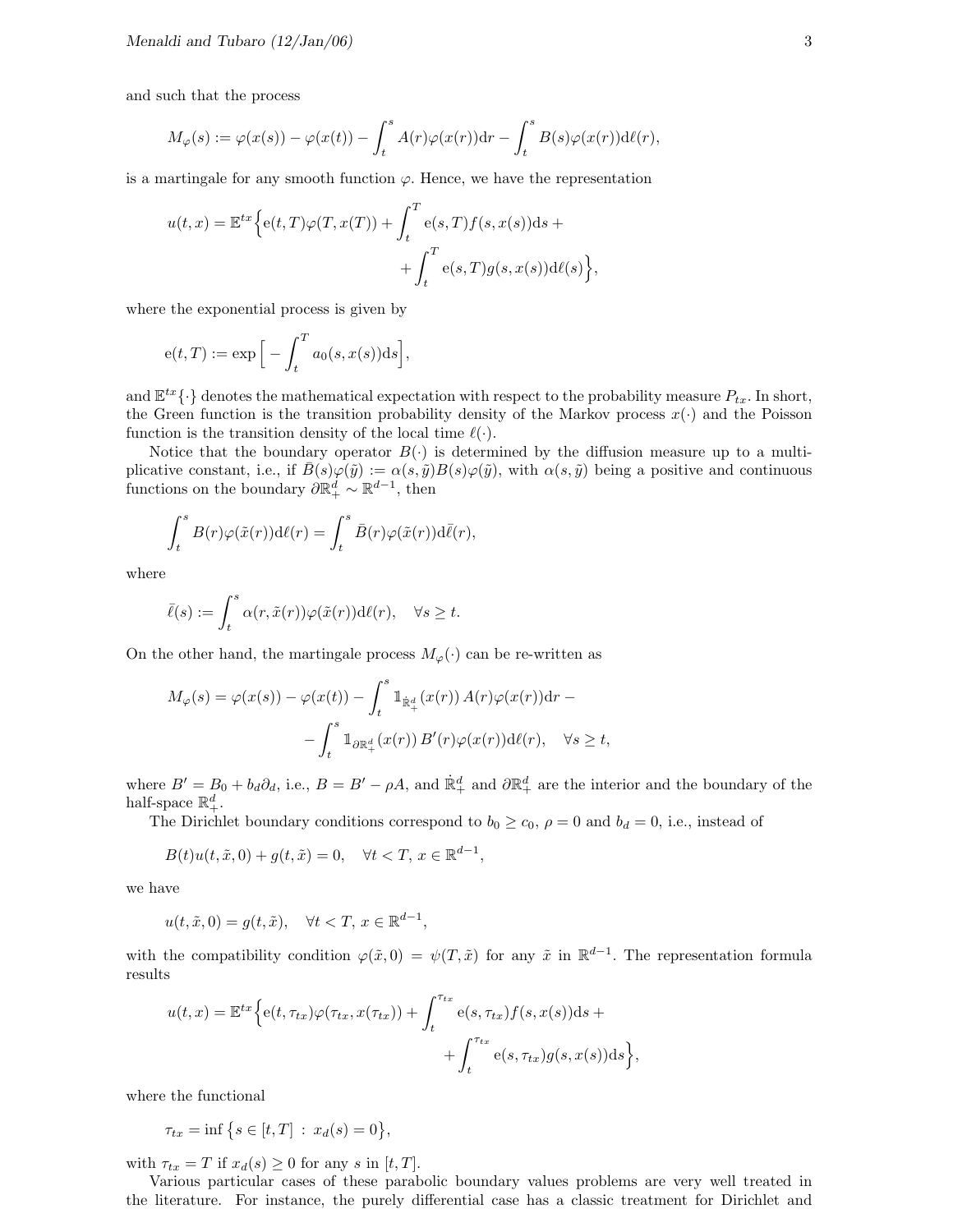and such that the process

$$
M_{\varphi}(s) := \varphi(x(s)) - \varphi(x(t)) - \int_{t}^{s} A(r)\varphi(x(r))dr - \int_{t}^{s} B(s)\varphi(x(r))d\ell(r),
$$

is a martingale for any smooth function  $\varphi$ . Hence, we have the representation

$$
u(t,x) = \mathbb{E}^{tx} \Big\{ e(t,T) \varphi(T,x(T)) + \int_t^T e(s,T) f(s,x(s)) ds +
$$
  
 
$$
+ \int_t^T e(s,T) g(s,x(s)) d\ell(s) \Big\},
$$

where the exponential process is given by

$$
e(t,T) := \exp\Big[-\int_t^T a_0(s,x(s))ds\Big],
$$

and  $\mathbb{E}^{tx}\{\cdot\}$  denotes the mathematical expectation with respect to the probability measure  $P_{tx}$ . In short, the Green function is the transition probability density of the Markov process  $x(\cdot)$  and the Poisson function is the transition density of the local time  $\ell(\cdot)$ .

Notice that the boundary operator  $B(\cdot)$  is determined by the diffusion measure up to a multiplicative constant, i.e., if  $\bar{B}(s)\varphi(\tilde{y}) := \alpha(s,\tilde{y})B(s)\varphi(\tilde{y})$ , with  $\alpha(s,\tilde{y})$  being a positive and continuous functions on the boundary  $\partial \mathbb{R}^d_+ \sim \mathbb{R}^{d-1}$ , then

$$
\int_t^s B(r)\varphi(\tilde{x}(r))\mathrm{d}\ell(r) = \int_t^s \bar{B}(r)\varphi(\tilde{x}(r))\mathrm{d}\bar{\ell}(r),
$$

where

$$
\bar{\ell}(s) := \int_t^s \alpha(r, \tilde{x}(r)) \varphi(\tilde{x}(r)) \mathrm{d}\ell(r), \quad \forall s \ge t.
$$

On the other hand, the martingale process  $M_{\varphi}(\cdot)$  can be re-written as

$$
M_{\varphi}(s) = \varphi(x(s)) - \varphi(x(t)) - \int_{t}^{s} \mathbb{1}_{\dot{\mathbb{R}}_{+}^{d}}(x(r)) A(r) \varphi(x(r)) dr - \int_{t}^{s} \mathbb{1}_{\partial \mathbb{R}_{+}^{d}}(x(r)) B'(r) \varphi(x(r)) d\ell(r), \quad \forall s \ge t,
$$

where  $B' = B_0 + b_d \partial_d$ , i.e.,  $B = B' - \rho A$ , and  $\mathbb{R}^d_+$  and  $\partial \mathbb{R}^d_+$  are the interior and the boundary of the half-space  $\mathbb{R}^d_+$ .

The Dirichlet boundary conditions correspond to  $b_0 \ge c_0$ ,  $\rho = 0$  and  $b_d = 0$ , i.e., instead of

$$
B(t)u(t, \tilde{x}, 0) + g(t, \tilde{x}) = 0, \quad \forall t < T, x \in \mathbb{R}^{d-1},
$$

we have

 $u(t, \tilde{x}, 0) = g(t, \tilde{x}), \quad \forall t < T, x \in \mathbb{R}^{d-1},$ 

with the compatibility condition  $\varphi(\tilde{x},0) = \psi(T,\tilde{x})$  for any  $\tilde{x}$  in  $\mathbb{R}^{d-1}$ . The representation formula results

$$
u(t,x) = \mathbb{E}^{tx} \Big\{ e(t,\tau_{tx})\varphi(\tau_{tx},x(\tau_{tx})) + \int_t^{\tau_{tx}} e(s,\tau_{tx})f(s,x(s))ds + \int_t^{\tau_{tx}} e(s,\tau_{tx})g(s,x(s))ds \Big\},\,
$$

where the functional

$$
\tau_{tx} = \inf \big\{ s \in [t, T] \; : \; x_d(s) = 0 \big\},\
$$

with  $\tau_{tx} = T$  if  $x_d(s) \geq 0$  for any s in  $[t, T]$ .

Various particular cases of these parabolic boundary values problems are very well treated in the literature. For instance, the purely differential case has a classic treatment for Dirichlet and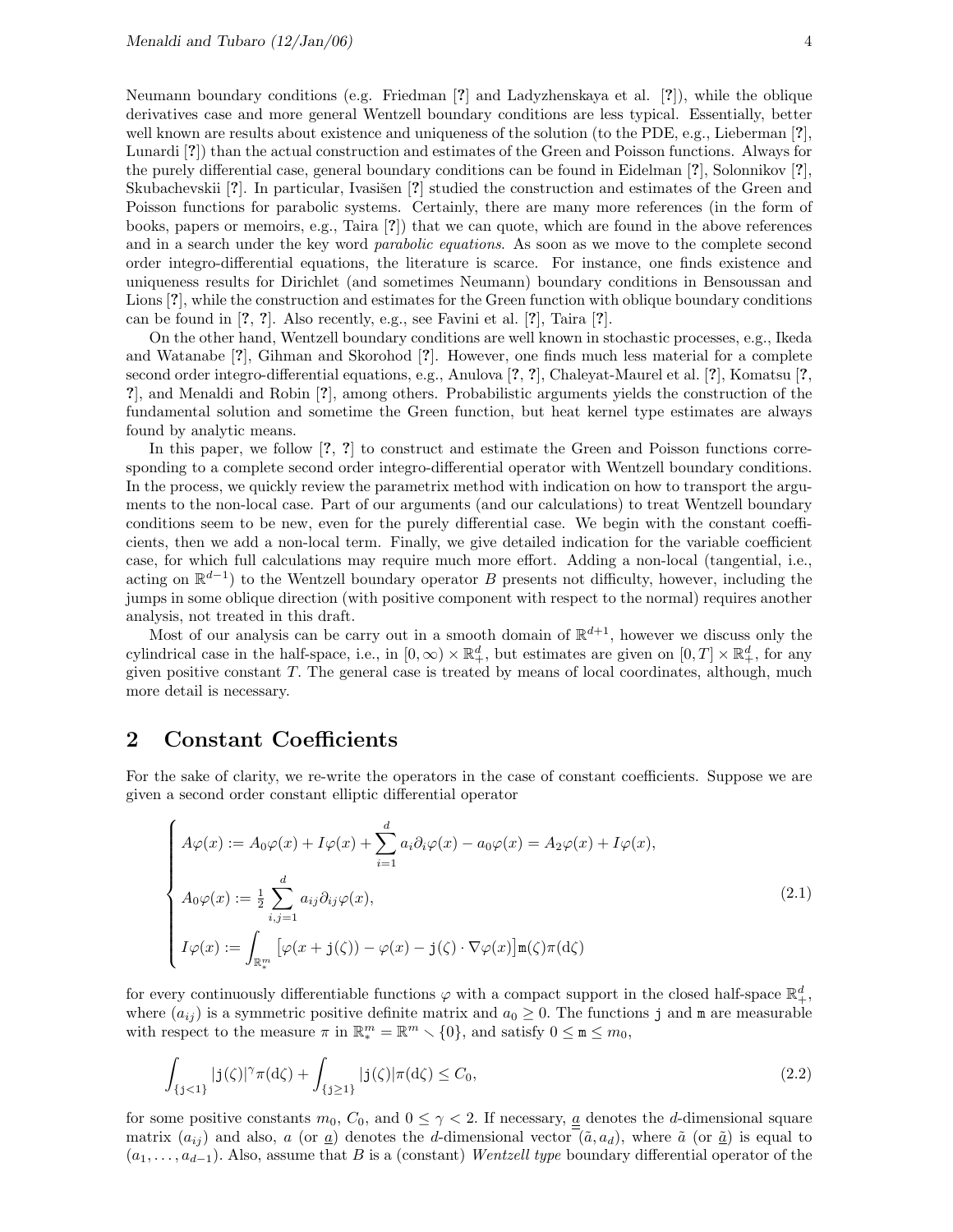Neumann boundary conditions (e.g. Friedman [?] and Ladyzhenskaya et al. [?]), while the oblique derivatives case and more general Wentzell boundary conditions are less typical. Essentially, better well known are results about existence and uniqueness of the solution (to the PDE, e.g., Lieberman [?], Lunardi [?]) than the actual construction and estimates of the Green and Poisson functions. Always for the purely differential case, general boundary conditions can be found in Eidelman [?], Solonnikov [?], Skubachevskii [?]. In particular, Ivasišen [?] studied the construction and estimates of the Green and Poisson functions for parabolic systems. Certainly, there are many more references (in the form of books, papers or memoirs, e.g., Taira [?]) that we can quote, which are found in the above references and in a search under the key word *parabolic equations*. As soon as we move to the complete second order integro-differential equations, the literature is scarce. For instance, one finds existence and uniqueness results for Dirichlet (and sometimes Neumann) boundary conditions in Bensoussan and Lions [?], while the construction and estimates for the Green function with oblique boundary conditions can be found in [?, ?]. Also recently, e.g., see Favini et al. [?], Taira [?].

On the other hand, Wentzell boundary conditions are well known in stochastic processes, e.g., Ikeda and Watanabe [?], Gihman and Skorohod [?]. However, one finds much less material for a complete second order integro-differential equations, e.g., Anulova [?, ?], Chaleyat-Maurel et al. [?], Komatsu [?, ?], and Menaldi and Robin [?], among others. Probabilistic arguments yields the construction of the fundamental solution and sometime the Green function, but heat kernel type estimates are always found by analytic means.

In this paper, we follow [?, ?] to construct and estimate the Green and Poisson functions corresponding to a complete second order integro-differential operator with Wentzell boundary conditions. In the process, we quickly review the parametrix method with indication on how to transport the arguments to the non-local case. Part of our arguments (and our calculations) to treat Wentzell boundary conditions seem to be new, even for the purely differential case. We begin with the constant coefficients, then we add a non-local term. Finally, we give detailed indication for the variable coefficient case, for which full calculations may require much more effort. Adding a non-local (tangential, i.e., acting on  $\mathbb{R}^{d-1}$ ) to the Wentzell boundary operator B presents not difficulty, however, including the jumps in some oblique direction (with positive component with respect to the normal) requires another analysis, not treated in this draft.

Most of our analysis can be carry out in a smooth domain of  $\mathbb{R}^{d+1}$ , however we discuss only the cylindrical case in the half-space, i.e., in  $[0, \infty) \times \mathbb{R}^d_+$ , but estimates are given on  $[0, T] \times \mathbb{R}^d_+$ , for any given positive constant T. The general case is treated by means of local coordinates, although, much more detail is necessary.

## 2 Constant Coefficients

For the sake of clarity, we re-write the operators in the case of constant coefficients. Suppose we are given a second order constant elliptic differential operator

$$
\begin{cases}\nA\varphi(x) := A_0\varphi(x) + I\varphi(x) + \sum_{i=1}^d a_i \partial_i \varphi(x) - a_0 \varphi(x) = A_2 \varphi(x) + I\varphi(x), \\
A_0\varphi(x) := \frac{1}{2} \sum_{i,j=1}^d a_{ij} \partial_{ij} \varphi(x), \\
I\varphi(x) := \int_{\mathbb{R}_+^m} \left[ \varphi(x + j(\zeta)) - \varphi(x) - j(\zeta) \cdot \nabla \varphi(x) \right] \mathbf{m}(\zeta) \pi(\mathrm{d}\zeta)\n\end{cases} \tag{2.1}
$$

for every continuously differentiable functions  $\varphi$  with a compact support in the closed half-space  $\mathbb{R}^d_+$ , where  $(a_{ij})$  is a symmetric positive definite matrix and  $a_0 \geq 0$ . The functions j and m are measurable with respect to the measure  $\pi$  in  $\mathbb{R}^m_* = \mathbb{R}^m \setminus \{0\}$ , and satisfy  $0 \leq m \leq m_0$ ,

$$
\int_{\{j<1\}} |j(\zeta)|^\gamma \pi(d\zeta) + \int_{\{j\geq 1\}} |j(\zeta)| \pi(d\zeta) \leq C_0,
$$
\n(2.2)

for some positive constants  $m_0$ ,  $C_0$ , and  $0 \leq \gamma < 2$ . If necessary, <u>a</u> denotes the *d*-dimensional square matrix  $(a_{ij})$  and also, a (or  $\underline{a}$ ) denotes the d-dimensional vector  $(\tilde{a}, a_d)$ , where  $\tilde{a}$  (or  $\underline{\tilde{a}}$ ) is equal to  $(a_1, \ldots, a_{d-1})$ . Also, assume that B is a (constant) Wentzell type boundary differential operator of the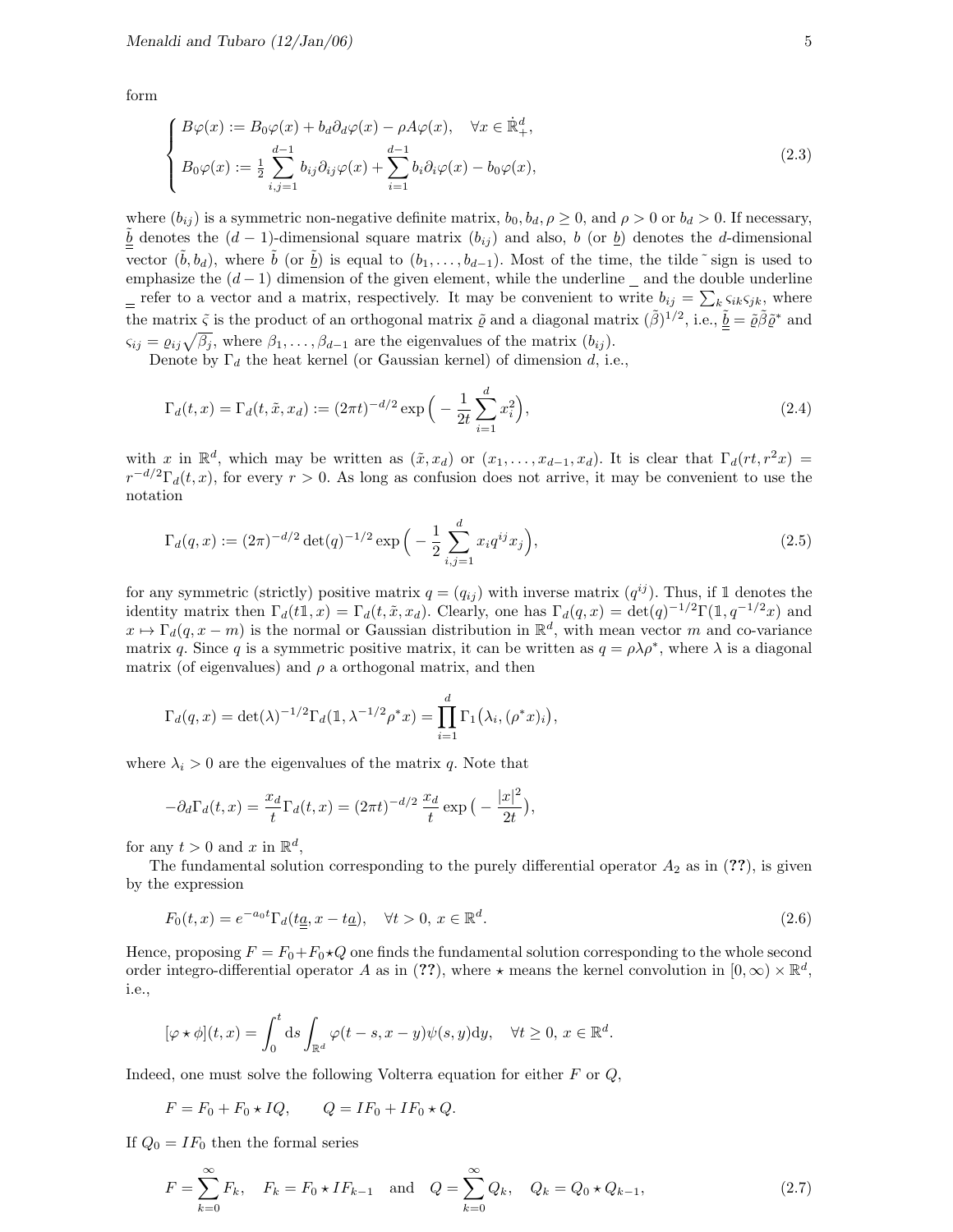form

$$
\begin{cases}\nB\varphi(x) := B_0\varphi(x) + b_d\partial_d\varphi(x) - \rho A\varphi(x), & \forall x \in \mathbb{R}^d_+, \\
B_0\varphi(x) := \frac{1}{2} \sum_{i,j=1}^{d-1} b_{ij}\partial_{ij}\varphi(x) + \sum_{i=1}^{d-1} b_i\partial_i\varphi(x) - b_0\varphi(x),\n\end{cases}
$$
\n(2.3)

where  $(b_{ij})$  is a symmetric non-negative definite matrix,  $b_0, b_d, \rho \ge 0$ , and  $\rho > 0$  or  $b_d > 0$ . If necessary,  $\underline{b}$  denotes the  $(d-1)$ -dimensional square matrix  $(b_{ij})$  and also, b (or  $\underline{b}$ ) denotes the d-dimensional vector  $(\tilde{b}, b_d)$ , where  $\tilde{b}$  (or  $\tilde{b}$ ) is equal to  $(b_1, \ldots, b_{d-1})$ . Most of the time, the tilde ~ sign is used to emphasize the  $(d-1)$  dimension of the given element, while the underline  $\Delta$  and the double underline refer to a vector and a matrix, respectively. It may be convenient to write  $b_{ij} = \sum_k s_{ik} s_{jk}$ , where the matrix  $\tilde{\zeta}$  is the product of an orthogonal matrix  $\tilde{\varrho}$  and a diagonal matrix  $(\tilde{\beta})^{1/2}$ , i.e.,  $\tilde{\underline{b}} = \tilde{\varrho} \tilde{\beta} \tilde{\varrho}^*$  and  $\zeta_{ij} = \varrho_{ij}\sqrt{\beta_j}$ , where  $\beta_1, \ldots, \beta_{d-1}$  are the eigenvalues of the matrix  $(b_{ij})$ .

Denote by  $\Gamma_d$  the heat kernel (or Gaussian kernel) of dimension d, i.e.,

$$
\Gamma_d(t, x) = \Gamma_d(t, \tilde{x}, x_d) := (2\pi t)^{-d/2} \exp\left(-\frac{1}{2t} \sum_{i=1}^d x_i^2\right),\tag{2.4}
$$

with x in  $\mathbb{R}^d$ , which may be written as  $(\tilde{x}, x_d)$  or  $(x_1, \ldots, x_{d-1}, x_d)$ . It is clear that  $\Gamma_d(rt, r^2x)$  $r^{-d/2}\Gamma_d(t,x)$ , for every  $r > 0$ . As long as confusion does not arrive, it may be convenient to use the notation

$$
\Gamma_d(q, x) := (2\pi)^{-d/2} \det(q)^{-1/2} \exp\left(-\frac{1}{2} \sum_{i,j=1}^d x_i q^{ij} x_j\right),\tag{2.5}
$$

for any symmetric (strictly) positive matrix  $q = (q_{ij})$  with inverse matrix  $(q^{ij})$ . Thus, if 1 denotes the identity matrix then  $\Gamma_d(t1, x) = \Gamma_d(t, \tilde{x}, x_d)$ . Clearly, one has  $\Gamma_d(q, x) = \det(q)^{-1/2} \Gamma(1, q^{-1/2}x)$  and  $x \mapsto \Gamma_d(q, x-m)$  is the normal or Gaussian distribution in  $\mathbb{R}^d$ , with mean vector m and co-variance matrix q. Since q is a symmetric positive matrix, it can be written as  $q = \rho \lambda \rho^*$ , where  $\lambda$  is a diagonal matrix (of eigenvalues) and  $\rho$  a orthogonal matrix, and then

$$
\Gamma_d(q,x) = \det(\lambda)^{-1/2} \Gamma_d(\mathbb{1}, \lambda^{-1/2} \rho^* x) = \prod_{i=1}^d \Gamma_1(\lambda_i, (\rho^* x)_i),
$$

where  $\lambda_i > 0$  are the eigenvalues of the matrix q. Note that

$$
-\partial_d \Gamma_d(t,x) = \frac{x_d}{t} \Gamma_d(t,x) = (2\pi t)^{-d/2} \frac{x_d}{t} \exp\left(-\frac{|x|^2}{2t}\right),
$$

for any  $t > 0$  and x in  $\mathbb{R}^d$ ,

The fundamental solution corresponding to the purely differential operator  $A_2$  as in (??), is given by the expression

$$
F_0(t,x) = e^{-a_0t} \Gamma_d(t\underline{a}, x - t\underline{a}), \quad \forall t > 0, x \in \mathbb{R}^d.
$$
\n
$$
(2.6)
$$

Hence, proposing  $F = F_0 + F_0 \star Q$  one finds the fundamental solution corresponding to the whole second order integro-differential operator A as in (??), where  $\star$  means the kernel convolution in  $[0,\infty) \times \mathbb{R}^d$ , i.e.,

$$
[\varphi \star \phi](t,x) = \int_0^t ds \int_{\mathbb{R}^d} \varphi(t-s, x-y) \psi(s, y) dy, \quad \forall t \ge 0, x \in \mathbb{R}^d.
$$

Indeed, one must solve the following Volterra equation for either  $F$  or  $Q$ ,

$$
F = F_0 + F_0 \star IQ, \qquad Q = IF_0 + IF_0 \star Q.
$$

If  $Q_0 = IF_0$  then the formal series

$$
F = \sum_{k=0}^{\infty} F_k, \quad F_k = F_0 \star IF_{k-1} \quad \text{and} \quad Q = \sum_{k=0}^{\infty} Q_k, \quad Q_k = Q_0 \star Q_{k-1}, \tag{2.7}
$$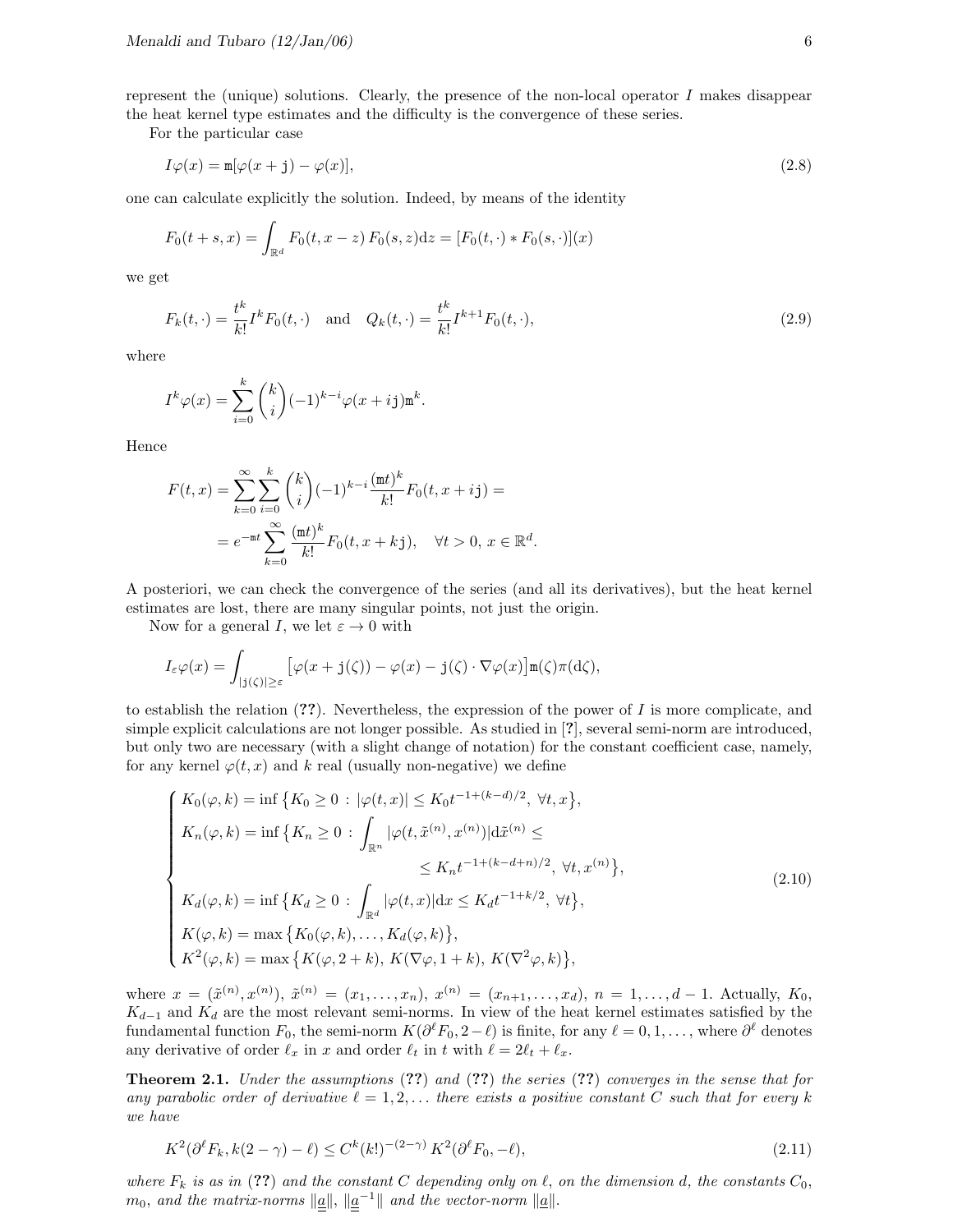represent the (unique) solutions. Clearly, the presence of the non-local operator  $I$  makes disappear the heat kernel type estimates and the difficulty is the convergence of these series.

For the particular case

$$
I\varphi(x) = \mathbf{m}[\varphi(x+j) - \varphi(x)],\tag{2.8}
$$

one can calculate explicitly the solution. Indeed, by means of the identity

$$
F_0(t+s,x) = \int_{\mathbb{R}^d} F_0(t,x-z) F_0(s,z) dz = [F_0(t,\cdot) * F_0(s,\cdot)](x)
$$

we get

$$
F_k(t, \cdot) = \frac{t^k}{k!} I^k F_0(t, \cdot) \quad \text{and} \quad Q_k(t, \cdot) = \frac{t^k}{k!} I^{k+1} F_0(t, \cdot), \tag{2.9}
$$

where

$$
I^k \varphi(x) = \sum_{i=0}^k {k \choose i} (-1)^{k-i} \varphi(x + ij) \mathbf{m}^k.
$$

Hence

$$
F(t,x) = \sum_{k=0}^{\infty} \sum_{i=0}^{k} {k \choose i} (-1)^{k-i} \frac{(\text{m}t)^k}{k!} F_0(t, x + ij) =
$$
  
=  $e^{-\text{m}t} \sum_{k=0}^{\infty} \frac{(\text{m}t)^k}{k!} F_0(t, x + kj), \quad \forall t > 0, x \in \mathbb{R}^d.$ 

A posteriori, we can check the convergence of the series (and all its derivatives), but the heat kernel estimates are lost, there are many singular points, not just the origin.

Now for a general I, we let  $\varepsilon \to 0$  with

$$
I_{\varepsilon} \varphi(x) = \int_{|j(\zeta)| \geq \varepsilon} \left[ \varphi(x + j(\zeta)) - \varphi(x) - j(\zeta) \cdot \nabla \varphi(x) \right] \mathbf{m}(\zeta) \pi(\mathrm{d}\zeta),
$$

to establish the relation  $(?)$ . Nevertheless, the expression of the power of I is more complicate, and simple explicit calculations are not longer possible. As studied in [?], several semi-norm are introduced, but only two are necessary (with a slight change of notation) for the constant coefficient case, namely, for any kernel  $\varphi(t, x)$  and k real (usually non-negative) we define

$$
\begin{cases}\nK_0(\varphi, k) = \inf \{ K_0 \ge 0 : |\varphi(t, x)| \le K_0 t^{-1 + (k - d)/2}, \forall t, x \}, \\
K_n(\varphi, k) = \inf \{ K_n \ge 0 : \int_{\mathbb{R}^n} |\varphi(t, \tilde{x}^{(n)}, x^{(n)})| d\tilde{x}^{(n)} \le \\
&\le K_n t^{-1 + (k - d + n)/2}, \forall t, x^{(n)} \}, \\
K_d(\varphi, k) = \inf \{ K_d \ge 0 : \int_{\mathbb{R}^d} |\varphi(t, x)| dx \le K_d t^{-1 + k/2}, \forall t \}, \\
K(\varphi, k) = \max \{ K_0(\varphi, k), \dots, K_d(\varphi, k) \}, \\
K^2(\varphi, k) = \max \{ K(\varphi, 2 + k), K(\nabla \varphi, 1 + k), K(\nabla^2 \varphi, k) \},\n\end{cases} \tag{2.10}
$$

where  $x = (\tilde{x}^{(n)}, x^{(n)})$ ,  $\tilde{x}^{(n)} = (x_1, \ldots, x_n)$ ,  $x^{(n)} = (x_{n+1}, \ldots, x_d)$ ,  $n = 1, \ldots, d-1$ . Actually,  $K_0$ ,  $K_{d-1}$  and  $K_d$  are the most relevant semi-norms. In view of the heat kernel estimates satisfied by the fundamental function  $F_0$ , the semi-norm  $K(\partial^\ell F_0, 2-\ell)$  is finite, for any  $\ell = 0, 1, \ldots$ , where  $\partial^\ell$  denotes any derivative of order  $\ell_x$  in x and order  $\ell_t$  in t with  $\ell = 2\ell_t + \ell_x$ .

Theorem 2.1. Under the assumptions (??) and (??) the series (??) converges in the sense that for any parabolic order of derivative  $\ell = 1, 2, \ldots$  there exists a positive constant C such that for every k we have

$$
K^2(\partial^{\ell}F_k, k(2-\gamma) - \ell) \le C^k(k!)^{-(2-\gamma)} K^2(\partial^{\ell}F_0, -\ell),\tag{2.11}
$$

where  $F_k$  is as in (??) and the constant C depending only on  $\ell$ , on the dimension d, the constants  $C_0$ ,  $m_0$ , and the matrix-norms  $\|\underline{a}\|$ ,  $\|\underline{a}^{-1}\|$  and the vector-norm  $\|\underline{a}\|$ .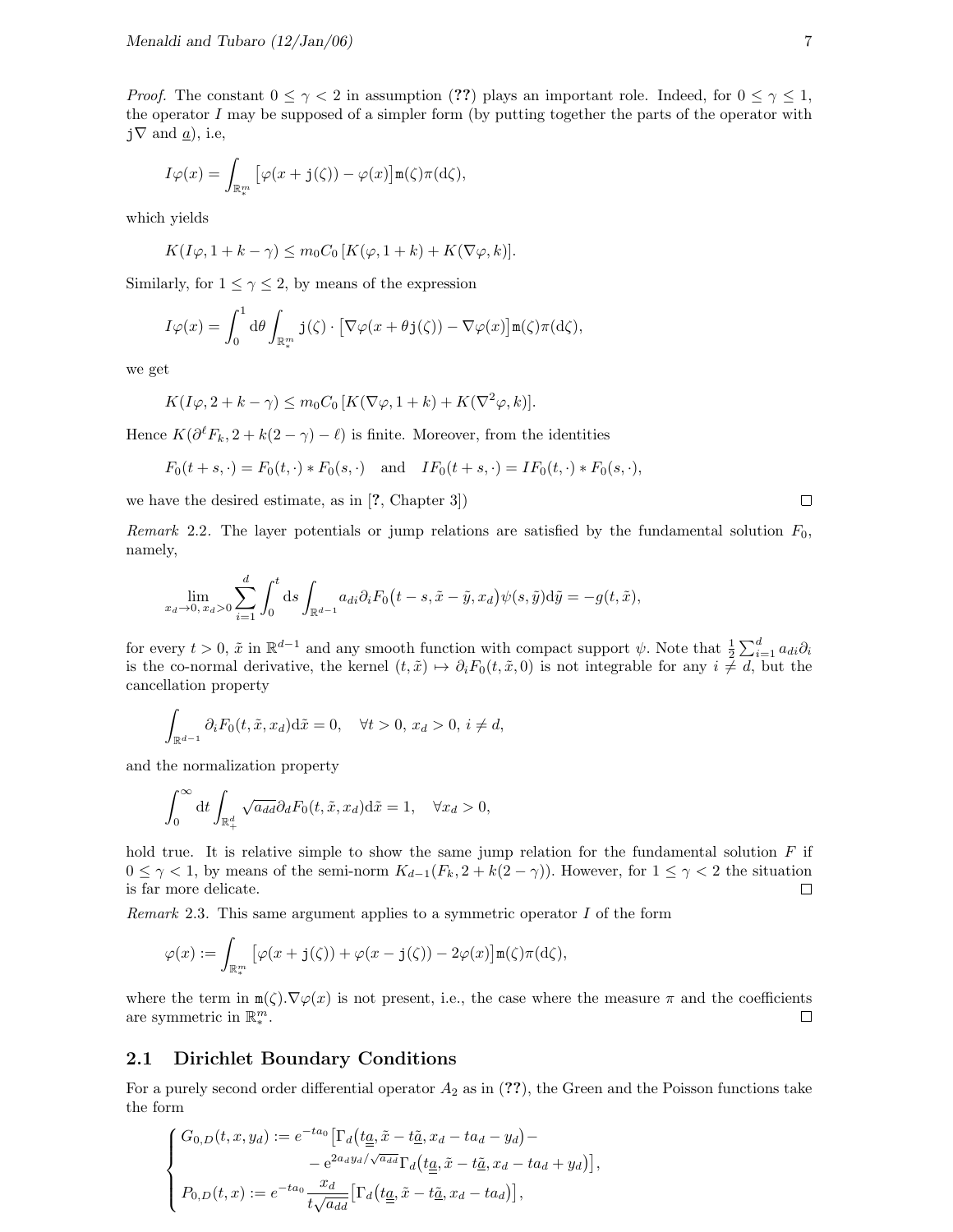*Proof.* The constant  $0 \leq \gamma < 2$  in assumption (??) plays an important role. Indeed, for  $0 \leq \gamma \leq 1$ , the operator  $I$  may be supposed of a simpler form (by putting together the parts of the operator with  $j\nabla$  and  $\alpha$ ), i.e.

$$
I\varphi(x) = \int_{\mathbb{R}^m_*} \left[ \varphi(x + \mathbf{j}(\zeta)) - \varphi(x) \right] \mathbf{m}(\zeta) \pi(\mathrm{d}\zeta),
$$

which yields

$$
K(I\varphi, 1 + k - \gamma) \le m_0 C_0 \left[ K(\varphi, 1 + k) + K(\nabla \varphi, k) \right].
$$

Similarly, for  $1 \leq \gamma \leq 2$ , by means of the expression

$$
I\varphi(x) = \int_0^1 d\theta \int_{\mathbb{R}^m_*} \mathbf{j}(\zeta) \cdot \left[ \nabla \varphi(x + \theta \mathbf{j}(\zeta)) - \nabla \varphi(x) \right] \mathbf{m}(\zeta) \pi(d\zeta),
$$

we get

$$
K(I\varphi, 2 + k - \gamma) \le m_0 C_0 \left[ K(\nabla \varphi, 1 + k) + K(\nabla^2 \varphi, k) \right].
$$

Hence  $K(\partial^{\ell} F_k, 2 + k(2 - \gamma) - \ell)$  is finite. Moreover, from the identities

$$
F_0(t+s,\cdot) = F_0(t,\cdot) * F_0(s,\cdot)
$$
 and  $IF_0(t+s,\cdot) = IF_0(t,\cdot) * F_0(s,\cdot),$ 

we have the desired estimate, as in [?, Chapter 3])

Remark 2.2. The layer potentials or jump relations are satisfied by the fundamental solution  $F_0$ , namely,

$$
\lim_{x_d \to 0, x_d > 0} \sum_{i=1}^d \int_0^t ds \int_{\mathbb{R}^{d-1}} a_{di} \partial_i F_0(t-s, \tilde{x} - \tilde{y}, x_d) \psi(s, \tilde{y}) d\tilde{y} = -g(t, \tilde{x}),
$$

for every  $t > 0$ ,  $\tilde{x}$  in  $\mathbb{R}^{d-1}$  and any smooth function with compact support  $\psi$ . Note that  $\frac{1}{2} \sum_{i=1}^{d} a_{di} \partial_i$ is the co-normal derivative, the kernel  $(t, \tilde{x}) \mapsto \partial_i F_0(t, \tilde{x}, 0)$  is not integrable for any  $i \neq d$ , but the cancellation property

$$
\int_{\mathbb{R}^{d-1}} \partial_i F_0(t, \tilde{x}, x_d) \mathrm{d}\tilde{x} = 0, \quad \forall t > 0, \, x_d > 0, \, i \neq d,
$$

and the normalization property

$$
\int_0^\infty dt \int_{\mathbb{R}^d_+} \sqrt{a_{dd}} \partial_d F_0(t, \tilde{x}, x_d) d\tilde{x} = 1, \quad \forall x_d > 0,
$$

hold true. It is relative simple to show the same jump relation for the fundamental solution  $F$  if  $0 \leq \gamma < 1$ , by means of the semi-norm  $K_{d-1}(F_k, 2 + k(2-\gamma))$ . However, for  $1 \leq \gamma < 2$  the situation is far more delicate.  $\Box$ 

Remark 2.3. This same argument applies to a symmetric operator  $I$  of the form

$$
\varphi(x) := \int_{\mathbb{R}^m_*} \left[ \varphi(x + \mathbf{j}(\zeta)) + \varphi(x - \mathbf{j}(\zeta)) - 2\varphi(x) \right] \mathbf{m}(\zeta) \pi(\mathrm{d}\zeta),
$$

where the term in  $m(\zeta) \cdot \nabla \varphi(x)$  is not present, i.e., the case where the measure  $\pi$  and the coefficients are symmetric in  $\mathbb{R}^m_*$ .  $\Box$ 

#### 2.1 Dirichlet Boundary Conditions

For a purely second order differential operator  $A_2$  as in (??), the Green and the Poisson functions take the form

$$
\begin{cases}\nG_{0,D}(t,x,y_d) := e^{-ta_0} \left[ \Gamma_d \left( t_{\underline{a}}, \tilde{x} - t_{\underline{a}}, x_d - ta_d - y_d \right) - \right. \\
\left. - e^{2a_d y_d / \sqrt{a_{dd}}} \Gamma_d \left( t_{\underline{a}}, \tilde{x} - t_{\underline{a}}, x_d - ta_d + y_d \right) \right], \\
P_{0,D}(t,x) := e^{-ta_0} \frac{x_d}{t \sqrt{a_{dd}}} \left[ \Gamma_d \left( t_{\underline{a}}, \tilde{x} - t_{\underline{a}}, x_d - ta_d \right) \right],\n\end{cases}
$$

 $\Box$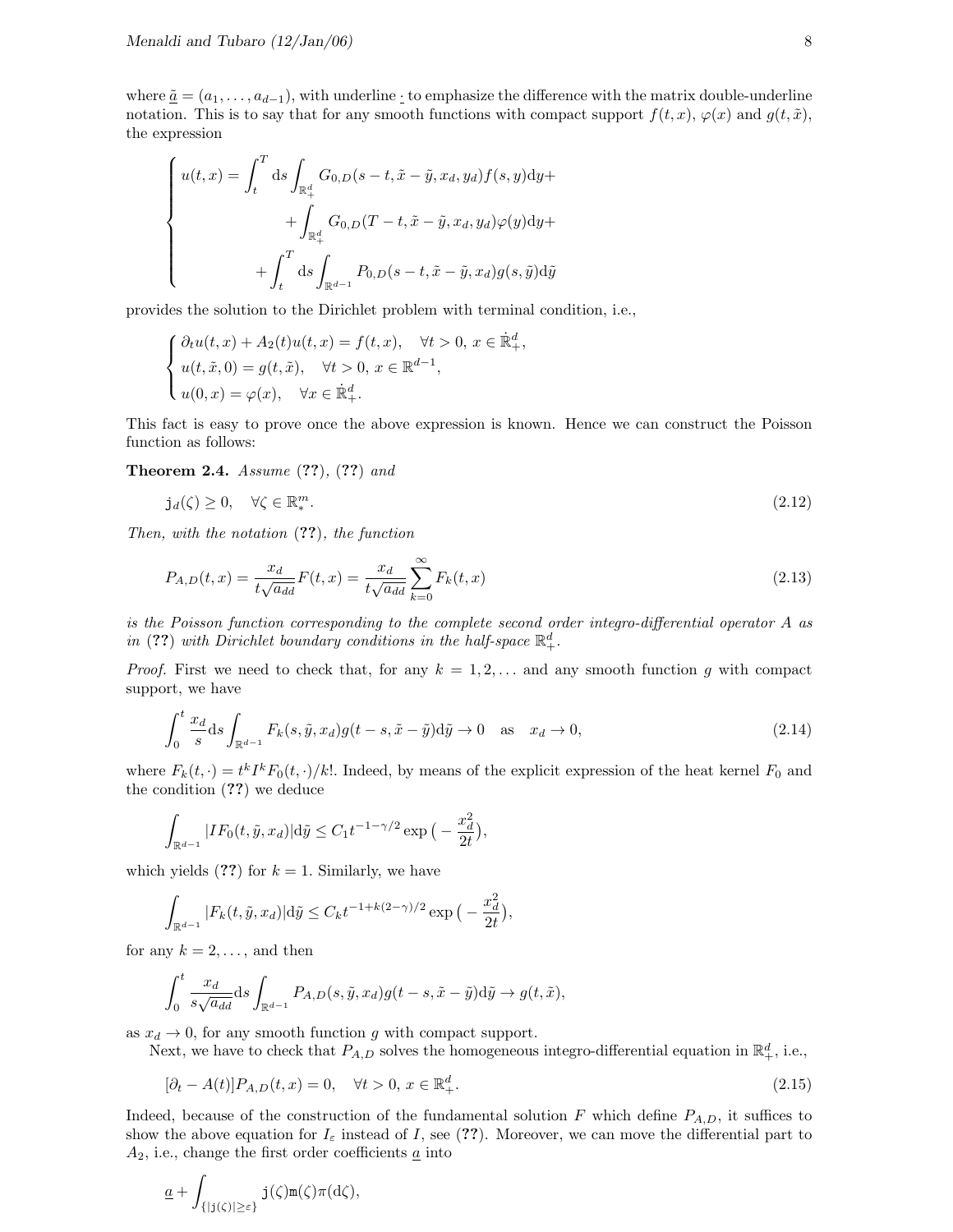where  $\tilde{a} = (a_1, \ldots, a_{d-1})$ , with underline  $\cdot$  to emphasize the difference with the matrix double-underline notation. This is to say that for any smooth functions with compact support  $f(t, x)$ ,  $\varphi(x)$  and  $g(t, \tilde{x})$ , the expression

$$
\begin{cases}\nu(t,x) = \int_t^T ds \int_{\mathbb{R}_+^d} G_{0,D}(s-t,\tilde{x}-\tilde{y},x_d,y_d)f(s,y)dy + \n+ \int_{\mathbb{R}_+^d} G_{0,D}(T-t,\tilde{x}-\tilde{y},x_d,y_d)\varphi(y)dy + \n+ \int_t^T ds \int_{\mathbb{R}^{d-1}} P_{0,D}(s-t,\tilde{x}-\tilde{y},x_d)g(s,\tilde{y})d\tilde{y}\n\end{cases}
$$

provides the solution to the Dirichlet problem with terminal condition, i.e.,

$$
\begin{cases} \partial_t u(t,x) + A_2(t)u(t,x) = f(t,x), \quad \forall t > 0, \, x \in \mathbb{R}^d_+, \\ u(t,\tilde{x},0) = g(t,\tilde{x}), \quad \forall t > 0, \, x \in \mathbb{R}^{d-1}, \\ u(0,x) = \varphi(x), \quad \forall x \in \mathbb{R}^d_+. \end{cases}
$$

This fact is easy to prove once the above expression is known. Hence we can construct the Poisson function as follows:

Theorem 2.4. Assume  $(??)$ ,  $(??)$  and

$$
\mathbf{j}_d(\zeta) \ge 0, \quad \forall \zeta \in \mathbb{R}_*^m. \tag{2.12}
$$

Then, with the notation (??), the function

$$
P_{A,D}(t,x) = \frac{x_d}{t\sqrt{a_{dd}}}F(t,x) = \frac{x_d}{t\sqrt{a_{dd}}} \sum_{k=0}^{\infty} F_k(t,x)
$$
\n(2.13)

is the Poisson function corresponding to the complete second order integro-differential operator A as in (??) with Dirichlet boundary conditions in the half-space  $\mathbb{R}^d_+$ .

*Proof.* First we need to check that, for any  $k = 1, 2, \ldots$  and any smooth function g with compact support, we have

$$
\int_0^t \frac{x_d}{s} ds \int_{\mathbb{R}^{d-1}} F_k(s, \tilde{y}, x_d) g(t-s, \tilde{x}-\tilde{y}) d\tilde{y} \to 0 \quad \text{as} \quad x_d \to 0,
$$
\n(2.14)

where  $F_k(t, \cdot) = t^k I^k F_0(t, \cdot)/k!$ . Indeed, by means of the explicit expression of the heat kernel  $F_0$  and the condition (??) we deduce

$$
\int_{\mathbb{R}^{d-1}} |IF_0(t, \tilde{y}, x_d)| d\tilde{y} \le C_1 t^{-1-\gamma/2} \exp\big(-\frac{x_d^2}{2t}\big),
$$

which yields  $(??)$  for  $k = 1$ . Similarly, we have

$$
\int_{\mathbb{R}^{d-1}} |F_k(t, \tilde{y}, x_d)| \, d\tilde{y} \le C_k t^{-1 + k(2-\gamma)/2} \exp\big(-\frac{x_d^2}{2t}\big),
$$

for any  $k = 2, \ldots$ , and then

$$
\int_0^t \frac{x_d}{s\sqrt{a_{dd}}} ds \int_{\mathbb{R}^{d-1}} P_{A,D}(s, \tilde{y}, x_d) g(t-s, \tilde{x}-\tilde{y}) d\tilde{y} \to g(t, \tilde{x}),
$$

as  $x_d \rightarrow 0$ , for any smooth function g with compact support.

Next, we have to check that  $P_{A,D}$  solves the homogeneous integro-differential equation in  $\mathbb{R}^d_+$ , i.e.,

$$
[\partial_t - A(t)]P_{A,D}(t, x) = 0, \quad \forall t > 0, \ x \in \mathbb{R}_+^d.
$$
\n(2.15)

Indeed, because of the construction of the fundamental solution F which define  $P_{A,D}$ , it suffices to show the above equation for  $I_{\varepsilon}$  instead of I, see (??). Moreover, we can move the differential part to  $A_2$ , i.e., change the first order coefficients  $\underline{a}$  into

$$
\underline{a} + \int_{\{|j(\zeta)| \geq \varepsilon\}} j(\zeta) \mathbf{m}(\zeta) \pi(d\zeta),
$$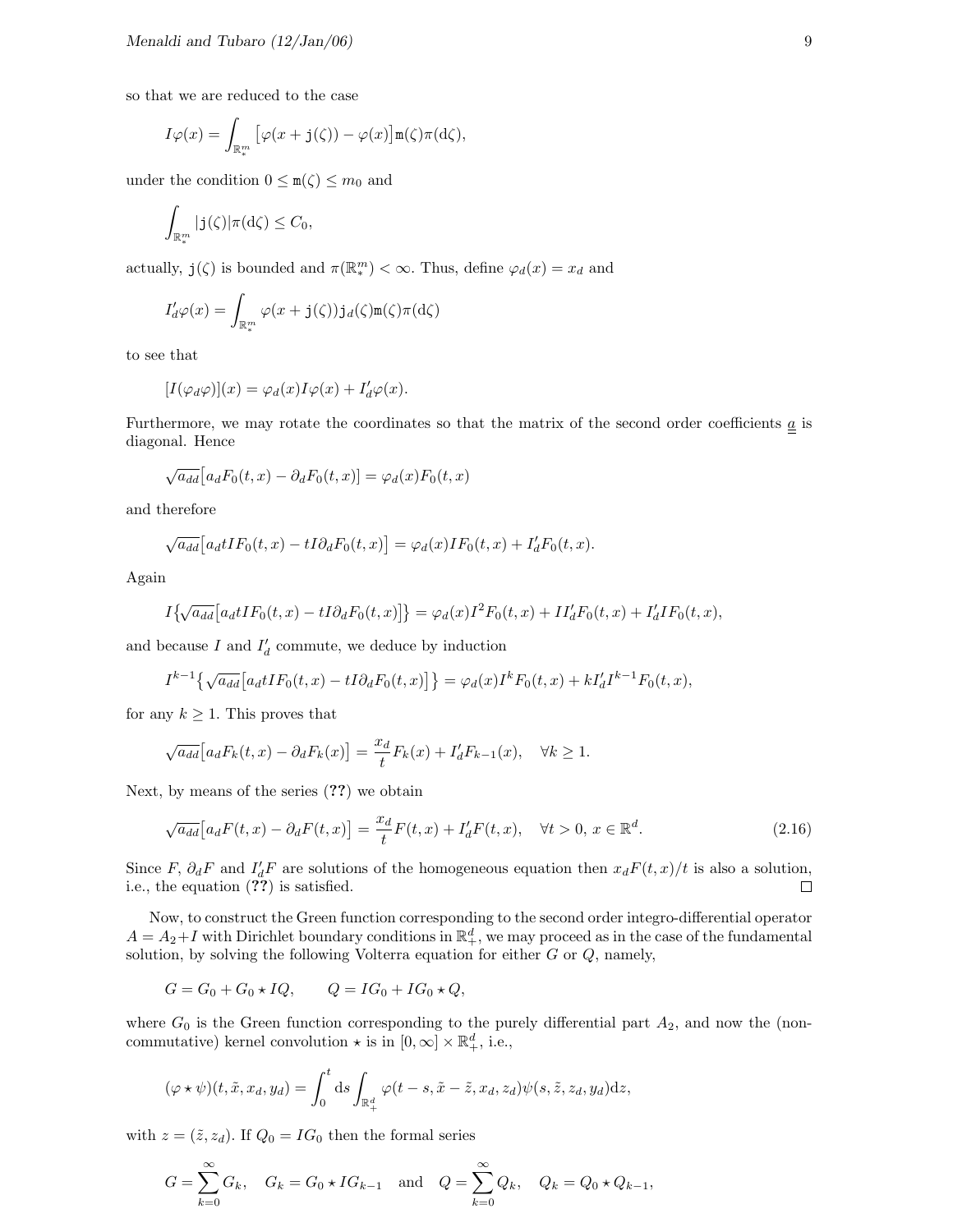so that we are reduced to the case

$$
I\varphi(x) = \int_{\mathbb{R}^m_*} \left[ \varphi(x + \mathbf{j}(\zeta)) - \varphi(x) \right] \mathbf{m}(\zeta) \pi(\mathrm{d}\zeta),
$$

under the condition  $0 \leq m(\zeta) \leq m_0$  and

$$
\int_{\mathbb{R}^m_*} |\mathbf{j}(\zeta)| \pi(\mathrm{d}\zeta) \leq C_0,
$$

actually,  $\mathbf{j}(\zeta)$  is bounded and  $\pi(\mathbb{R}_*^m) < \infty$ . Thus, define  $\varphi_d(x) = x_d$  and

$$
I'_d\varphi(x) = \int_{\mathbb{R}^m_*} \varphi(x + \mathbf{j}(\zeta)) \mathbf{j}_d(\zeta) \mathbf{m}(\zeta) \pi(\mathrm{d}\zeta)
$$

to see that

$$
[I(\varphi_d\varphi)](x) = \varphi_d(x)I\varphi(x) + I'_d\varphi(x).
$$

Furthermore, we may rotate the coordinates so that the matrix of the second order coefficients  $\underline{a}$  is diagonal. Hence

$$
\sqrt{a_{dd}}[a_dF_0(t,x) - \partial_d F_0(t,x)] = \varphi_d(x)F_0(t,x)
$$

and therefore

$$
\sqrt{a_{dd}}[a_d t I F_0(t,x) - t I \partial_d F_0(t,x)] = \varphi_d(x) I F_0(t,x) + I'_d F_0(t,x).
$$

Again

$$
I\big\{\!\sqrt{a_{dd}}\big[a_d t I F_0(t,x)-tI\partial_d F_0(t,x)\big]\!\big\}=\varphi_d(x)I^2F_0(t,x)+II_d'F_0(t,x)+I_d'IF_0(t,x),
$$

and because  $I$  and  $I'_d$  commute, we deduce by induction

$$
I^{k-1}\left\{\sqrt{a_{dd}}\left[a_{d}tIF_{0}(t,x)-tI\partial_{d}F_{0}(t,x)\right]\right\} = \varphi_{d}(x)I^{k}F_{0}(t,x) + kI'_{d}I^{k-1}F_{0}(t,x),
$$

for any  $k \geq 1$ . This proves that

$$
\sqrt{a_{dd}} \Big[ a_d F_k(t, x) - \partial_d F_k(x) \Big] = \frac{x_d}{t} F_k(x) + I'_d F_{k-1}(x), \quad \forall k \ge 1.
$$

Next, by means of the series (??) we obtain

$$
\sqrt{a_{dd}}\left[a_d F(t,x) - \partial_d F(t,x)\right] = \frac{x_d}{t} F(t,x) + I'_d F(t,x), \quad \forall t > 0, x \in \mathbb{R}^d.
$$
\n(2.16)

Since F,  $\partial_d F$  and  $I'_dF$  are solutions of the homogeneous equation then  $x_dF(t, x)/t$  is also a solution, i.e., the equation (??) is satisfied.

Now, to construct the Green function corresponding to the second order integro-differential operator  $A = A_2 + I$  with Dirichlet boundary conditions in  $\mathbb{R}^d_+$ , we may proceed as in the case of the fundamental solution, by solving the following Volterra equation for either  $G$  or  $Q$ , namely,

$$
G = G_0 + G_0 \star IQ, \qquad Q = IG_0 + IG_0 \star Q,
$$

where  $G_0$  is the Green function corresponding to the purely differential part  $A_2$ , and now the (noncommutative) kernel convolution  $\star$  is in  $[0, \infty] \times \mathbb{R}^d_+$ , i.e.,

$$
(\varphi \star \psi)(t, \tilde{x}, x_d, y_d) = \int_0^t ds \int_{\mathbb{R}_+^d} \varphi(t - s, \tilde{x} - \tilde{z}, x_d, z_d) \psi(s, \tilde{z}, z_d, y_d) dz,
$$

with  $z = (\tilde{z}, z_d)$ . If  $Q_0 = IG_0$  then the formal series

$$
G = \sum_{k=0}^{\infty} G_k
$$
,  $G_k = G_0 \star IG_{k-1}$  and  $Q = \sum_{k=0}^{\infty} Q_k$ ,  $Q_k = Q_0 \star Q_{k-1}$ ,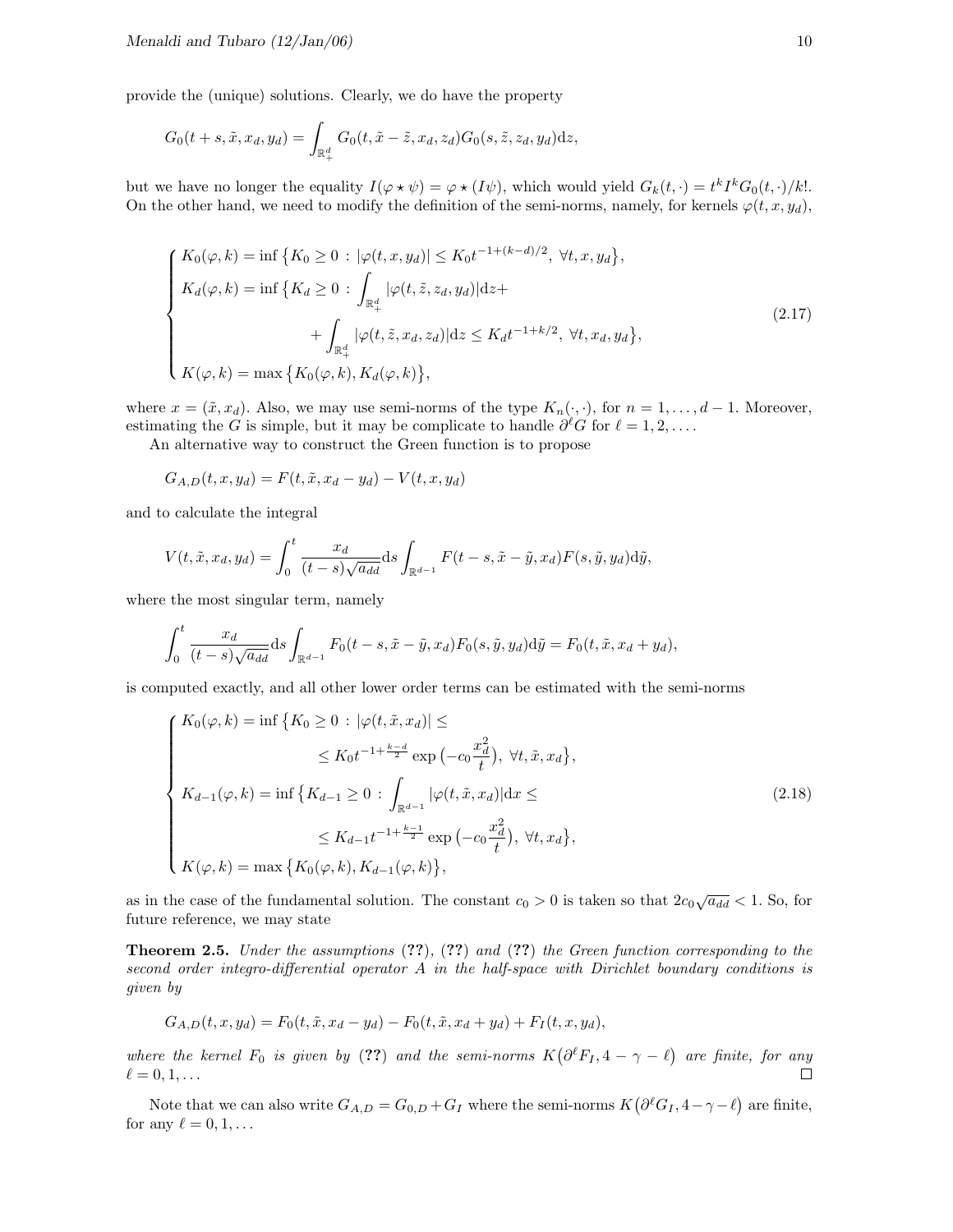provide the (unique) solutions. Clearly, we do have the property

$$
G_0(t+s,\tilde{x},x_d,y_d)=\int_{\mathbb{R}^d_+}G_0(t,\tilde{x}-\tilde{z},x_d,z_d)G_0(s,\tilde{z},z_d,y_d)\mathrm{d}z,
$$

but we have no longer the equality  $I(\varphi \star \psi) = \varphi \star (I\psi)$ , which would yield  $G_k(t, \cdot) = t^k I^k G_0(t, \cdot)/k!$ . On the other hand, we need to modify the definition of the semi-norms, namely, for kernels  $\varphi(t, x, y_d)$ ,

$$
\begin{cases}\nK_0(\varphi, k) = \inf \{ K_0 \ge 0 : |\varphi(t, x, y_d)| \le K_0 t^{-1 + (k - d)/2}, \forall t, x, y_d \}, \\
K_d(\varphi, k) = \inf \{ K_d \ge 0 : \int_{\mathbb{R}_+^d} |\varphi(t, \tilde{z}, z_d, y_d)| dz + \\
&+ \int_{\mathbb{R}_+^d} |\varphi(t, \tilde{z}, x_d, z_d)| dz \le K_d t^{-1 + k/2}, \forall t, x_d, y_d \}, \\
K(\varphi, k) = \max \{ K_0(\varphi, k), K_d(\varphi, k) \},\n\end{cases}
$$
\n(2.17)

where  $x = (\tilde{x}, x_d)$ . Also, we may use semi-norms of the type  $K_n(\cdot, \cdot)$ , for  $n = 1, \ldots, d-1$ . Moreover, estimating the G is simple, but it may be complicate to handle  $\partial^{\ell}G$  for  $\ell = 1, 2, \ldots$ .

An alternative way to construct the Green function is to propose

$$
G_{A,D}(t, x, y_d) = F(t, \tilde{x}, x_d - y_d) - V(t, x, y_d)
$$

and to calculate the integral

$$
V(t, \tilde{x}, x_d, y_d) = \int_0^t \frac{x_d}{(t-s)\sqrt{a_{dd}}} ds \int_{\mathbb{R}^{d-1}} F(t-s, \tilde{x} - \tilde{y}, x_d) F(s, \tilde{y}, y_d) d\tilde{y},
$$

where the most singular term, namely

$$
\int_0^t \frac{x_d}{(t-s)\sqrt{a_{dd}}} ds \int_{\mathbb{R}^{d-1}} F_0(t-s, \tilde{x}-\tilde{y}, x_d) F_0(s, \tilde{y}, y_d) d\tilde{y} = F_0(t, \tilde{x}, x_d + y_d),
$$

is computed exactly, and all other lower order terms can be estimated with the semi-norms

$$
\begin{cases}\nK_0(\varphi, k) = \inf \{ K_0 \ge 0 : |\varphi(t, \tilde{x}, x_d)| \le \\
& \le K_0 t^{-1 + \frac{k-d}{2}} \exp(-c_0 \frac{x_d^2}{t}), \forall t, \tilde{x}, x_d \}, \\
K_{d-1}(\varphi, k) = \inf \{ K_{d-1} \ge 0 : \int_{\mathbb{R}^{d-1}} |\varphi(t, \tilde{x}, x_d)| dx \le \\
& \le K_{d-1} t^{-1 + \frac{k-1}{2}} \exp(-c_0 \frac{x_d^2}{t}), \forall t, x_d \}, \\
K(\varphi, k) = \max \{ K_0(\varphi, k), K_{d-1}(\varphi, k) \},\n\end{cases} \tag{2.18}
$$

as in the case of the fundamental solution. The constant  $c_0 > 0$  is taken so that  $2c_0\sqrt{a_{dd}} < 1$ . So, for future reference, we may state

**Theorem 2.5.** Under the assumptions  $(??)$ ,  $(??)$  and  $(??)$  the Green function corresponding to the second order integro-differential operator A in the half-space with Dirichlet boundary conditions is given by

$$
G_{A,D}(t,x,y_d) = F_0(t,\tilde{x},x_d - y_d) - F_0(t,\tilde{x},x_d + y_d) + F_I(t,x,y_d),
$$

where the kernel  $F_0$  is given by (??) and the semi-norms  $K(\partial^\ell F_I, 4 - \gamma - \ell)$  are finite, for any  $\Box$  $\ell = 0, 1, \ldots$ 

Note that we can also write  $G_{A,D} = G_{0,D} + G_I$  where the semi-norms  $K(\partial^{\ell}G_I, 4 - \gamma - \ell)$  are finite, for any  $\ell = 0, 1, \ldots$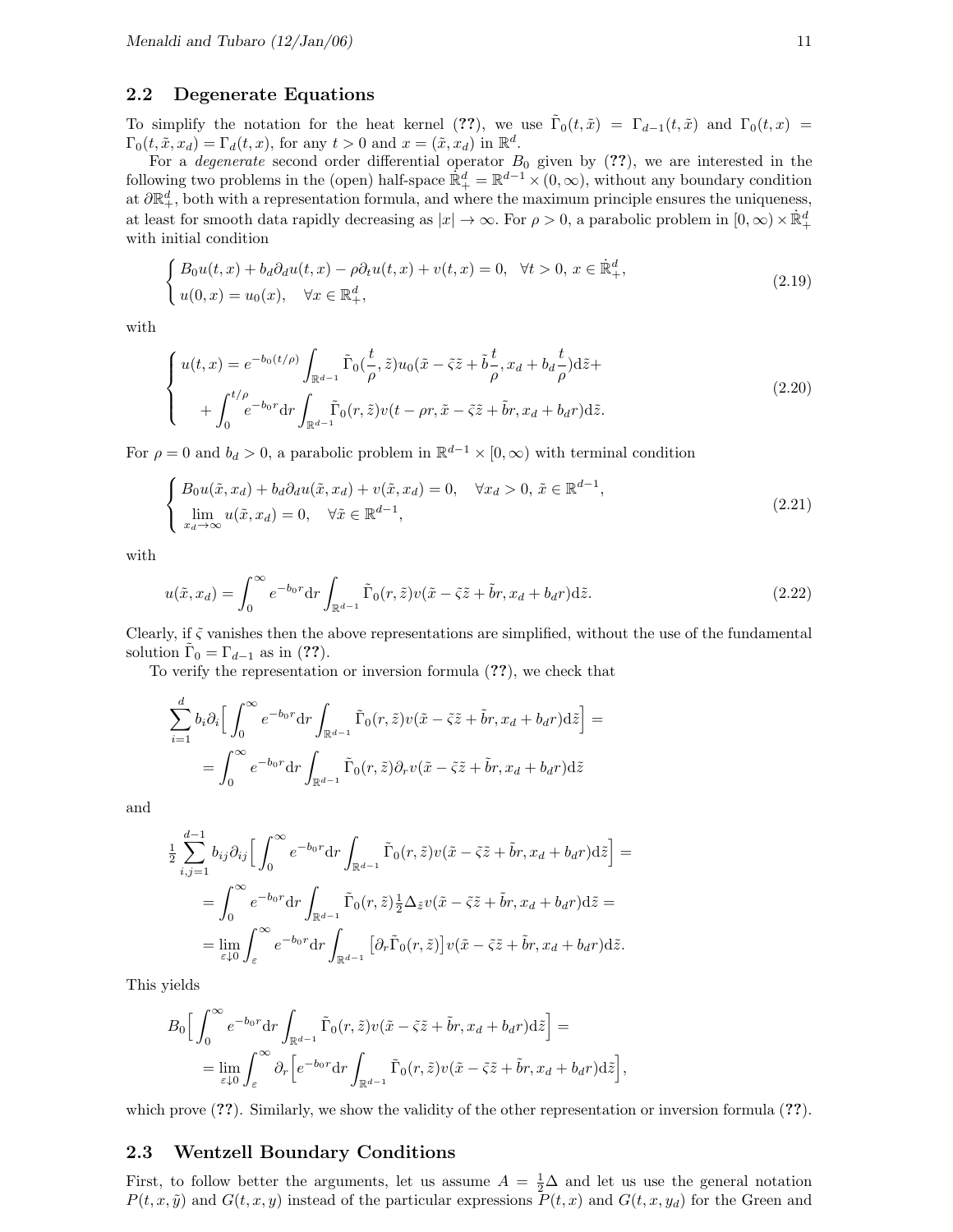#### 2.2 Degenerate Equations

To simplify the notation for the heat kernel (??), we use  $\tilde{\Gamma}_0(t, \tilde{x}) = \Gamma_{d-1}(t, \tilde{x})$  and  $\Gamma_0(t, x) =$  $\Gamma_0(t, \tilde{x}, x_d) = \Gamma_d(t, x)$ , for any  $t > 0$  and  $x = (\tilde{x}, x_d)$  in  $\mathbb{R}^d$ .

For a *degenerate* second order differential operator  $B_0$  given by  $(??)$ , we are interested in the following two problems in the (open) half-space  $\mathbb{R}^d_+ = \mathbb{R}^{d-1} \times (0,\infty)$ , without any boundary condition at  $\partial \mathbb{R}^d_+$ , both with a representation formula, and where the maximum principle ensures the uniqueness, at least for smooth data rapidly decreasing as  $|x| \to \infty$ . For  $\rho > 0$ , a parabolic problem in  $[0, \infty) \times \mathbb{R}^d_+$ with initial condition

$$
\begin{cases} B_0u(t,x) + b_d\partial_d u(t,x) - \rho \partial_t u(t,x) + v(t,x) = 0, \quad \forall t > 0, \ x \in \mathbb{R}^d_+, \\ u(0,x) = u_0(x), \quad \forall x \in \mathbb{R}^d_+, \end{cases}
$$
\n(2.19)

with

$$
\begin{cases}\nu(t,x) = e^{-b_0(t/\rho)} \int_{\mathbb{R}^{d-1}} \tilde{\Gamma}_0(\frac{t}{\rho}, \tilde{z}) u_0(\tilde{x} - \tilde{\varsigma}\tilde{z} + \tilde{b}\frac{t}{\rho}, x_d + b_d \frac{t}{\rho}) \mathrm{d}\tilde{z} + \n+ \int_0^{t/\rho} e^{-b_0 r} \mathrm{d}r \int_{\mathbb{R}^{d-1}} \tilde{\Gamma}_0(r, \tilde{z}) v(t - \rho r, \tilde{x} - \tilde{\varsigma}\tilde{z} + \tilde{b}r, x_d + b_d r) \mathrm{d}\tilde{z}.\n\end{cases} (2.20)
$$

For  $\rho = 0$  and  $b_d > 0$ , a parabolic problem in  $\mathbb{R}^{d-1} \times [0, \infty)$  with terminal condition

$$
\begin{cases} B_0 u(\tilde{x}, x_d) + b_d \partial_d u(\tilde{x}, x_d) + v(\tilde{x}, x_d) = 0, \quad \forall x_d > 0, \, \tilde{x} \in \mathbb{R}^{d-1}, \\ \lim_{x_d \to \infty} u(\tilde{x}, x_d) = 0, \quad \forall \tilde{x} \in \mathbb{R}^{d-1}, \end{cases} \tag{2.21}
$$

with

$$
u(\tilde{x}, x_d) = \int_0^\infty e^{-b_0 r} dr \int_{\mathbb{R}^{d-1}} \tilde{\Gamma}_0(r, \tilde{z}) v(\tilde{x} - \tilde{\varsigma}\tilde{z} + \tilde{b}r, x_d + b_d r) d\tilde{z}.
$$
 (2.22)

Clearly, if  $\tilde{\zeta}$  vanishes then the above representations are simplified, without the use of the fundamental solution  $\tilde{\Gamma}_0 = \Gamma_{d-1}$  as in (??).

To verify the representation or inversion formula (??), we check that

$$
\sum_{i=1}^{d} b_i \partial_i \Big[ \int_0^{\infty} e^{-b_0 r} dr \int_{\mathbb{R}^{d-1}} \tilde{\Gamma}_0(r, \tilde{z}) v(\tilde{x} - \tilde{z} \tilde{z} + \tilde{b}r, x_d + b_d r) d\tilde{z} \Big] =
$$
  
= 
$$
\int_0^{\infty} e^{-b_0 r} dr \int_{\mathbb{R}^{d-1}} \tilde{\Gamma}_0(r, \tilde{z}) \partial_r v(\tilde{x} - \tilde{z} \tilde{z} + \tilde{b}r, x_d + b_d r) d\tilde{z}
$$

and

$$
\frac{1}{2} \sum_{i,j=1}^{d-1} b_{ij} \partial_{ij} \Big[ \int_0^\infty e^{-b_0 r} dr \int_{\mathbb{R}^{d-1}} \tilde{\Gamma}_0(r, \tilde{z}) v(\tilde{x} - \tilde{z} \tilde{z} + \tilde{b} r, x_d + b_d r) d\tilde{z} \Big] =
$$
\n
$$
= \int_0^\infty e^{-b_0 r} dr \int_{\mathbb{R}^{d-1}} \tilde{\Gamma}_0(r, \tilde{z}) \frac{1}{2} \Delta_{\tilde{z}} v(\tilde{x} - \tilde{z} \tilde{z} + \tilde{b} r, x_d + b_d r) d\tilde{z} =
$$
\n
$$
= \lim_{\varepsilon \downarrow 0} \int_{\varepsilon}^\infty e^{-b_0 r} dr \int_{\mathbb{R}^{d-1}} \big[ \partial_r \tilde{\Gamma}_0(r, \tilde{z}) \big] v(\tilde{x} - \tilde{z} \tilde{z} + \tilde{b} r, x_d + b_d r) d\tilde{z}.
$$

This yields

$$
B_0 \Big[ \int_0^\infty e^{-b_0 r} dr \int_{\mathbb{R}^{d-1}} \tilde{\Gamma}_0(r, \tilde{z}) v(\tilde{x} - \tilde{z} \tilde{z} + \tilde{b} r, x_d + b_d r) d\tilde{z} \Big] =
$$
  
= 
$$
\lim_{\varepsilon \downarrow 0} \int_{\varepsilon}^\infty \partial_r \Big[ e^{-b_0 r} dr \int_{\mathbb{R}^{d-1}} \tilde{\Gamma}_0(r, \tilde{z}) v(\tilde{x} - \tilde{z} \tilde{z} + \tilde{b} r, x_d + b_d r) d\tilde{z} \Big],
$$

which prove  $(??)$ . Similarly, we show the validity of the other representation or inversion formula  $(??)$ .

#### 2.3 Wentzell Boundary Conditions

First, to follow better the arguments, let us assume  $A = \frac{1}{2}\Delta$  and let us use the general notation  $P(t, x, \tilde{y})$  and  $G(t, x, y)$  instead of the particular expressions  $\tilde{P}(t, x)$  and  $G(t, x, y_d)$  for the Green and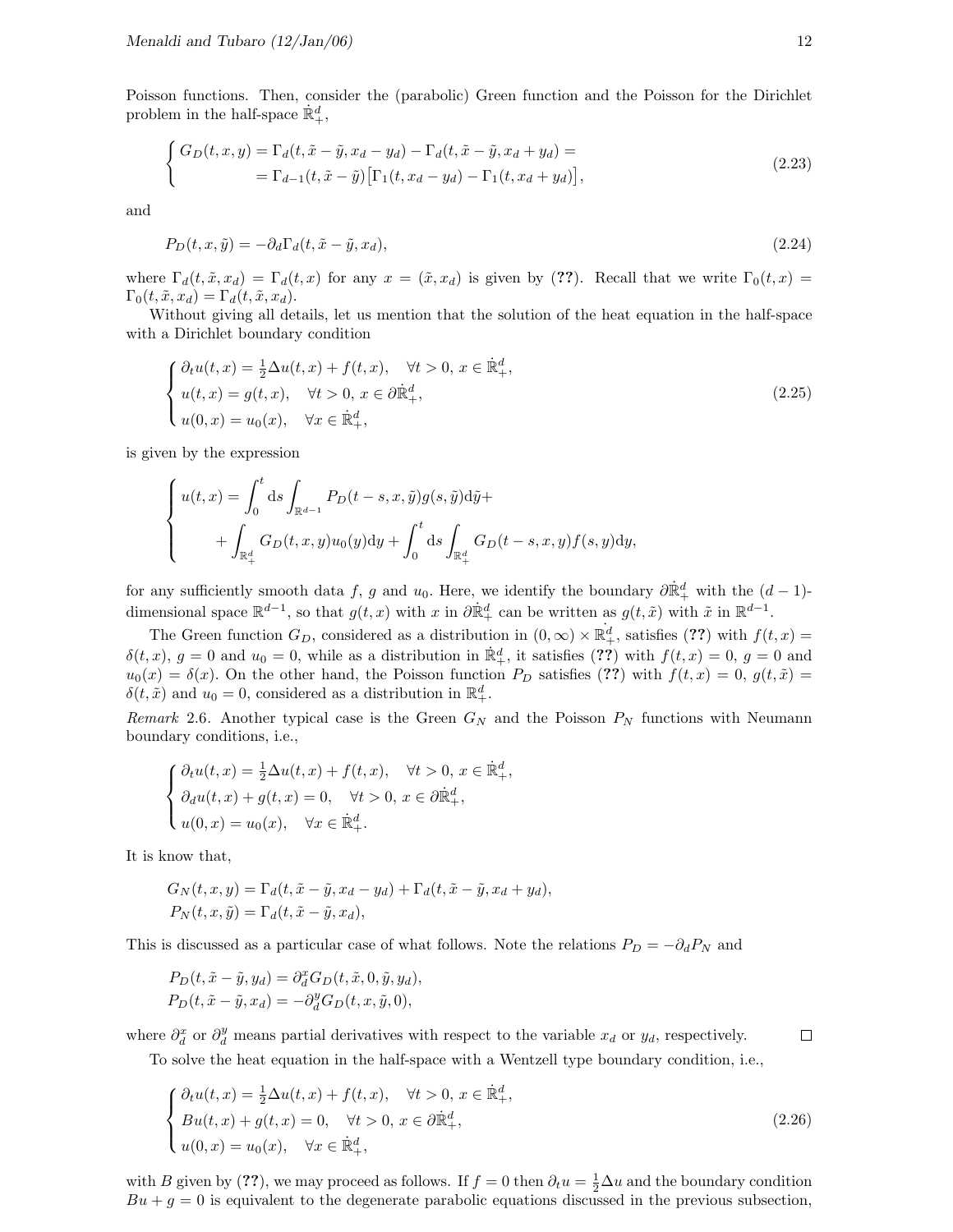Poisson functions. Then, consider the (parabolic) Green function and the Poisson for the Dirichlet problem in the half-space  $\dot{\mathbb{R}}_+^d$ ,

$$
\begin{cases}\nG_D(t, x, y) = \Gamma_d(t, \tilde{x} - \tilde{y}, x_d - y_d) - \Gamma_d(t, \tilde{x} - \tilde{y}, x_d + y_d) = \\
= \Gamma_{d-1}(t, \tilde{x} - \tilde{y}) \left[ \Gamma_1(t, x_d - y_d) - \Gamma_1(t, x_d + y_d) \right],\n\end{cases} \tag{2.23}
$$

and

$$
P_D(t, x, \tilde{y}) = -\partial_d \Gamma_d(t, \tilde{x} - \tilde{y}, x_d),\tag{2.24}
$$

where  $\Gamma_d(t, \tilde{x}, x_d) = \Gamma_d(t, x)$  for any  $x = (\tilde{x}, x_d)$  is given by (??). Recall that we write  $\Gamma_0(t, x)$  $\Gamma_0(t, \tilde{x}, x_d) = \Gamma_d(t, \tilde{x}, x_d).$ 

Without giving all details, let us mention that the solution of the heat equation in the half-space with a Dirichlet boundary condition

$$
\begin{cases}\n\partial_t u(t,x) = \frac{1}{2} \Delta u(t,x) + f(t,x), & \forall t > 0, x \in \mathbb{R}^d_+, \\
u(t,x) = g(t,x), & \forall t > 0, x \in \partial \mathbb{R}^d_+, \\
u(0,x) = u_0(x), & \forall x \in \mathbb{R}^d_+, \n\end{cases}
$$
\n(2.25)

is given by the expression

$$
\begin{cases} u(t,x) = \int_0^t ds \int_{\mathbb{R}^{d-1}} P_D(t-s,x,\tilde{y}) g(s,\tilde{y}) d\tilde{y} + + \int_{\mathbb{R}^d_+} G_D(t,x,y) u_0(y) dy + \int_0^t ds \int_{\mathbb{R}^d_+} G_D(t-s,x,y) f(s,y) dy, \end{cases}
$$

for any sufficiently smooth data f, g and  $u_0$ . Here, we identify the boundary  $\partial \dot{\mathbb{R}}_+^d$  with the  $(d-1)$ dimensional space  $\mathbb{R}^{d-1}$ , so that  $g(t, x)$  with x in  $\partial \dot{\mathbb{R}}_+^d$  can be written as  $g(t, \tilde{x})$  with  $\tilde{x}$  in  $\mathbb{R}^{d-1}$ .

The Green function  $G_D$ , considered as a distribution in  $(0, \infty) \times \mathbb{R}^d_+$ , satisfies (??) with  $f(t, x) =$  $\delta(t, x)$ ,  $g = 0$  and  $u_0 = 0$ , while as a distribution in  $\mathbb{R}^d_+$ , it satisfies (??) with  $f(t, x) = 0$ ,  $g = 0$  and  $u_0(x) = \delta(x)$ . On the other hand, the Poisson function  $P_D$  satisfies (??) with  $f(t, x) = 0$ ,  $g(t, \tilde{x}) =$  $\delta(t, \tilde{x})$  and  $u_0 = 0$ , considered as a distribution in  $\mathbb{R}^d_+$ .

Remark 2.6. Another typical case is the Green  $G_N$  and the Poisson  $P_N$  functions with Neumann boundary conditions, i.e.,

$$
\begin{cases} \partial_t u(t,x) = \frac{1}{2} \Delta u(t,x) + f(t,x), & \forall t > 0, x \in \dot{\mathbb{R}}_+^d, \\ \partial_d u(t,x) + g(t,x) = 0, & \forall t > 0, x \in \partial \dot{\mathbb{R}}_+^d, \\ u(0,x) = u_0(x), & \forall x \in \dot{\mathbb{R}}_+^d. \end{cases}
$$

It is know that,

$$
G_N(t, x, y) = \Gamma_d(t, \tilde{x} - \tilde{y}, x_d - y_d) + \Gamma_d(t, \tilde{x} - \tilde{y}, x_d + y_d),
$$
  
\n
$$
P_N(t, x, \tilde{y}) = \Gamma_d(t, \tilde{x} - \tilde{y}, x_d),
$$

This is discussed as a particular case of what follows. Note the relations  $P_D = -\partial_d P_N$  and

$$
P_D(t, \tilde{x} - \tilde{y}, y_d) = \partial_d^x G_D(t, \tilde{x}, 0, \tilde{y}, y_d),
$$
  

$$
P_D(t, \tilde{x} - \tilde{y}, x_d) = -\partial_d^y G_D(t, x, \tilde{y}, 0),
$$

where  $\partial_d^x$  or  $\partial_d^y$  means partial derivatives with respect to the variable  $x_d$  or  $y_d$ , respectively.

To solve the heat equation in the half-space with a Wentzell type boundary condition, i.e.,

$$
\begin{cases}\n\partial_t u(t,x) = \frac{1}{2} \Delta u(t,x) + f(t,x), & \forall t > 0, x \in \mathbb{R}^d_+, \\
B u(t,x) + g(t,x) = 0, & \forall t > 0, x \in \partial \mathbb{R}^d_+, \\
u(0,x) = u_0(x), & \forall x \in \mathbb{R}^d_+, \n\end{cases}
$$
\n(2.26)

with B given by (??), we may proceed as follows. If  $f = 0$  then  $\partial_t u = \frac{1}{2} \Delta u$  and the boundary condition  $Bu + g = 0$  is equivalent to the degenerate parabolic equations discussed in the previous subsection,

 $\Box$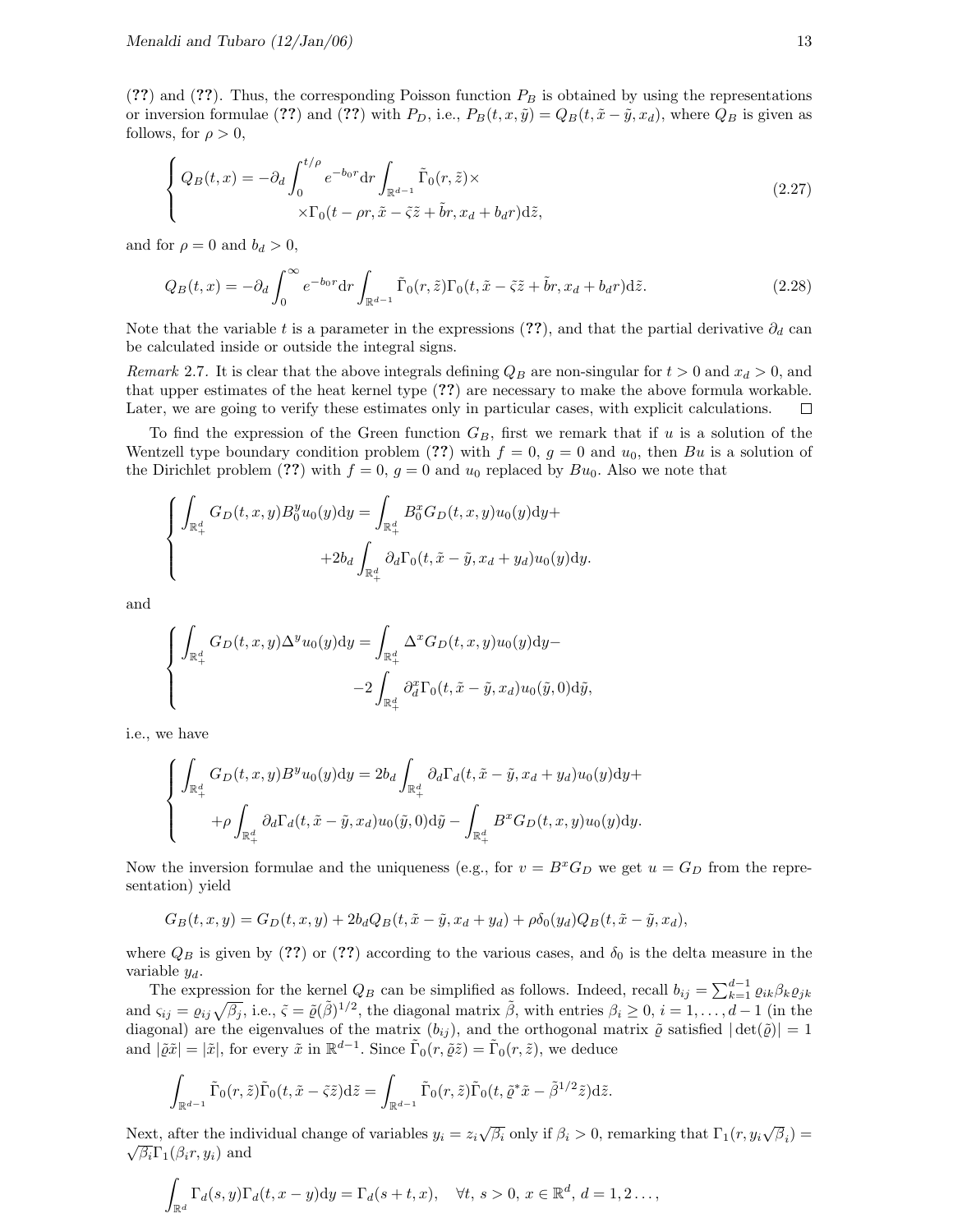(??) and (??). Thus, the corresponding Poisson function  $P_B$  is obtained by using the representations or inversion formulae (??) and (??) with  $P_D$ , i.e.,  $P_B(t, x, \tilde{y}) = Q_B(t, \tilde{x} - \tilde{y}, x_d)$ , where  $Q_B$  is given as follows, for  $\rho > 0$ ,

$$
\begin{cases}\nQ_B(t,x) = -\partial_d \int_0^{t/\rho} e^{-b_0 r} dr \int_{\mathbb{R}^{d-1}} \tilde{\Gamma}_0(r,\tilde{z}) \times \\
\times \Gamma_0(t - \rho r, \tilde{x} - \tilde{z}\tilde{z} + \tilde{b}r, x_d + b_d r) d\tilde{z},\n\end{cases}
$$
\n(2.27)

and for  $\rho = 0$  and  $b_d > 0$ ,

$$
Q_B(t,x) = -\partial_d \int_0^\infty e^{-b_0 r} dr \int_{\mathbb{R}^{d-1}} \tilde{\Gamma}_0(r,\tilde{z}) \Gamma_0(t,\tilde{x} - \tilde{\varsigma}\tilde{z} + \tilde{b}r, x_d + b_d r) d\tilde{z}.
$$
 (2.28)

Note that the variable t is a parameter in the expressions (??), and that the partial derivative  $\partial_d$  can be calculated inside or outside the integral signs.

Remark 2.7. It is clear that the above integrals defining  $Q_B$  are non-singular for  $t > 0$  and  $x_d > 0$ , and that upper estimates of the heat kernel type (??) are necessary to make the above formula workable. Later, we are going to verify these estimates only in particular cases, with explicit calculations.  $\Box$ 

To find the expression of the Green function  $G_B$ , first we remark that if u is a solution of the Wentzell type boundary condition problem (??) with  $f = 0$ ,  $g = 0$  and  $u_0$ , then Bu is a solution of the Dirichlet problem (??) with  $f = 0$ ,  $g = 0$  and  $u_0$  replaced by  $Bu_0$ . Also we note that

$$
\begin{cases}\n\int_{\mathbb{R}^d_+} G_D(t, x, y) B_0^y u_0(y) dy = \int_{\mathbb{R}^d_+} B_0^x G_D(t, x, y) u_0(y) dy + \\
+ 2b_d \int_{\mathbb{R}^d_+} \partial_d \Gamma_0(t, \tilde{x} - \tilde{y}, x_d + y_d) u_0(y) dy.\n\end{cases}
$$

and

$$
\begin{cases} \int_{\mathbb{R}_+^d} G_D(t, x, y) \Delta^y u_0(y) dy = \int_{\mathbb{R}_+^d} \Delta^x G_D(t, x, y) u_0(y) dy - \\ -2 \int_{\mathbb{R}_+^d} \partial_d^x \Gamma_0(t, \tilde{x} - \tilde{y}, x_d) u_0(\tilde{y}, 0) d\tilde{y}, \end{cases}
$$

i.e., we have

$$
\begin{cases} \int_{\mathbb{R}_+^d} G_D(t, x, y) B^y u_0(y) dy = 2b_d \int_{\mathbb{R}_+^d} \partial_d \Gamma_d(t, \tilde{x} - \tilde{y}, x_d + y_d) u_0(y) dy + \\qquad \qquad + \rho \int_{\mathbb{R}_+^d} \partial_d \Gamma_d(t, \tilde{x} - \tilde{y}, x_d) u_0(\tilde{y}, 0) d\tilde{y} - \int_{\mathbb{R}_+^d} B^x G_D(t, x, y) u_0(y) dy. \end{cases}
$$

Now the inversion formulae and the uniqueness (e.g., for  $v = B^x G_D$  we get  $u = G_D$  from the representation) yield

$$
G_B(t, x, y) = G_D(t, x, y) + 2b_d Q_B(t, \tilde{x} - \tilde{y}, x_d + y_d) + \rho \delta_0(y_d) Q_B(t, \tilde{x} - \tilde{y}, x_d),
$$

where  $Q_B$  is given by (??) or (??) according to the various cases, and  $\delta_0$  is the delta measure in the variable  $y_d$ .

The expression for the kernel  $Q_B$  can be simplified as follows. Indeed, recall  $b_{ij} = \sum_{k=1}^{d-1} \varrho_{ik} \beta_k \varrho_{jk}$ and  $\varsigma_{ij} = \varrho_{ij}\sqrt{\beta_j}$ , i.e.,  $\tilde{\varsigma} = \tilde{\varrho}(\tilde{\beta})^{1/2}$ , the diagonal matrix  $\tilde{\beta}$ , with entries  $\beta_i \geq 0$ ,  $i = 1, \ldots, d-1$  (in the diagonal) are the eigenvalues of the matrix  $(b_{ij})$ , and the orthogonal matrix  $\tilde{\varrho}$  satisfied  $|\det(\tilde{\varrho})| = 1$ and  $|\tilde{\varrho}\tilde{x}| = |\tilde{x}|$ , for every  $\tilde{x}$  in  $\mathbb{R}^{d-1}$ . Since  $\tilde{\Gamma}_0(r, \tilde{\varrho}\tilde{z}) = \tilde{\Gamma}_0(r, \tilde{z})$ , we deduce

$$
\int_{\mathbb{R}^{d-1}} \tilde{\Gamma}_0(r,\tilde{z}) \tilde{\Gamma}_0(t,\tilde{x}-\tilde{z}) d\tilde{z} = \int_{\mathbb{R}^{d-1}} \tilde{\Gamma}_0(r,\tilde{z}) \tilde{\Gamma}_0(t,\tilde{\varrho}^* \tilde{x}-\tilde{\beta}^{1/2} \tilde{z}) d\tilde{z}.
$$

Next, after the individual change of variables  $y_i = z_i \sqrt{\beta_i}$  only if  $\beta_i > 0$ , remarking that  $\Gamma_1(r, y_i \sqrt{\beta_i}) = \sqrt{\beta_i} \sum_{i=1}^{n} \beta_i$  $\sqrt{\beta_i}\Gamma_1(\beta_i r, y_i)$  and

$$
\int_{\mathbb{R}^d} \Gamma_d(s, y) \Gamma_d(t, x - y) dy = \Gamma_d(s + t, x), \quad \forall t, s > 0, x \in \mathbb{R}^d, d = 1, 2 \dots,
$$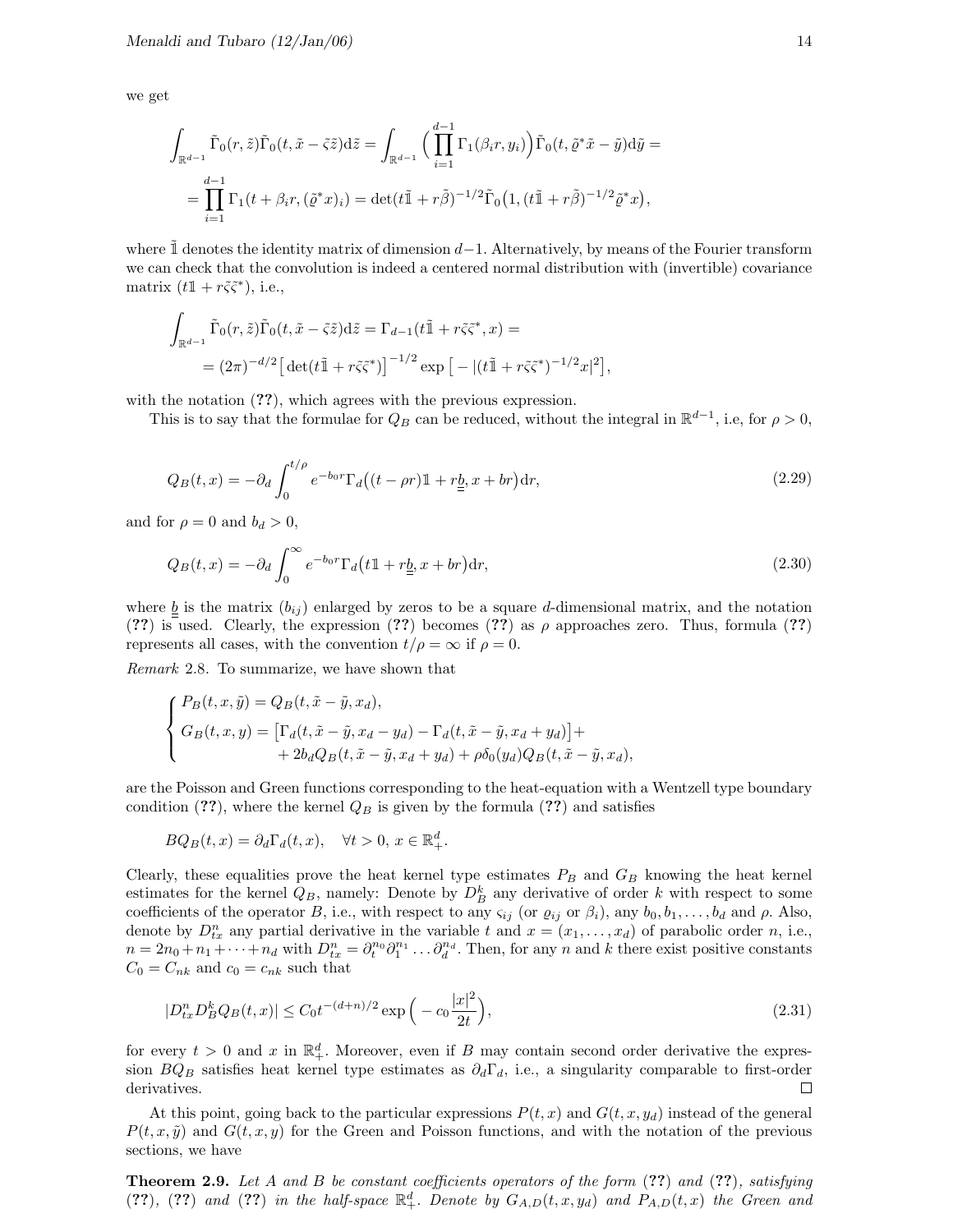we get

$$
\int_{\mathbb{R}^{d-1}} \tilde{\Gamma}_0(r, \tilde{z}) \tilde{\Gamma}_0(t, \tilde{x} - \tilde{\varsigma} \tilde{z}) d\tilde{z} = \int_{\mathbb{R}^{d-1}} \Big( \prod_{i=1}^{d-1} \Gamma_1(\beta_i r, y_i) \Big) \tilde{\Gamma}_0(t, \tilde{\varrho}^* \tilde{x} - \tilde{y}) d\tilde{y} =
$$
  
= 
$$
\prod_{i=1}^{d-1} \Gamma_1(t + \beta_i r, (\tilde{\varrho}^* x)_i) = \det(t \tilde{\mathbb{I}} + r \tilde{\beta})^{-1/2} \tilde{\Gamma}_0(t, (t \tilde{\mathbb{I}} + r \tilde{\beta})^{-1/2} \tilde{\varrho}^* x),
$$

where  $\mathbb{1}$  denotes the identity matrix of dimension  $d-1$ . Alternatively, by means of the Fourier transform we can check that the convolution is indeed a centered normal distribution with (invertible) covariance matrix  $(t1 + r\tilde{\varsigma}\tilde{\varsigma}^*)$ , i.e.,

$$
\int_{\mathbb{R}^{d-1}} \tilde{\Gamma}_0(r, \tilde{z}) \tilde{\Gamma}_0(t, \tilde{x} - \tilde{\varsigma} \tilde{z}) d\tilde{z} = \Gamma_{d-1}(t \tilde{\mathbb{1}} + r \tilde{\varsigma} \tilde{\varsigma}^*, x) =
$$
  
= 
$$
(2\pi)^{-d/2} \left[ \det(t \tilde{\mathbb{1}} + r \tilde{\varsigma} \tilde{\varsigma}^*) \right]^{-1/2} \exp \left[ - |(t \tilde{\mathbb{1}} + r \tilde{\varsigma} \tilde{\varsigma}^*)^{-1/2} x|^2 \right],
$$

with the notation  $(??)$ , which agrees with the previous expression.

This is to say that the formulae for  $Q_B$  can be reduced, without the integral in  $\mathbb{R}^{d-1}$ , i.e, for  $\rho > 0$ ,

$$
Q_B(t,x) = -\partial_d \int_0^{t/\rho} e^{-b_0 r} \Gamma_d \big( (t - \rho r) \mathbb{1} + r \underline{b}, x + br \big) dr,\tag{2.29}
$$

and for  $\rho = 0$  and  $b_d > 0$ ,

$$
Q_B(t,x) = -\partial_d \int_0^\infty e^{-b_0 r} \Gamma_d \left( t \mathbb{1} + r \underline{b}, x + br \right) dr,\tag{2.30}
$$

where  $\underline{b}$  is the matrix  $(b_{ij})$  enlarged by zeros to be a square d-dimensional matrix, and the notation (??) is used. Clearly, the expression (??) becomes (??) as  $\rho$  approaches zero. Thus, formula (??) represents all cases, with the convention  $t/\rho = \infty$  if  $\rho = 0$ .

Remark 2.8. To summarize, we have shown that

$$
\begin{cases}\nP_B(t, x, \tilde{y}) = Q_B(t, \tilde{x} - \tilde{y}, x_d), \\
G_B(t, x, y) = \left[\Gamma_d(t, \tilde{x} - \tilde{y}, x_d - y_d) - \Gamma_d(t, \tilde{x} - \tilde{y}, x_d + y_d)\right] + \\
+ 2b_d Q_B(t, \tilde{x} - \tilde{y}, x_d + y_d) + \rho \delta_0(y_d) Q_B(t, \tilde{x} - \tilde{y}, x_d),\n\end{cases}
$$

are the Poisson and Green functions corresponding to the heat-equation with a Wentzell type boundary condition (??), where the kernel  $Q_B$  is given by the formula (??) and satisfies

$$
BQ_B(t, x) = \partial_d \Gamma_d(t, x), \quad \forall t > 0, \, x \in \mathbb{R}_+^d.
$$

Clearly, these equalities prove the heat kernel type estimates  $P_B$  and  $G_B$  knowing the heat kernel estimates for the kernel  $Q_B$ , namely: Denote by  $D_B^k$  any derivative of order k with respect to some coefficients of the operator B, i.e., with respect to any  $\varsigma_{ij}$  (or  $\varrho_{ij}$  or  $\beta_i$ ), any  $b_0, b_1, \ldots, b_d$  and  $\rho$ . Also, denote by  $D_{tx}^n$  any partial derivative in the variable t and  $x = (x_1, \ldots, x_d)$  of parabolic order n, i.e.,  $n = 2n_0 + n_1 + \cdots + n_d$  with  $D_{tx}^n = \partial_t^{n_0} \partial_1^{n_1} \ldots \partial_d^{n_d}$ . Then, for any n and k there exist positive constants  $C_0 = C_{nk}$  and  $c_0 = c_{nk}$  such that

$$
|D_{tx}^n D_B^k Q_B(t, x)| \le C_0 t^{-(d+n)/2} \exp\left(-c_0 \frac{|x|^2}{2t}\right),\tag{2.31}
$$

for every  $t > 0$  and x in  $\mathbb{R}^d_+$ . Moreover, even if B may contain second order derivative the expression  $BQ_B$  satisfies heat kernel type estimates as  $\partial_d\Gamma_d$ , i.e., a singularity comparable to first-order derivatives.  $\Box$ 

At this point, going back to the particular expressions  $P(t, x)$  and  $G(t, x, y_d)$  instead of the general  $P(t, x, \tilde{y})$  and  $G(t, x, y)$  for the Green and Poisson functions, and with the notation of the previous sections, we have

**Theorem 2.9.** Let A and B be constant coefficients operators of the form  $(??)$  and  $(??)$ , satisfying (??), (??) and (??) in the half-space  $\mathbb{R}^d_+$ . Denote by  $G_{A,D}(t,x,y_d)$  and  $P_{A,D}(t,x)$  the Green and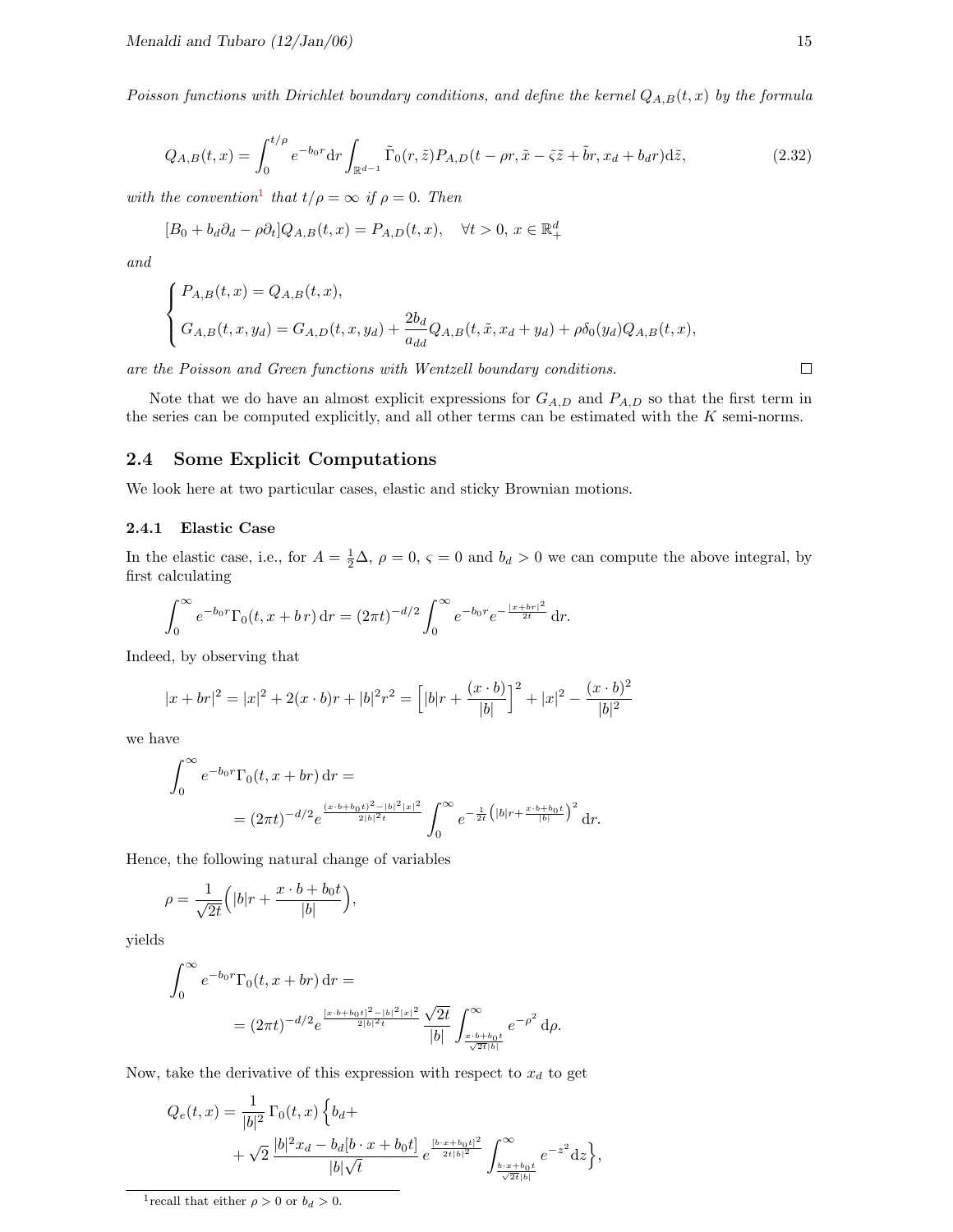Poisson functions with Dirichlet boundary conditions, and define the kernel  $Q_{A,B}(t, x)$  by the formula

$$
Q_{A,B}(t,x) = \int_0^{t/\rho} e^{-b_0 r} dr \int_{\mathbb{R}^{d-1}} \tilde{\Gamma}_0(r,\tilde{z}) P_{A,D}(t-\rho r, \tilde{x}-\tilde{z}z+\tilde{b}r, x_d+b_d r) d\tilde{z},\tag{2.32}
$$

with the convention<sup>[1](#page-15-0)</sup> that  $t/\rho = \infty$  if  $\rho = 0$ . Then

$$
[B_0 + b_d \partial_d - \rho \partial_t] Q_{A,B}(t, x) = P_{A,D}(t, x), \quad \forall t > 0, x \in \mathbb{R}_+^d
$$

and

$$
\begin{cases}\nP_{A,B}(t,x) = Q_{A,B}(t,x), \\
G_{A,B}(t,x,y_d) = G_{A,D}(t,x,y_d) + \frac{2b_d}{a_{dd}}Q_{A,B}(t,\tilde{x},x_d+y_d) + \rho \delta_0(y_d)Q_{A,B}(t,x),\n\end{cases}
$$

are the Poisson and Green functions with Wentzell boundary conditions.

Note that we do have an almost explicit expressions for  $G_{A,D}$  and  $P_{A,D}$  so that the first term in the series can be computed explicitly, and all other terms can be estimated with the K semi-norms.

#### 2.4 Some Explicit Computations

We look here at two particular cases, elastic and sticky Brownian motions.

#### 2.4.1 Elastic Case

In the elastic case, i.e., for  $A = \frac{1}{2}\Delta$ ,  $\rho = 0$ ,  $\varsigma = 0$  and  $b_d > 0$  we can compute the above integral, by first calculating

$$
\int_0^\infty e^{-b_0 r} \Gamma_0(t, x + b r) dr = (2\pi t)^{-d/2} \int_0^\infty e^{-b_0 r} e^{-\frac{|x + b r|^2}{2t}} dr.
$$

Indeed, by observing that

$$
|x + br|^2 = |x|^2 + 2(x \cdot b)r + |b|^2 r^2 = \left[ |b|r + \frac{(x \cdot b)}{|b|} \right]^2 + |x|^2 - \frac{(x \cdot b)^2}{|b|^2}
$$

we have

$$
\int_0^\infty e^{-b_0 r} \Gamma_0(t, x + br) dr =
$$
  
=  $(2\pi t)^{-d/2} e^{\frac{(x \cdot b + b_0 t)^2 - |b|^2 |x|^2}{2|b|^2 t}} \int_0^\infty e^{-\frac{1}{2t} (|b| r + \frac{x \cdot b + b_0 t}{|b|})^2} dr.$ 

Hence, the following natural change of variables

$$
\rho = \frac{1}{\sqrt{2t}} \left( |b|r + \frac{x \cdot b + b_0t}{|b|} \right),\,
$$

yields

$$
\int_0^\infty e^{-b_0 r} \Gamma_0(t, x + br) dr =
$$
  
=  $(2\pi t)^{-d/2} e^{\frac{[x \cdot b + b_0 t]^2 - |b|^2 |x|^2}{2|b|^2 t}} \frac{\sqrt{2t}}{|b|} \int_{\frac{x \cdot b + b_0 t}{\sqrt{2t} |b|}}^{\infty} e^{-\rho^2} d\rho.$ 

Now, take the derivative of this expression with respect to  $x_d$  to get

$$
Q_e(t,x) = \frac{1}{|b|^2} \Gamma_0(t,x) \left\{ b_d + \frac{1}{2} \left[ \frac{b|^2 x_d - b_d [b \cdot x + b_0 t]}{b \sqrt{t}} e^{\frac{[b \cdot x + b_0 t]^2}{2t |b|^2}} \int_{\frac{b \cdot x + b_0 t}{\sqrt{2t |b|}}}^{\infty} e^{-z^2} dz \right\},\,
$$

 $\Box$ 

<span id="page-15-0"></span><sup>&</sup>lt;sup>1</sup> recall that either  $\rho > 0$  or  $b_d > 0$ .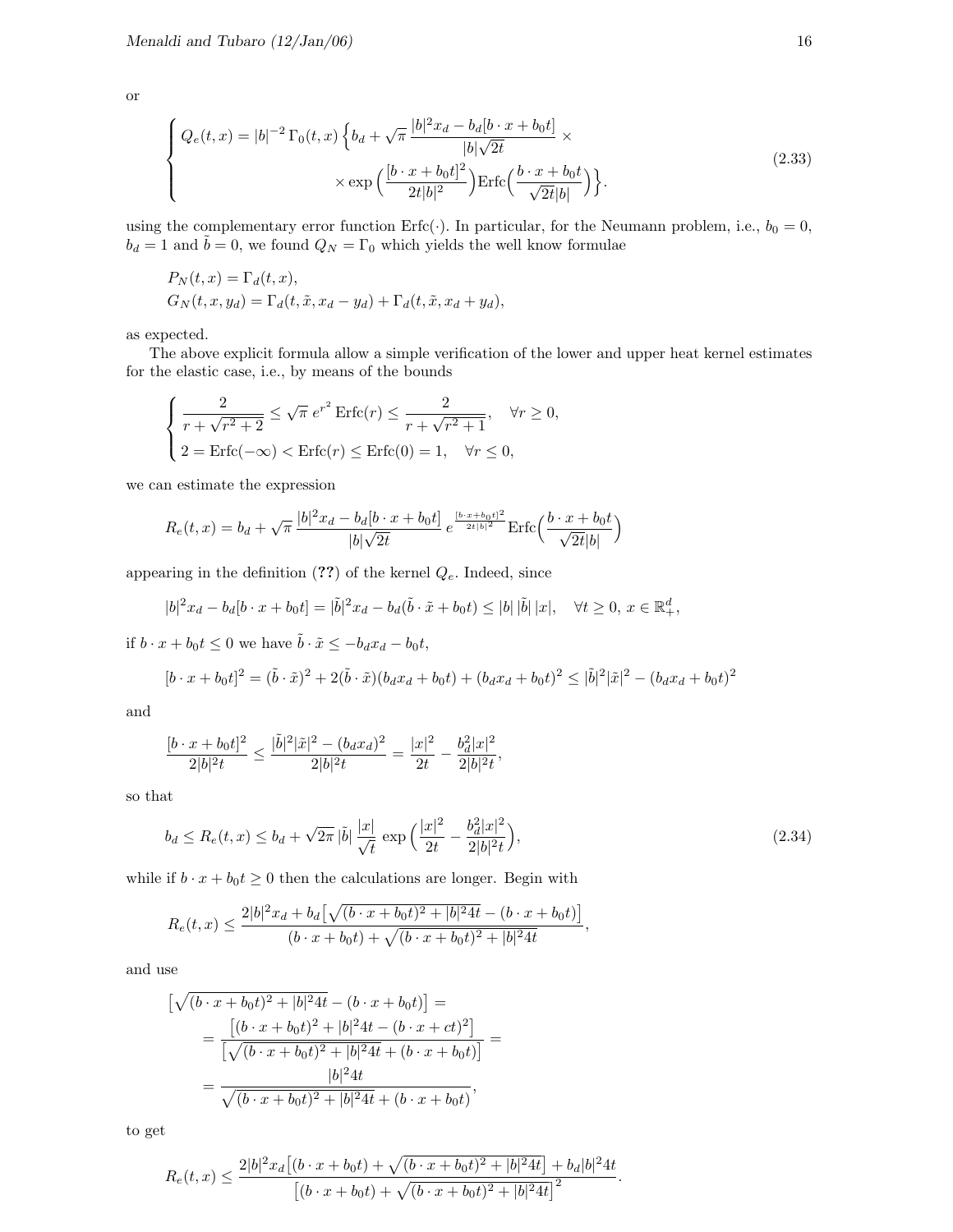or

$$
\begin{cases}\nQ_e(t,x) = |b|^{-2} \Gamma_0(t,x) \left\{ b_d + \sqrt{\pi} \frac{|b|^2 x_d - b_d [b \cdot x + b_0 t]}{|b| \sqrt{2t}} \times \right. \\
\left. \times \exp\left(\frac{|b \cdot x + b_0 t|^2}{2t |b|^2}\right) \mathrm{Erfc}\left(\frac{b \cdot x + b_0 t}{\sqrt{2t} |b|}\right) \right\}.\n\end{cases} \tag{2.33}
$$

using the complementary error function Erfc(·). In particular, for the Neumann problem, i.e.,  $b_0 = 0$ ,  $b_d = 1$  and  $\tilde{b} = 0$ , we found  $Q_N = \Gamma_0$  which yields the well know formulae

$$
P_N(t, x) = \Gamma_d(t, x),
$$
  
\n
$$
G_N(t, x, y_d) = \Gamma_d(t, \tilde{x}, x_d - y_d) + \Gamma_d(t, \tilde{x}, x_d + y_d),
$$

as expected.

The above explicit formula allow a simple verification of the lower and upper heat kernel estimates for the elastic case, i.e., by means of the bounds

$$
\begin{cases} \frac{2}{r + \sqrt{r^2 + 2}} \le \sqrt{\pi} e^{r^2} \operatorname{Erfc}(r) \le \frac{2}{r + \sqrt{r^2 + 1}}, \quad \forall r \ge 0, \\ 2 = \operatorname{Erfc}(-\infty) < \operatorname{Erfc}(r) \le \operatorname{Erfc}(0) = 1, \quad \forall r \le 0, \end{cases}
$$

we can estimate the expression

$$
R_e(t,x) = b_d + \sqrt{\pi} \frac{|b|^2 x_d - b_d [b \cdot x + b_0 t]}{|b| \sqrt{2t}} e^{\frac{[b \cdot x + b_0 t]^2}{2t |b|^2}} \operatorname{Erfc}\left(\frac{b \cdot x + b_0 t}{\sqrt{2t} |b|}\right)
$$

appearing in the definition  $(??)$  of the kernel  $Q_e$ . Indeed, since

$$
|b|^2 x_d - b_d [b \cdot x + b_0 t] = |\tilde{b}|^2 x_d - b_d (\tilde{b} \cdot \tilde{x} + b_0 t) \le |b| |\tilde{b}| |x|, \quad \forall t \ge 0, \ x \in \mathbb{R}^d_+,
$$

if  $b \cdot x + b_0 t \leq 0$  we have  $\tilde{b} \cdot \tilde{x} \leq -b_d x_d - b_0 t$ ,

$$
[b \cdot x + b_0 t]^2 = (\tilde{b} \cdot \tilde{x})^2 + 2(\tilde{b} \cdot \tilde{x})(b_d x_d + b_0 t) + (b_d x_d + b_0 t)^2 \leq |\tilde{b}|^2 |\tilde{x}|^2 - (b_d x_d + b_0 t)^2
$$

and

$$
\frac{[b \cdot x + b_0 t]^2}{2|b|^2 t} \le \frac{|\tilde{b}|^2 |\tilde{x}|^2 - (b_d x_d)^2}{2|b|^2 t} = \frac{|x|^2}{2t} - \frac{b_d^2 |x|^2}{2|b|^2 t},
$$

so that

$$
b_d \le R_e(t, x) \le b_d + \sqrt{2\pi} |\tilde{b}| \frac{|x|}{\sqrt{t}} \exp\left(\frac{|x|^2}{2t} - \frac{b_d^2 |x|^2}{2|b|^2 t}\right),\tag{2.34}
$$

,

while if  $b \cdot x + b_0 t \ge 0$  then the calculations are longer. Begin with

$$
R_e(t,x) \le \frac{2|b|^2x_d + b_d\left[\sqrt{(b\cdot x + b_0t)^2 + |b|^2 4t} - (b\cdot x + b_0t)\right]}{(b\cdot x + b_0t) + \sqrt{(b\cdot x + b_0t)^2 + |b|^2 4t}}
$$

and use

$$
\left[\sqrt{(b \cdot x + b_0 t)^2 + |b|^2 4t} - (b \cdot x + b_0 t)\right] =
$$
\n
$$
= \frac{\left[(b \cdot x + b_0 t)^2 + |b|^2 4t - (b \cdot x + ct)^2\right]}{\left[\sqrt{(b \cdot x + b_0 t)^2 + |b|^2 4t} + (b \cdot x + b_0 t)\right]} =
$$
\n
$$
= \frac{|b|^2 4t}{\sqrt{(b \cdot x + b_0 t)^2 + |b|^2 4t} + (b \cdot x + b_0 t)},
$$

to get

$$
R_e(t,x) \le \frac{2|b|^2x_d\big[(b\cdot x + b_0t) + \sqrt{(b\cdot x + b_0t)^2 + |b|^24t}\big] + b_d|b|^24t}{\big[(b\cdot x + b_0t) + \sqrt{(b\cdot x + b_0t)^2 + |b|^24t}\big]^2}.
$$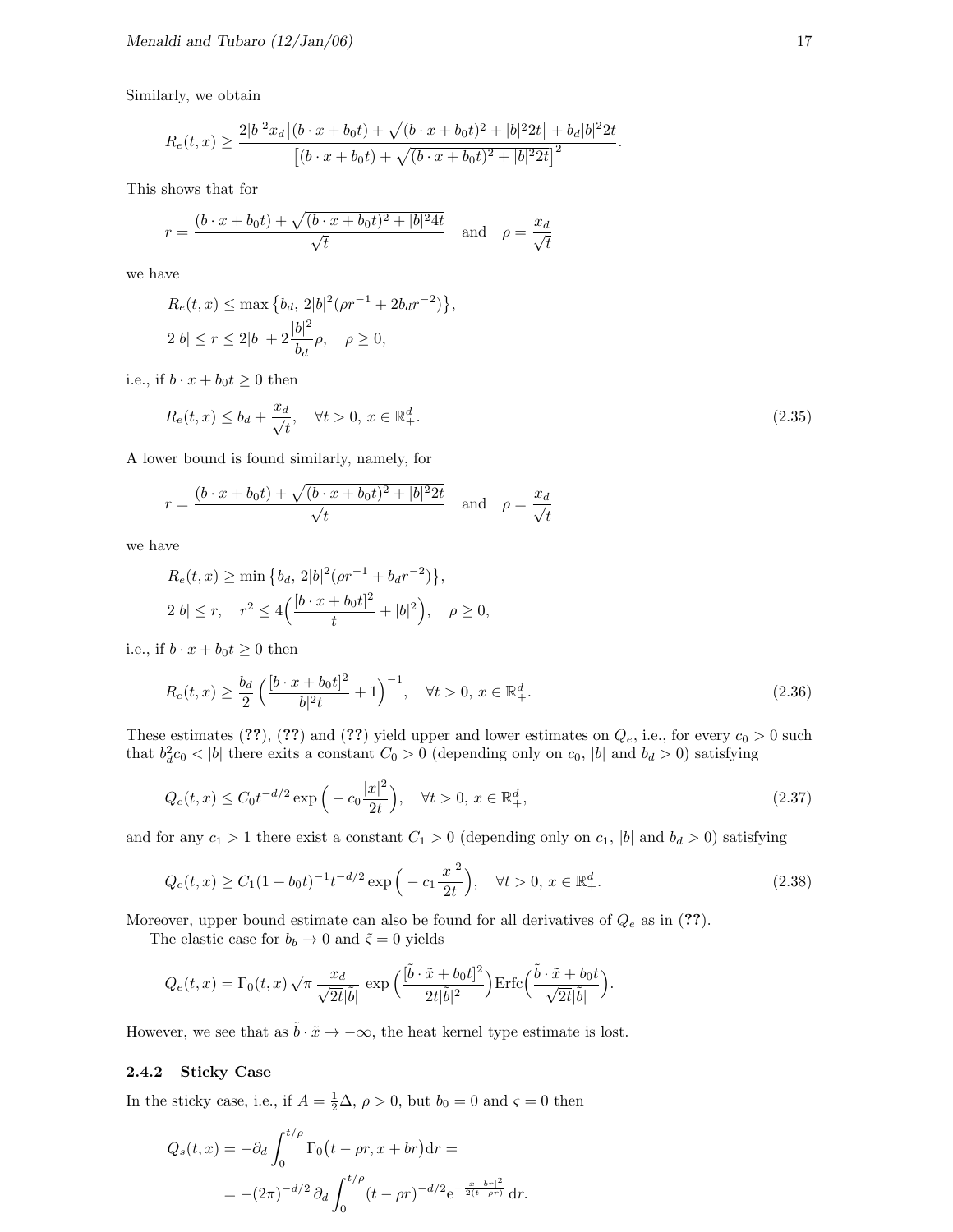Similarly, we obtain

$$
R_e(t,x) \ge \frac{2|b|^2x_d[(b \cdot x + b_0t) + \sqrt{(b \cdot x + b_0t)^2 + |b|^22t}]+b_d|b|^22t}{[(b \cdot x + b_0t) + \sqrt{(b \cdot x + b_0t)^2 + |b|^22t}]^2}.
$$

This shows that for

$$
r = \frac{(b \cdot x + b_0 t) + \sqrt{(b \cdot x + b_0 t)^2 + |b|^2 4t}}{\sqrt{t}} \quad \text{and} \quad \rho = \frac{x_d}{\sqrt{t}}
$$

we have

$$
R_e(t, x) \le \max\left\{b_d, 2|b|^2(\rho r^{-1} + 2b_d r^{-2})\right\},\
$$
  
2|b| \le r \le 2|b| + 2\frac{|b|^2}{b\_d}\rho, \quad \rho \ge 0,

i.e., if  $b \cdot x + b_0 t \geq 0$  then

$$
R_e(t, x) \le b_d + \frac{x_d}{\sqrt{t}}, \quad \forall t > 0, \ x \in \mathbb{R}^d_+.
$$
\n
$$
(2.35)
$$

A lower bound is found similarly, namely, for

$$
r = \frac{(b \cdot x + b_0 t) + \sqrt{(b \cdot x + b_0 t)^2 + |b|^2 2t}}{\sqrt{t}} \quad \text{and} \quad \rho = \frac{x_d}{\sqrt{t}}
$$

we have

$$
R_e(t, x) \ge \min \{b_d, 2|b|^2(\rho r^{-1} + b_d r^{-2})\},
$$
  
 
$$
2|b| \le r, \quad r^2 \le 4\Big(\frac{[b \cdot x + b_0 t]^2}{t} + |b|^2\Big), \quad \rho \ge 0,
$$

i.e., if  $b \cdot x + b_0 t \geq 0$  then

$$
R_e(t,x) \ge \frac{b_d}{2} \left( \frac{[b \cdot x + b_0 t]^2}{|b|^2 t} + 1 \right)^{-1}, \quad \forall t > 0, \ x \in \mathbb{R}_+^d.
$$
 (2.36)

These estimates (??), (??) and (??) yield upper and lower estimates on  $Q_e$ , i.e., for every  $c_0 > 0$  such that  $b_d^2 c_0 < |b|$  there exits a constant  $C_0 > 0$  (depending only on  $c_0$ ,  $|b|$  and  $b_d > 0$ ) satisfying

$$
Q_e(t, x) \le C_0 t^{-d/2} \exp\left(-c_0 \frac{|x|^2}{2t}\right), \quad \forall t > 0, \ x \in \mathbb{R}^d_+,
$$
\n(2.37)

and for any  $c_1 > 1$  there exist a constant  $C_1 > 0$  (depending only on  $c_1$ , |b| and  $b_d > 0$ ) satisfying

$$
Q_e(t,x) \ge C_1 (1+b_0 t)^{-1} t^{-d/2} \exp\left(-c_1 \frac{|x|^2}{2t}\right), \quad \forall t > 0, \, x \in \mathbb{R}_+^d.
$$

Moreover, upper bound estimate can also be found for all derivatives of  $Q_e$  as in (??).

The elastic case for  $b_b \to 0$  and  $\tilde{\varsigma} = 0$  yields

$$
Q_e(t,x) = \Gamma_0(t,x)\sqrt{\pi} \frac{x_d}{\sqrt{2t}|\tilde{b}|} \exp\Big(\frac{[\tilde{b}\cdot \tilde{x} + b_0t]^2}{2t|\tilde{b}|^2}\Big) \mathrm{Erfc}\Big(\frac{\tilde{b}\cdot \tilde{x} + b_0t}{\sqrt{2t}|\tilde{b}|}\Big).
$$

However, we see that as  $\tilde{b} \cdot \tilde{x} \to -\infty$ , the heat kernel type estimate is lost.

#### 2.4.2 Sticky Case

In the sticky case, i.e., if  $A = \frac{1}{2}\Delta$ ,  $\rho > 0$ , but  $b_0 = 0$  and  $\varsigma = 0$  then

$$
Q_s(t,x) = -\partial_d \int_0^{t/\rho} \Gamma_0(t - \rho r, x + br) dr =
$$
  
= -(2\pi)^{-d/2} \partial\_d \int\_0^{t/\rho} (t - \rho r)^{-d/2} e^{-\frac{|x - br|^2}{2(t - \rho r)}} dr.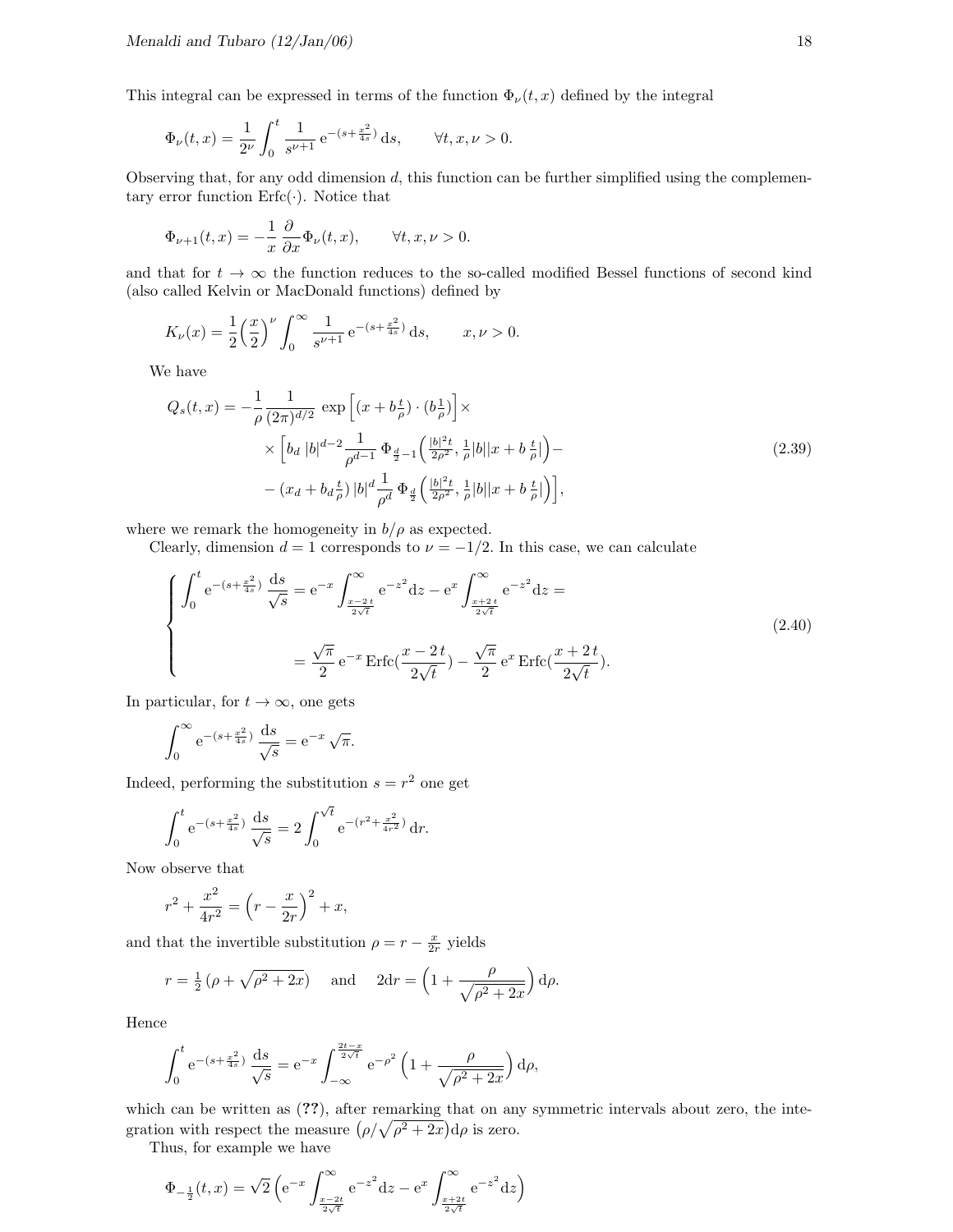This integral can be expressed in terms of the function  $\Phi_{\nu}(t, x)$  defined by the integral

$$
\Phi_{\nu}(t,x) = \frac{1}{2^{\nu}} \int_0^t \frac{1}{s^{\nu+1}} e^{-(s + \frac{x^2}{4s})} ds, \quad \forall t, x, \nu > 0.
$$

Observing that, for any odd dimension  $d$ , this function can be further simplified using the complementary error function  $\text{Erfc}(\cdot)$ . Notice that

$$
\Phi_{\nu+1}(t,x) = -\frac{1}{x} \frac{\partial}{\partial x} \Phi_{\nu}(t,x), \qquad \forall t, x, \nu > 0.
$$

and that for  $t \to \infty$  the function reduces to the so-called modified Bessel functions of second kind (also called Kelvin or MacDonald functions) defined by

$$
K_{\nu}(x) = \frac{1}{2} \left(\frac{x}{2}\right)^{\nu} \int_0^{\infty} \frac{1}{s^{\nu+1}} e^{-(s + \frac{x^2}{4s})} ds, \qquad x, \nu > 0.
$$

We have

$$
Q_s(t,x) = -\frac{1}{\rho} \frac{1}{(2\pi)^{d/2}} \exp\left[ (x + b\frac{t}{\rho}) \cdot (b\frac{1}{\rho}) \right] \times
$$
  
 
$$
\times \left[ b_d |b|^{d-2} \frac{1}{\rho^{d-1}} \Phi_{\frac{d}{2}-1} \left( \frac{|b|^2 t}{2\rho^2}, \frac{1}{\rho} |b| |x + b\frac{t}{\rho} | \right) -
$$
  
 
$$
- (x_d + b_d \frac{t}{\rho}) |b|^d \frac{1}{\rho^d} \Phi_{\frac{d}{2}} \left( \frac{|b|^2 t}{2\rho^2}, \frac{1}{\rho} |b| |x + b\frac{t}{\rho} | \right) \right],
$$
 (2.39)

where we remark the homogeneity in  $b/\rho$  as expected.

Clearly, dimension  $d = 1$  corresponds to  $\nu = -1/2$ . In this case, we can calculate

$$
\begin{cases}\n\int_0^t e^{-(s+\frac{x^2}{4s})} \frac{ds}{\sqrt{s}} = e^{-x} \int_{\frac{x-2t}{2\sqrt{t}}}^{\infty} e^{-z^2} dz - e^x \int_{\frac{x+2t}{2\sqrt{t}}}^{\infty} e^{-z^2} dz = \\
= \frac{\sqrt{\pi}}{2} e^{-x} \operatorname{Erfc}(\frac{x-2t}{2\sqrt{t}}) - \frac{\sqrt{\pi}}{2} e^x \operatorname{Erfc}(\frac{x+2t}{2\sqrt{t}}).\n\end{cases}
$$
\n(2.40)

In particular, for  $t \to \infty$ , one gets

$$
\int_0^{\infty} e^{-(s + \frac{x^2}{4s})} \frac{ds}{\sqrt{s}} = e^{-x} \sqrt{\pi}.
$$

Indeed, performing the substitution  $s = r^2$  one get

$$
\int_0^t e^{-(s+\frac{x^2}{4s})} \frac{ds}{\sqrt{s}} = 2 \int_0^{\sqrt{t}} e^{-(r^2+\frac{x^2}{4r^2})} dr.
$$

Now observe that

$$
r^{2} + \frac{x^{2}}{4r^{2}} = \left(r - \frac{x}{2r}\right)^{2} + x,
$$

and that the invertible substitution  $\rho = r - \frac{x}{2r}$  yields

$$
r = \frac{1}{2} (\rho + \sqrt{\rho^2 + 2x})
$$
 and  $2dr = \left(1 + \frac{\rho}{\sqrt{\rho^2 + 2x}}\right) d\rho$ .

Hence

$$
\int_0^t e^{-(s+\frac{x^2}{4s})} \frac{ds}{\sqrt{s}} = e^{-x} \int_{-\infty}^{\frac{2t-x}{2\sqrt{t}}} e^{-\rho^2} \left(1 + \frac{\rho}{\sqrt{\rho^2 + 2x}}\right) d\rho,
$$

which can be written as  $(??)$ , after remarking that on any symmetric intervals about zero, the integration with respect the measure  $(\rho/\sqrt{\rho^2+2x})d\rho$  is zero.

Thus, for example we have

$$
\Phi_{-\frac{1}{2}}(t,x) = \sqrt{2} \left( e^{-x} \int_{\frac{x-2t}{2\sqrt{t}}}^{\infty} e^{-z^2} dz - e^x \int_{\frac{x+2t}{2\sqrt{t}}}^{\infty} e^{-z^2} dz \right)
$$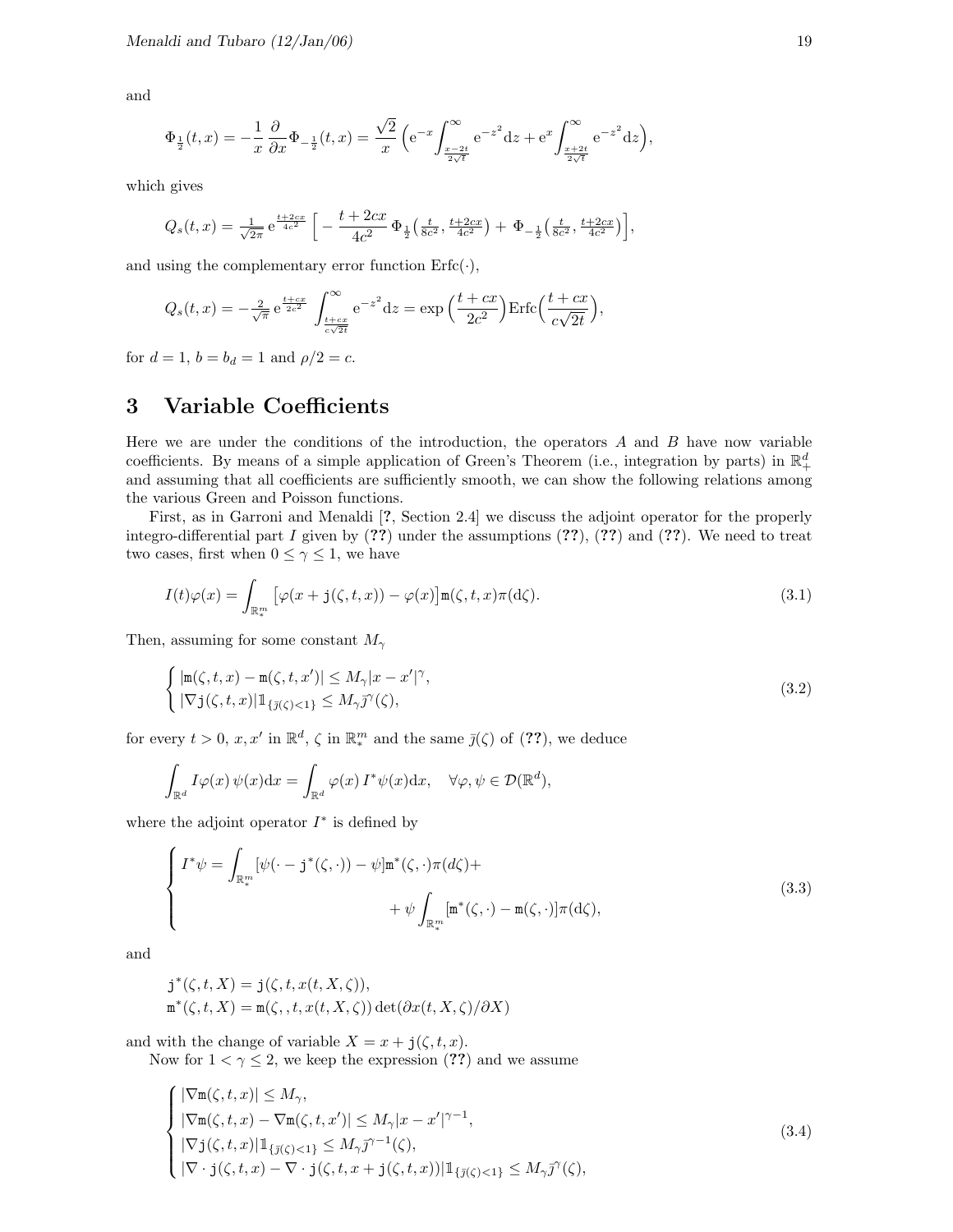and

$$
\Phi_{\frac{1}{2}}(t,x) = -\frac{1}{x} \frac{\partial}{\partial x} \Phi_{-\frac{1}{2}}(t,x) = \frac{\sqrt{2}}{x} \left( e^{-x} \int_{\frac{x-2t}{2\sqrt{t}}}^{\infty} e^{-z^2} dz + e^x \int_{\frac{x+2t}{2\sqrt{t}}}^{\infty} e^{-z^2} dz \right),
$$

which gives

$$
Q_s(t,x) = \frac{1}{\sqrt{2\pi}} e^{\frac{t+2cx}{4c^2}} \left[ -\frac{t+2cx}{4c^2} \Phi_{\frac{1}{2}}\left(\frac{t}{8c^2}, \frac{t+2cx}{4c^2}\right) + \Phi_{-\frac{1}{2}}\left(\frac{t}{8c^2}, \frac{t+2cx}{4c^2}\right) \right],
$$

and using the complementary error function  $\text{Erfc}(\cdot)$ ,

$$
Q_s(t,x) = -\frac{2}{\sqrt{\pi}} e^{\frac{t+cx}{2c^2}} \int_{\frac{t+cx}{c\sqrt{2t}}}^{\infty} e^{-z^2} dz = \exp\left(\frac{t+cx}{2c^2}\right) \text{Erfc}\left(\frac{t+cx}{c\sqrt{2t}}\right),
$$

for  $d = 1$ ,  $b = b_d = 1$  and  $\rho/2 = c$ .

## 3 Variable Coefficients

Here we are under the conditions of the introduction, the operators  $A$  and  $B$  have now variable coefficients. By means of a simple application of Green's Theorem (i.e., integration by parts) in  $\mathbb{R}^d_+$ and assuming that all coefficients are sufficiently smooth, we can show the following relations among the various Green and Poisson functions.

First, as in Garroni and Menaldi [?, Section 2.4] we discuss the adjoint operator for the properly integro-differential part I given by  $(??)$  under the assumptions  $(??)$ ,  $(??)$  and  $(??)$ . We need to treat two cases, first when  $0 \leq \gamma \leq 1$ , we have

$$
I(t)\varphi(x) = \int_{\mathbb{R}^m_*} \left[ \varphi(x + \mathbf{j}(\zeta, t, x)) - \varphi(x) \right] \mathbf{m}(\zeta, t, x) \pi(\mathrm{d}\zeta). \tag{3.1}
$$

Then, assuming for some constant  $M_{\gamma}$ 

$$
\begin{cases} |\mathbf{m}(\zeta, t, x) - \mathbf{m}(\zeta, t, x')| \le M_{\gamma} |x - x'|^{\gamma}, \\ |\nabla \mathbf{j}(\zeta, t, x)| \mathbb{1}_{\{\overline{\jmath}(\zeta) < 1\}} \le M_{\gamma} \overline{\jmath}^{\gamma}(\zeta), \end{cases} \tag{3.2}
$$

for every  $t > 0$ ,  $x, x'$  in  $\mathbb{R}^d$ ,  $\zeta$  in  $\mathbb{R}^m$  and the same  $\bar{j}(\zeta)$  of  $(??)$ , we deduce

$$
\int_{\mathbb{R}^d} I\varphi(x)\,\psi(x)dx = \int_{\mathbb{R}^d} \varphi(x)\,I^*\psi(x)dx, \quad \forall \varphi, \psi \in \mathcal{D}(\mathbb{R}^d),
$$

where the adjoint operator  $I^*$  is defined by

$$
\begin{cases}\nI^*\psi = \int_{\mathbb{R}_*^m} [\psi(\cdot - \mathbf{j}^*(\zeta, \cdot)) - \psi] \mathbf{m}^*(\zeta, \cdot) \pi(d\zeta) + \\
+ \psi \int_{\mathbb{R}_*^m} [\mathbf{m}^*(\zeta, \cdot) - \mathbf{m}(\zeta, \cdot)] \pi(d\zeta),\n\end{cases} \tag{3.3}
$$

and

$$
\begin{aligned} \mathbf{j}^*(\zeta, t, X) &= \mathbf{j}(\zeta, t, x(t, X, \zeta)), \\ \mathbf{m}^*(\zeta, t, X) &= \mathbf{m}(\zeta, t, x(t, X, \zeta)) \det(\partial x(t, X, \zeta)/\partial X) \end{aligned}
$$

and with the change of variable  $X = x + j(\zeta, t, x)$ .

Now for  $1 < \gamma \leq 2$ , we keep the expression (??) and we assume

$$
\begin{cases}\n|\nabla \mathbf{m}(\zeta, t, x)| \le M_{\gamma}, \\
|\nabla \mathbf{m}(\zeta, t, x) - \nabla \mathbf{m}(\zeta, t, x')| \le M_{\gamma} |x - x'|^{\gamma - 1}, \\
|\nabla \mathbf{j}(\zeta, t, x)| \mathbb{1}_{\{\bar{\jmath}(\zeta) < 1\}} \le M_{\gamma} \bar{\jmath}^{\gamma - 1}(\zeta), \\
|\nabla \cdot \mathbf{j}(\zeta, t, x) - \nabla \cdot \mathbf{j}(\zeta, t, x + \mathbf{j}(\zeta, t, x))| \mathbb{1}_{\{\bar{\jmath}(\zeta) < 1\}} \le M_{\gamma} \bar{\jmath}^{\gamma}(\zeta),\n\end{cases} \tag{3.4}
$$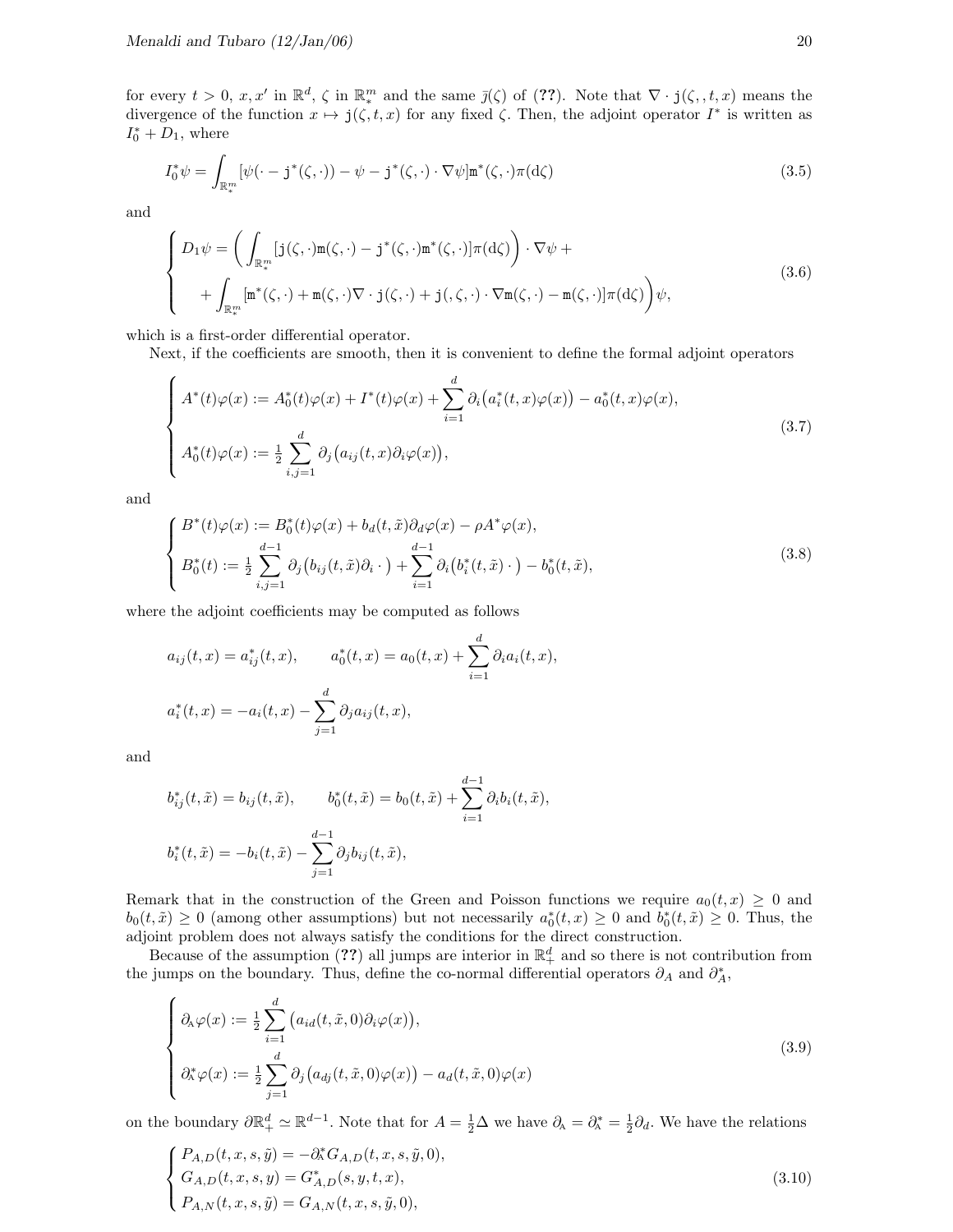for every  $t > 0$ ,  $x, x'$  in  $\mathbb{R}^d$ ,  $\zeta$  in  $\mathbb{R}^m$  and the same  $\bar{\jmath}(\zeta)$  of (??). Note that  $\nabla \cdot \mathbf{j}(\zeta, t, x)$  means the divergence of the function  $x \mapsto j(\zeta, t, x)$  for any fixed  $\zeta$ . Then, the adjoint operator  $I^*$  is written as  $I_0^* + D_1$ , where

$$
I_0^* \psi = \int_{\mathbb{R}_*^m} [\psi(\cdot - \mathbf{j}^*(\zeta, \cdot)) - \psi - \mathbf{j}^*(\zeta, \cdot) \cdot \nabla \psi] \mathbf{m}^*(\zeta, \cdot) \pi(\mathrm{d}\zeta)
$$
(3.5)

and

$$
\begin{cases}\nD_1 \psi = \left( \int_{\mathbb{R}_*^m} [j(\zeta, \cdot) \mathbf{m}(\zeta, \cdot) - j^*(\zeta, \cdot) \mathbf{m}^*(\zeta, \cdot)] \pi(\mathrm{d}\zeta) \right) \cdot \nabla \psi + \\
\quad + \int_{\mathbb{R}_*^m} [\mathbf{m}^*(\zeta, \cdot) + \mathbf{m}(\zeta, \cdot) \nabla \cdot j(\zeta, \cdot) + j(\zeta, \cdot) \cdot \nabla \mathbf{m}(\zeta, \cdot) - \mathbf{m}(\zeta, \cdot)] \pi(\mathrm{d}\zeta) \right) \psi,\n\end{cases} \tag{3.6}
$$

which is a first-order differential operator.

Next, if the coefficients are smooth, then it is convenient to define the formal adjoint operators

$$
\begin{cases}\nA^*(t)\varphi(x) := A_0^*(t)\varphi(x) + I^*(t)\varphi(x) + \sum_{i=1}^d \partial_i(a_i^*(t, x)\varphi(x)) - a_0^*(t, x)\varphi(x), \\
A_0^*(t)\varphi(x) := \frac{1}{2} \sum_{i,j=1}^d \partial_j(a_{ij}(t, x)\partial_i\varphi(x)),\n\end{cases} \tag{3.7}
$$

and

$$
\begin{cases}\nB^*(t)\varphi(x) := B_0^*(t)\varphi(x) + b_d(t,\tilde{x})\partial_d\varphi(x) - \rho A^*\varphi(x), \\
B_0^*(t) := \frac{1}{2}\sum_{i,j=1}^{d-1} \partial_j(b_{ij}(t,\tilde{x})\partial_i \cdot) + \sum_{i=1}^{d-1} \partial_i(b_i^*(t,\tilde{x}) \cdot) - b_0^*(t,\tilde{x}),\n\end{cases} (3.8)
$$

where the adjoint coefficients may be computed as follows

$$
a_{ij}(t,x) = a_{ij}^*(t,x), \qquad a_0^*(t,x) = a_0(t,x) + \sum_{i=1}^d \partial_i a_i(t,x),
$$
  

$$
a_i^*(t,x) = -a_i(t,x) - \sum_{j=1}^d \partial_j a_{ij}(t,x),
$$

and

$$
b_{ij}^*(t, \tilde{x}) = b_{ij}(t, \tilde{x}), \qquad b_0^*(t, \tilde{x}) = b_0(t, \tilde{x}) + \sum_{i=1}^{d-1} \partial_i b_i(t, \tilde{x}),
$$
  

$$
b_i^*(t, \tilde{x}) = -b_i(t, \tilde{x}) - \sum_{j=1}^{d-1} \partial_j b_{ij}(t, \tilde{x}),
$$

Remark that in the construction of the Green and Poisson functions we require  $a_0(t, x) \geq 0$  and  $b_0(t, \tilde{x}) \geq 0$  (among other assumptions) but not necessarily  $a_0^*(t, x) \geq 0$  and  $b_0^*(t, \tilde{x}) \geq 0$ . Thus, the adjoint problem does not always satisfy the conditions for the direct construction.

Because of the assumption (??) all jumps are interior in  $\mathbb{R}^d_+$  and so there is not contribution from the jumps on the boundary. Thus, define the co-normal differential operators  $\partial_A$  and  $\partial_A^*$ ,

$$
\begin{cases}\n\partial_{\mathbf{A}}\varphi(x) := \frac{1}{2} \sum_{i=1}^{d} \left( a_{id}(t, \tilde{x}, 0) \partial_{i} \varphi(x) \right), \\
\partial_{\mathbf{A}}^{*} \varphi(x) := \frac{1}{2} \sum_{j=1}^{d} \partial_{j} \left( a_{dj}(t, \tilde{x}, 0) \varphi(x) \right) - a_{d}(t, \tilde{x}, 0) \varphi(x)\n\end{cases}
$$
\n(3.9)

on the boundary  $\partial \mathbb{R}^d_+ \simeq \mathbb{R}^{d-1}$ . Note that for  $A = \frac{1}{2}\Delta$  we have  $\partial_A = \partial_A^* = \frac{1}{2}\partial_d$ . We have the relations

$$
\begin{cases}\nP_{A,D}(t,x,s,\tilde{y}) = -\partial_{A}^{*}G_{A,D}(t,x,s,\tilde{y},0), \\
G_{A,D}(t,x,s,y) = G_{A,D}^{*}(s,y,t,x), \\
P_{A,N}(t,x,s,\tilde{y}) = G_{A,N}(t,x,s,\tilde{y},0),\n\end{cases}
$$
\n(3.10)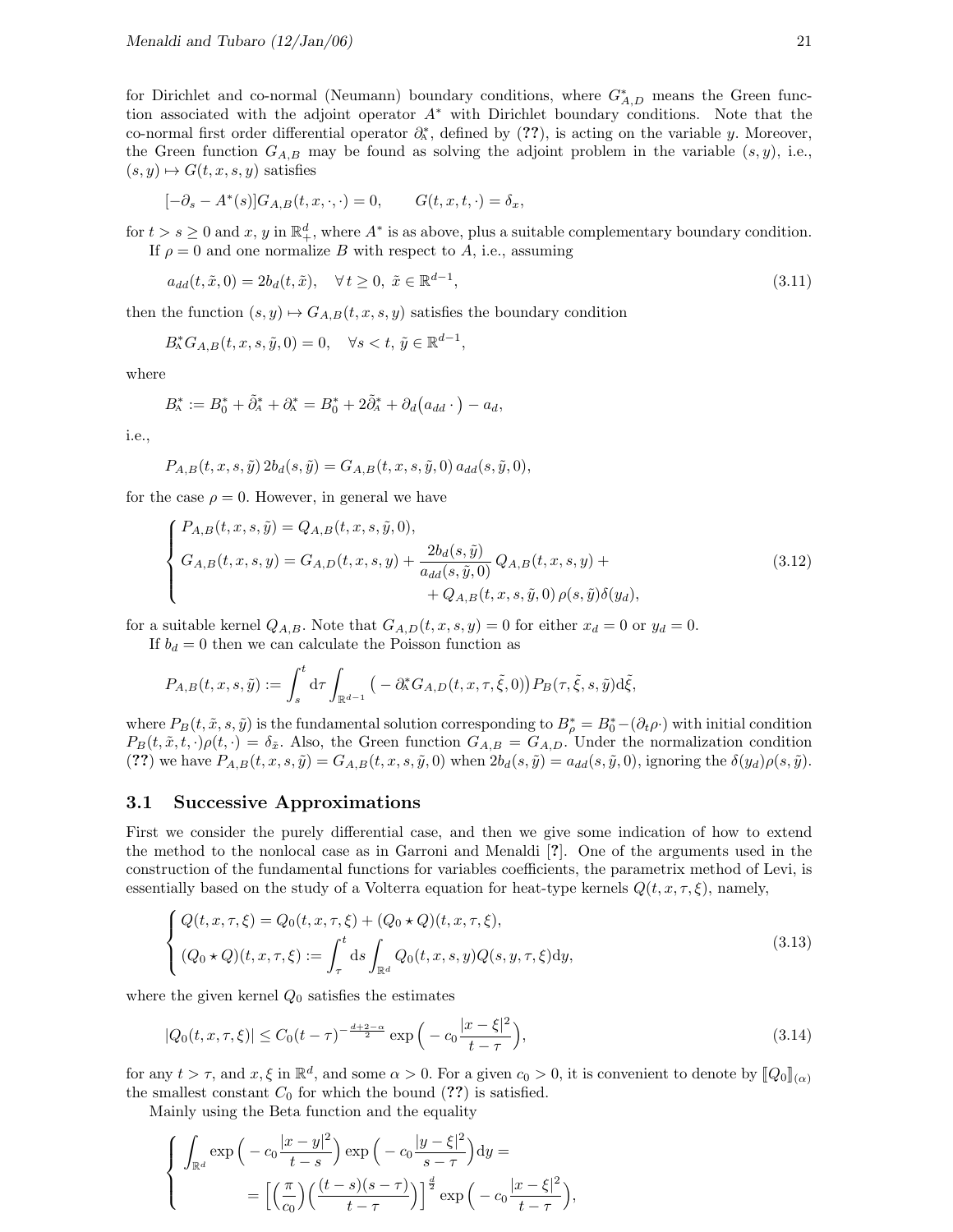for Dirichlet and co-normal (Neumann) boundary conditions, where  $G_{A,D}^*$  means the Green function associated with the adjoint operator A<sup>∗</sup> with Dirichlet boundary conditions. Note that the co-normal first order differential operator  $\partial_{A}^{*}$ , defined by (??), is acting on the variable y. Moreover, the Green function  $G_{A,B}$  may be found as solving the adjoint problem in the variable  $(s, y)$ , i.e.,  $(s, y) \mapsto G(t, x, s, y)$  satisfies

$$
[-\partial_s - A^*(s)]G_{A,B}(t, x, \cdot, \cdot) = 0, \qquad G(t, x, t, \cdot) = \delta_x,
$$

for  $t > s \geq 0$  and  $x, y$  in  $\mathbb{R}^d_+$ , where  $A^*$  is as above, plus a suitable complementary boundary condition. If  $\rho = 0$  and one normalize B with respect to A, i.e., assuming

$$
a_{dd}(t, \tilde{x}, 0) = 2b_d(t, \tilde{x}), \quad \forall t \ge 0, \ \tilde{x} \in \mathbb{R}^{d-1},
$$
\n(3.11)

then the function  $(s, y) \mapsto G_{A,B}(t, x, s, y)$  satisfies the boundary condition

$$
B_{\mathcal{A}}^* G_{A,B}(t,x,s,\tilde{y},0) = 0, \quad \forall s < t, \, \tilde{y} \in \mathbb{R}^{d-1},
$$

where

$$
B_{\!A}^* := B_0^* + \tilde{\partial}_A^* + \partial_{\!A}^* = B_0^* + 2\tilde{\partial}_A^* + \partial_d (a_{dd} \cdot) - a_d,
$$

i.e.,

$$
P_{A,B}(t, x, s, \tilde{y}) 2b_d(s, \tilde{y}) = G_{A,B}(t, x, s, \tilde{y}, 0) a_{dd}(s, \tilde{y}, 0),
$$

for the case  $\rho = 0$ . However, in general we have

$$
\begin{cases}\nP_{A,B}(t,x,s,\tilde{y}) = Q_{A,B}(t,x,s,\tilde{y},0), \\
G_{A,B}(t,x,s,y) = G_{A,D}(t,x,s,y) + \frac{2b_d(s,\tilde{y})}{a_{dd}(s,\tilde{y},0)} Q_{A,B}(t,x,s,y) + \\
+ Q_{A,B}(t,x,s,\tilde{y},0) \rho(s,\tilde{y}) \delta(y_d),\n\end{cases}
$$
\n(3.12)

for a suitable kernel  $Q_{A,B}$ . Note that  $G_{A,D}(t, x, s, y) = 0$  for either  $x_d = 0$  or  $y_d = 0$ .

If  $b_d = 0$  then we can calculate the Poisson function as

$$
P_{A,B}(t,x,s,\tilde{y}) := \int_s^t d\tau \int_{\mathbb{R}^{d-1}} \big(-\partial_A^* G_{A,D}(t,x,\tau,\tilde{\xi},0)\big) P_B(\tau,\tilde{\xi},s,\tilde{y}) d\tilde{\xi},
$$

where  $P_B(t, \tilde{x}, s, \tilde{y})$  is the fundamental solution corresponding to  $B^*_{\rho} = B^*_{0} - (\partial_t \rho)$  with initial condition  $P_B(t, \tilde{x}, t, \cdot) \rho(t, \cdot) = \delta_{\tilde{x}}$ . Also, the Green function  $G_{A,B} = G_{A,D}$ . Under the normalization condition (??) we have  $P_{A,B}(t, x, s, \tilde{y}) = G_{A,B}(t, x, s, \tilde{y}, 0)$  when  $2b_d(s, \tilde{y}) = a_{dd}(s, \tilde{y}, 0)$ , ignoring the  $\delta(y_d)\rho(s, \tilde{y})$ .

#### 3.1 Successive Approximations

First we consider the purely differential case, and then we give some indication of how to extend the method to the nonlocal case as in Garroni and Menaldi [?]. One of the arguments used in the construction of the fundamental functions for variables coefficients, the parametrix method of Levi, is essentially based on the study of a Volterra equation for heat-type kernels  $Q(t, x, \tau, \xi)$ , namely,

$$
\begin{cases}\nQ(t, x, \tau, \xi) = Q_0(t, x, \tau, \xi) + (Q_0 \star Q)(t, x, \tau, \xi), \\
(Q_0 \star Q)(t, x, \tau, \xi) := \int_{\tau}^t ds \int_{\mathbb{R}^d} Q_0(t, x, s, y) Q(s, y, \tau, \xi) dy,\n\end{cases}
$$
\n(3.13)

where the given kernel  $Q_0$  satisfies the estimates

$$
|Q_0(t, x, \tau, \xi)| \le C_0 (t - \tau)^{-\frac{d+2-\alpha}{2}} \exp\left(-c_0 \frac{|x-\xi|^2}{t-\tau}\right),\tag{3.14}
$$

for any  $t > \tau$ , and  $x, \xi$  in  $\mathbb{R}^d$ , and some  $\alpha > 0$ . For a given  $c_0 > 0$ , it is convenient to denote by  $[\![Q_0]\!]_{(\alpha)}$ <br>the smallest constant  $C_t$  for which the bound (22) is estimated the smallest constant  $C_0$  for which the bound  $(??)$  is satisfied.

Mainly using the Beta function and the equality

$$
\begin{cases}\n\int_{\mathbb{R}^d} \exp\left(-c_0 \frac{|x-y|^2}{t-s}\right) \exp\left(-c_0 \frac{|y-\xi|^2}{s-\tau}\right) dy = \\
= \left[\left(\frac{\pi}{c_0}\right) \left(\frac{(t-s)(s-\tau)}{t-\tau}\right)\right]^{\frac{d}{2}} \exp\left(-c_0 \frac{|x-\xi|^2}{t-\tau}\right),\n\end{cases}
$$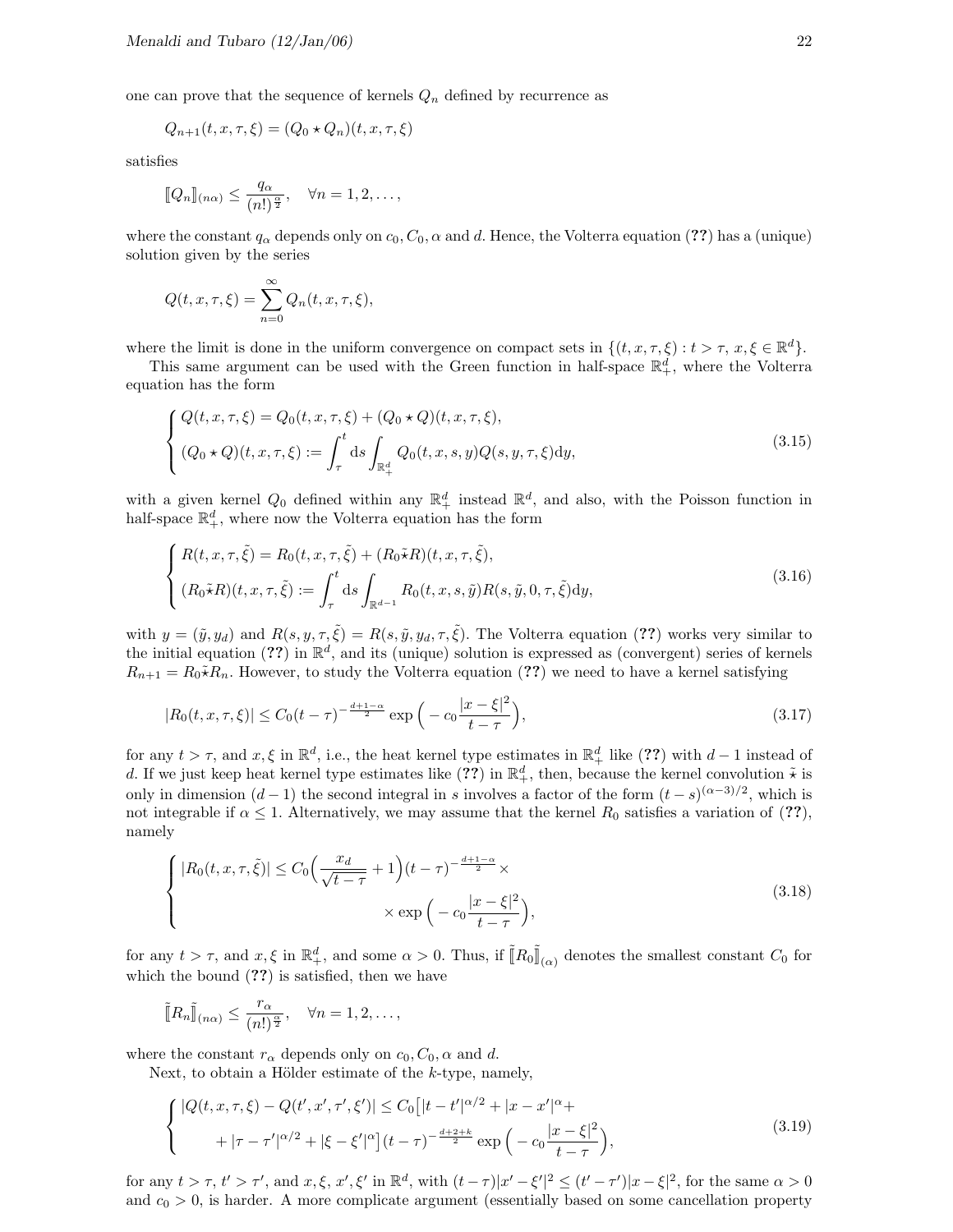one can prove that the sequence of kernels  $\mathbb{Q}_n$  defined by recurrence as

$$
Q_{n+1}(t, x, \tau, \xi) = (Q_0 \star Q_n)(t, x, \tau, \xi)
$$

satisfies

$$
[\![Q_n]\!]_{(n\alpha)} \leq \frac{q_\alpha}{(n!)^{\frac{\alpha}{2}}}, \quad \forall n = 1, 2, \ldots,
$$

where the constant  $q_\alpha$  depends only on  $c_0$ ,  $C_0$ ,  $\alpha$  and d. Hence, the Volterra equation (??) has a (unique) solution given by the series

$$
Q(t, x, \tau, \xi) = \sum_{n=0}^{\infty} Q_n(t, x, \tau, \xi),
$$

where the limit is done in the uniform convergence on compact sets in  $\{(t, x, \tau, \xi) : t > \tau, x, \xi \in \mathbb{R}^d\}.$ 

This same argument can be used with the Green function in half-space  $\mathbb{R}^d_+$ , where the Volterra equation has the form

$$
\begin{cases} Q(t, x, \tau, \xi) = Q_0(t, x, \tau, \xi) + (Q_0 \star Q)(t, x, \tau, \xi), \\ (Q_0 \star Q)(t, x, \tau, \xi) := \int_{\tau}^{t} ds \int_{\mathbb{R}^d_+} Q_0(t, x, s, y) Q(s, y, \tau, \xi) dy, \end{cases}
$$
(3.15)

with a given kernel  $Q_0$  defined within any  $\mathbb{R}^d_+$  instead  $\mathbb{R}^d$ , and also, with the Poisson function in half-space  $\mathbb{R}^d_+$ , where now the Volterra equation has the form

$$
\begin{cases}\nR(t, x, \tau, \tilde{\xi}) = R_0(t, x, \tau, \tilde{\xi}) + (R_0 \tilde{\star} R)(t, x, \tau, \tilde{\xi}), \\
(R_0 \tilde{\star} R)(t, x, \tau, \tilde{\xi}) := \int_{\tau}^t ds \int_{\mathbb{R}^{d-1}} R_0(t, x, s, \tilde{y}) R(s, \tilde{y}, 0, \tau, \tilde{\xi}) dy,\n\end{cases}
$$
\n(3.16)

with  $y = (\tilde{y}, y_d)$  and  $R(s, y, \tau, \tilde{\xi}) = R(s, \tilde{y}, y_d, \tau, \tilde{\xi})$ . The Volterra equation (??) works very similar to the initial equation (??) in  $\mathbb{R}^d$ , and its (unique) solution is expressed as (convergent) series of kernels  $R_{n+1} = R_0 \tilde{\star} R_n$ . However, to study the Volterra equation (??) we need to have a kernel satisfying

$$
|R_0(t, x, \tau, \xi)| \le C_0 (t - \tau)^{-\frac{d+1-\alpha}{2}} \exp\left(-c_0 \frac{|x-\xi|^2}{t-\tau}\right),\tag{3.17}
$$

for any  $t > \tau$ , and  $x, \xi$  in  $\mathbb{R}^d$ , i.e., the heat kernel type estimates in  $\mathbb{R}^d_+$  like (??) with  $d-1$  instead of d. If we just keep heat kernel type estimates like  $(??)$  in  $\mathbb{R}^d_+$ , then, because the kernel convolution  $\tilde{\star}$  is only in dimension  $(d-1)$  the second integral in s involves a factor of the form  $(t-s)^{(\alpha-3)/2}$ , which is not integrable if  $\alpha \leq 1$ . Alternatively, we may assume that the kernel  $R_0$  satisfies a variation of (??), namely

$$
\begin{cases} |R_0(t, x, \tau, \tilde{\xi})| \le C_0 \Big(\frac{x_d}{\sqrt{t - \tau}} + 1\Big)(t - \tau)^{-\frac{d+1-\alpha}{2}} \times \\ \times \exp\Big(-c_0 \frac{|x - \xi|^2}{t - \tau}\Big), \end{cases}
$$
(3.18)

for any  $t > \tau$ , and  $x, \xi$  in  $\mathbb{R}^d_+$ , and some  $\alpha > 0$ . Thus, if  $\tilde{[}R_0\tilde{[}]\$  $\mathbb{I}_{(\alpha)}$  denotes the smallest constant  $C_0$  for which the bound  $(??)$  is satisfied, then we have

$$
\tilde{\llbracket} R_n \tilde{\rrbracket}_{(n\alpha)} \le \frac{r_{\alpha}}{(n!)^{\frac{\alpha}{2}}}, \quad \forall n = 1, 2, \dots,
$$

where the constant  $r_{\alpha}$  depends only on  $c_0$ ,  $C_0$ ,  $\alpha$  and d.

Next, to obtain a Hölder estimate of the  $k$ -type, namely,

$$
\begin{cases} |Q(t, x, \tau, \xi) - Q(t', x', \tau', \xi')| \le C_0 \left[ |t - t'|^{\alpha/2} + |x - x'|^{\alpha} + |t - \tau'|^{\alpha/2} + |\tau - \tau'|^{\alpha/2} + |\xi - \xi'|^{\alpha} \right] (t - \tau)^{-\frac{d+2+k}{2}} \exp\left( -c_0 \frac{|x - \xi|^2}{t - \tau} \right), \end{cases} \tag{3.19}
$$

for any  $t > \tau$ ,  $t' > \tau'$ , and  $x, \xi, x', \xi'$  in  $\mathbb{R}^d$ , with  $(t - \tau)|x' - \xi'|^2 \le (t' - \tau')|x - \xi|^2$ , for the same  $\alpha > 0$ and  $c_0 > 0$ , is harder. A more complicate argument (essentially based on some cancellation property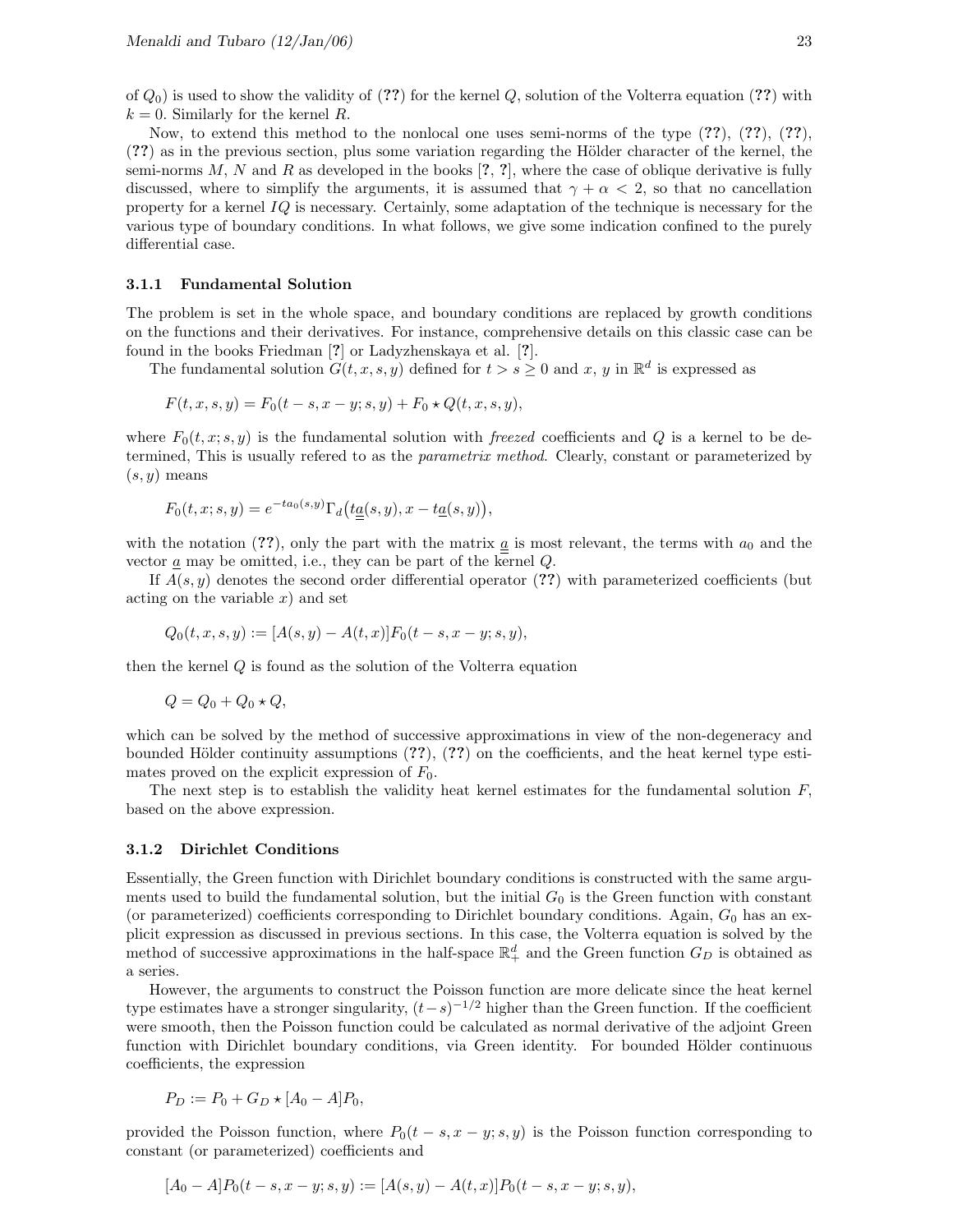of  $Q_0$ ) is used to show the validity of (??) for the kernel Q, solution of the Volterra equation (??) with  $k = 0$ . Similarly for the kernel R.

Now, to extend this method to the nonlocal one uses semi-norms of the type  $(??)$ ,  $(??)$ ,  $(??)$ , (??) as in the previous section, plus some variation regarding the Hölder character of the kernel, the semi-norms  $M, N$  and  $R$  as developed in the books [?, ?], where the case of oblique derivative is fully discussed, where to simplify the arguments, it is assumed that  $\gamma + \alpha < 2$ , so that no cancellation property for a kernel  $IQ$  is necessary. Certainly, some adaptation of the technique is necessary for the various type of boundary conditions. In what follows, we give some indication confined to the purely differential case.

#### 3.1.1 Fundamental Solution

The problem is set in the whole space, and boundary conditions are replaced by growth conditions on the functions and their derivatives. For instance, comprehensive details on this classic case can be found in the books Friedman [?] or Ladyzhenskaya et al. [?].

The fundamental solution  $G(t, x, s, y)$  defined for  $t > s \geq 0$  and x, y in  $\mathbb{R}^d$  is expressed as

$$
F(t, x, s, y) = F_0(t - s, x - y; s, y) + F_0 \star Q(t, x, s, y),
$$

where  $F_0(t, x; s, y)$  is the fundamental solution with freezed coefficients and Q is a kernel to be determined, This is usually refered to as the parametrix method. Clearly, constant or parameterized by  $(s, y)$  means

$$
F_0(t, x; s, y) = e^{-ta_0(s, y)} \Gamma_d(t \underline{a}(s, y), x - t \underline{a}(s, y)),
$$

with the notation (??), only the part with the matrix  $\underline{a}$  is most relevant, the terms with  $a_0$  and the vector  $\underline{a}$  may be omitted, i.e., they can be part of the kernel  $Q$ .

If  $A(s, y)$  denotes the second order differential operator (??) with parameterized coefficients (but acting on the variable  $x$ ) and set

$$
Q_0(t, x, s, y) := [A(s, y) - A(t, x)]F_0(t - s, x - y; s, y),
$$

then the kernel  $Q$  is found as the solution of the Volterra equation

$$
Q = Q_0 + Q_0 \star Q,
$$

which can be solved by the method of successive approximations in view of the non-degeneracy and bounded Hölder continuity assumptions  $(??)$ ,  $(??)$  on the coefficients, and the heat kernel type estimates proved on the explicit expression of  $F_0$ .

The next step is to establish the validity heat kernel estimates for the fundamental solution  $F$ , based on the above expression.

#### 3.1.2 Dirichlet Conditions

Essentially, the Green function with Dirichlet boundary conditions is constructed with the same arguments used to build the fundamental solution, but the initial  $G_0$  is the Green function with constant (or parameterized) coefficients corresponding to Dirichlet boundary conditions. Again,  $G_0$  has an explicit expression as discussed in previous sections. In this case, the Volterra equation is solved by the method of successive approximations in the half-space  $\mathbb{R}^d_+$  and the Green function  $G_D$  is obtained as a series.

However, the arguments to construct the Poisson function are more delicate since the heat kernel type estimates have a stronger singularity,  $(t-s)^{-1/2}$  higher than the Green function. If the coefficient were smooth, then the Poisson function could be calculated as normal derivative of the adjoint Green function with Dirichlet boundary conditions, via Green identity. For bounded Hölder continuous coefficients, the expression

$$
P_D := P_0 + G_D * [A_0 - A] P_0,
$$

provided the Poisson function, where  $P_0(t - s, x - y; s, y)$  is the Poisson function corresponding to constant (or parameterized) coefficients and

$$
[A_0 - A]P_0(t - s, x - y; s, y) := [A(s, y) - A(t, x)]P_0(t - s, x - y; s, y),
$$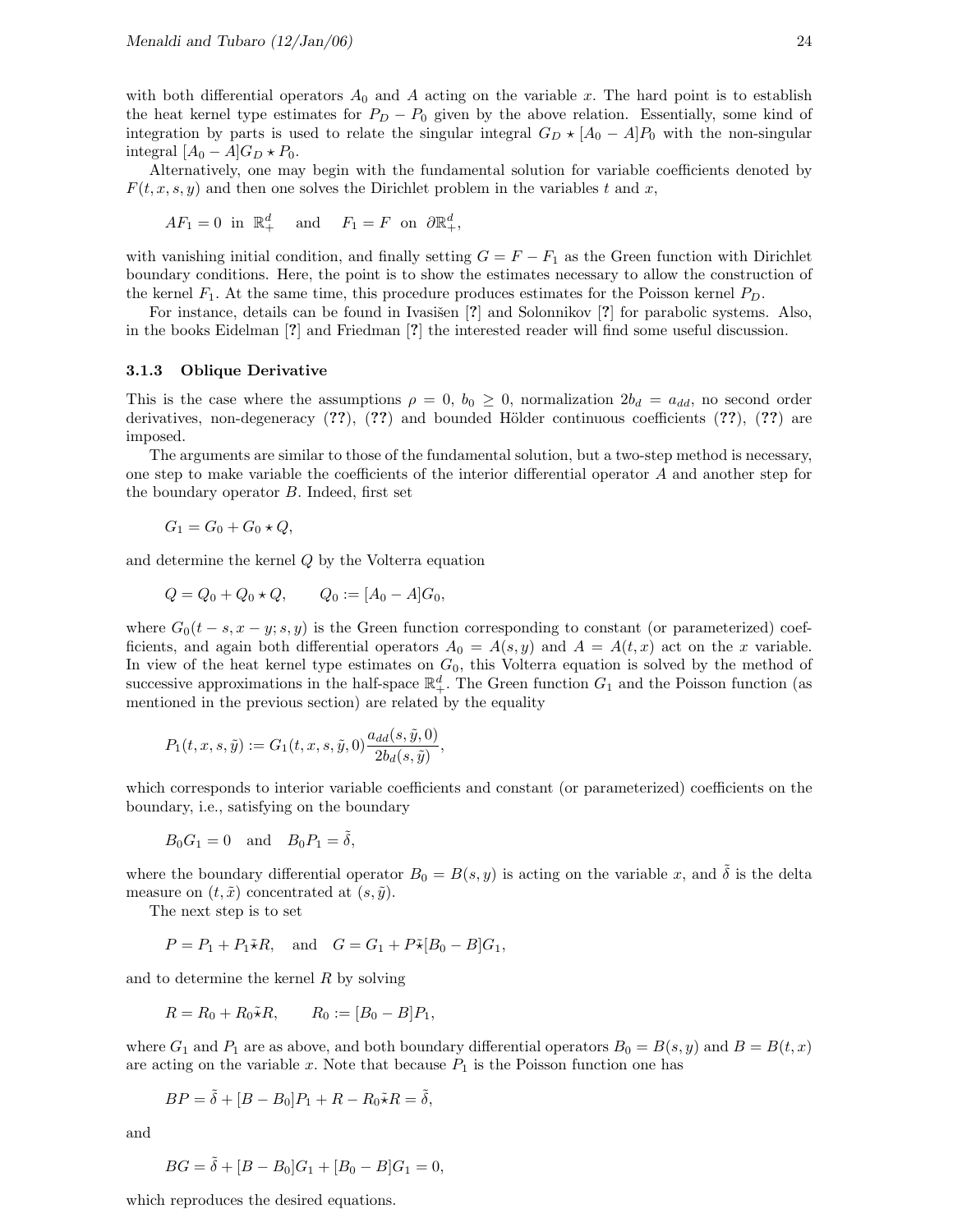with both differential operators  $A_0$  and A acting on the variable x. The hard point is to establish the heat kernel type estimates for  $P_D - P_0$  given by the above relation. Essentially, some kind of integration by parts is used to relate the singular integral  $G_D \star [A_0 - A]P_0$  with the non-singular integral  $[A_0 - A]G_D \star P_0$ .

Alternatively, one may begin with the fundamental solution for variable coefficients denoted by  $F(t, x, s, y)$  and then one solves the Dirichlet problem in the variables t and x,

$$
AF_1 = 0 \text{ in } \mathbb{R}^d_+ \quad \text{and} \quad F_1 = F \text{ on } \partial \mathbb{R}^d_+,
$$

with vanishing initial condition, and finally setting  $G = F - F_1$  as the Green function with Dirichlet boundary conditions. Here, the point is to show the estimates necessary to allow the construction of the kernel  $F_1$ . At the same time, this procedure produces estimates for the Poisson kernel  $P_D$ .

For instance, details can be found in Ivasišen [?] and Solonnikov [?] for parabolic systems. Also, in the books Eidelman [?] and Friedman [?] the interested reader will find some useful discussion.

#### 3.1.3 Oblique Derivative

This is the case where the assumptions  $\rho = 0$ ,  $b_0 \ge 0$ , normalization  $2b_d = a_{dd}$ , no second order derivatives, non-degeneracy  $(??)$ ,  $(??)$  and bounded Hölder continuous coefficients  $(??)$ ,  $(??)$  are imposed.

The arguments are similar to those of the fundamental solution, but a two-step method is necessary, one step to make variable the coefficients of the interior differential operator A and another step for the boundary operator B. Indeed, first set

$$
G_1 = G_0 + G_0 \star Q,
$$

and determine the kernel Q by the Volterra equation

$$
Q = Q_0 + Q_0 \star Q, \qquad Q_0 := [A_0 - A]G_0,
$$

where  $G_0(t-s, x-y; s, y)$  is the Green function corresponding to constant (or parameterized) coefficients, and again both differential operators  $A_0 = A(s, y)$  and  $A = A(t, x)$  act on the x variable. In view of the heat kernel type estimates on  $G_0$ , this Volterra equation is solved by the method of successive approximations in the half-space  $\mathbb{R}^d_+$ . The Green function  $G_1$  and the Poisson function (as mentioned in the previous section) are related by the equality

$$
P_1(t,x,s,\tilde{y}):=G_1(t,x,s,\tilde{y},0)\frac{a_{dd}(s,\tilde{y},0)}{2b_d(s,\tilde{y})},
$$

which corresponds to interior variable coefficients and constant (or parameterized) coefficients on the boundary, i.e., satisfying on the boundary

$$
B_0 G_1 = 0 \quad \text{and} \quad B_0 P_1 = \tilde{\delta},
$$

where the boundary differential operator  $B_0 = B(s, y)$  is acting on the variable x, and  $\delta$  is the delta measure on  $(t, \tilde{x})$  concentrated at  $(s, \tilde{y})$ .

The next step is to set

$$
P = P_1 + P_1 \tilde{\star} R, \quad \text{and} \quad G = G_1 + P \tilde{\star} [B_0 - B] G_1,
$$

and to determine the kernel R by solving

$$
R = R_0 + R_0 \tilde{\star} R, \qquad R_0 := [B_0 - B]P_1,
$$

where  $G_1$  and  $P_1$  are as above, and both boundary differential operators  $B_0 = B(s, y)$  and  $B = B(t, x)$ are acting on the variable x. Note that because  $P_1$  is the Poisson function one has

$$
BP = \tilde{\delta} + [B - B_0]P_1 + R - R_0 \tilde{\star} R = \tilde{\delta},
$$

and

$$
BG = \tilde{\delta} + [B - B_0]G_1 + [B_0 - B]G_1 = 0,
$$

which reproduces the desired equations.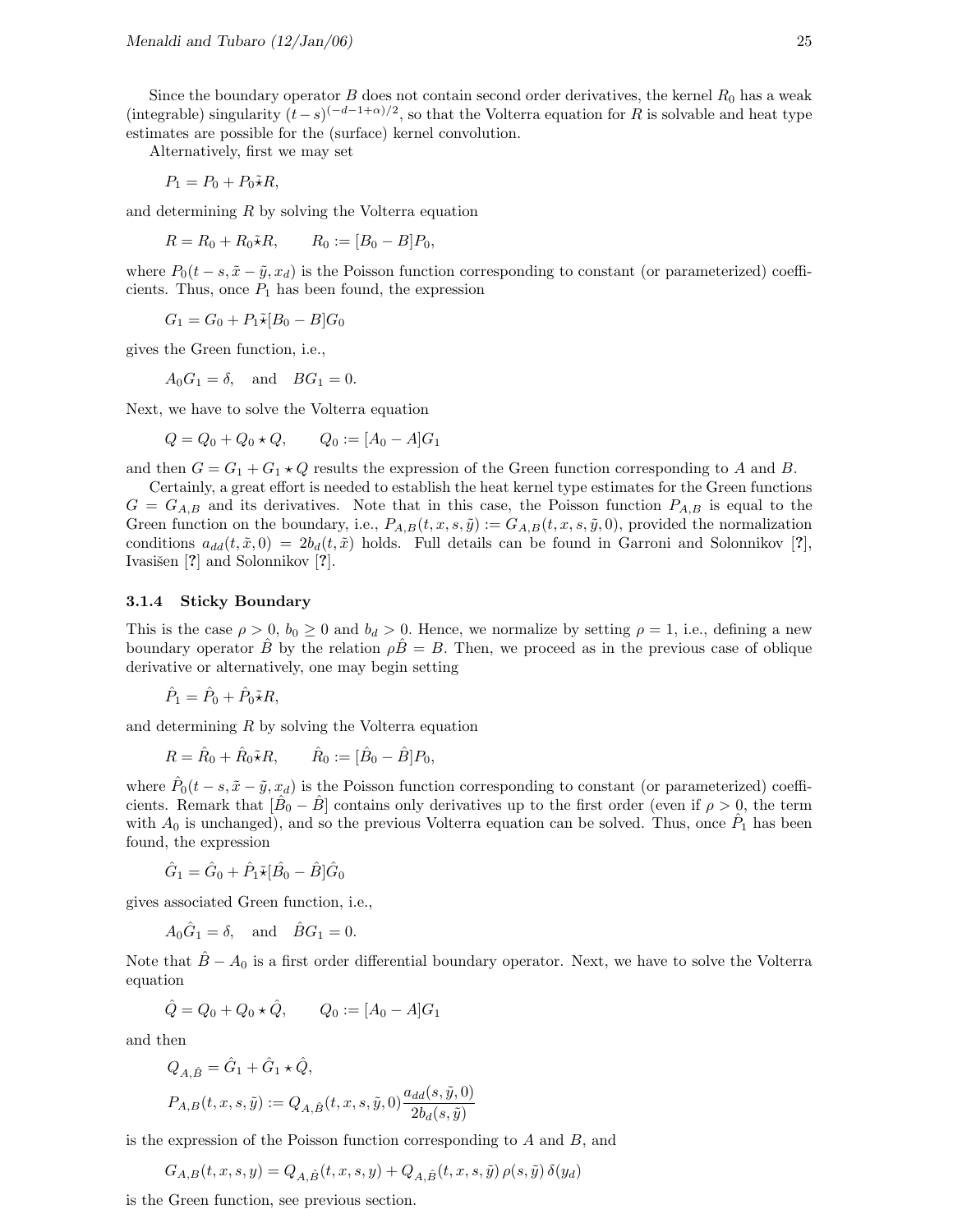Alternatively, first we may set

$$
P_1 = P_0 + P_0 \tilde{\star} R,
$$

and determining R by solving the Volterra equation

$$
R = R_0 + R_0 \tilde{\star} R
$$
,  $R_0 := [B_0 - B]P_0$ ,

where  $P_0(t - s, \tilde{x} - \tilde{y}, x_d)$  is the Poisson function corresponding to constant (or parameterized) coefficients. Thus, once  $P_1$  has been found, the expression

 $G_1 = G_0 + P_1 \tilde{\star} [B_0 - B] G_0$ 

gives the Green function, i.e.,

 $A_0G_1 = \delta$ , and  $BG_1 = 0$ .

Next, we have to solve the Volterra equation

$$
Q = Q_0 + Q_0 \star Q, \qquad Q_0 := [A_0 - A]G_1
$$

and then  $G = G_1 + G_1 \star Q$  results the expression of the Green function corresponding to A and B.

Certainly, a great effort is needed to establish the heat kernel type estimates for the Green functions  $G = G_{A,B}$  and its derivatives. Note that in this case, the Poisson function  $P_{A,B}$  is equal to the Green function on the boundary, i.e.,  $P_{A,B}(t, x, s, \tilde{y}) := G_{A,B}(t, x, s, \tilde{y}, 0)$ , provided the normalization conditions  $a_{dd}(t, \tilde{x}, 0) = 2b_d(t, \tilde{x})$  holds. Full details can be found in Garroni and Solonnikov [?], Ivasišen [?] and Solonnikov [?].

#### 3.1.4 Sticky Boundary

This is the case  $\rho > 0$ ,  $b_0 \ge 0$  and  $b_d > 0$ . Hence, we normalize by setting  $\rho = 1$ , i.e., defining a new boundary operator B by the relation  $\rho \overline{B} = B$ . Then, we proceed as in the previous case of oblique derivative or alternatively, one may begin setting

$$
\hat{P}_1 = \hat{P}_0 + \hat{P}_0 \tilde{\star} R,
$$

and determining R by solving the Volterra equation

$$
R = \hat{R}_0 + \hat{R}_0 \tilde{\star} R, \qquad \hat{R}_0 := [\hat{B}_0 - \hat{B}] P_0,
$$

where  $\hat{P}_0(t-s, \tilde{x}-\tilde{y}, x_d)$  is the Poisson function corresponding to constant (or parameterized) coefficients. Remark that  $[\hat{B}_0 - \hat{B}]$  contains only derivatives up to the first order (even if  $\rho > 0$ , the term with  $A_0$  is unchanged), and so the previous Volterra equation can be solved. Thus, once  $\hat{P}_1$  has been found, the expression

$$
\hat{G}_1 = \hat{G}_0 + \hat{P}_1 \tilde{\star} [\hat{B}_0 - \hat{B}] \hat{G}_0
$$

gives associated Green function, i.e.,

$$
A_0\hat{G}_1 = \delta, \text{ and } \hat{B}G_1 = 0.
$$

Note that  $B - A_0$  is a first order differential boundary operator. Next, we have to solve the Volterra equation

$$
\hat{Q} = Q_0 + Q_0 \star \hat{Q}, \qquad Q_0 := [A_0 - A]G_1
$$

and then

$$
Q_{A,\hat{B}} = \hat{G}_1 + \hat{G}_1 \star \hat{Q},
$$
  
\n
$$
P_{A,B}(t, x, s, \tilde{y}) := Q_{A,\hat{B}}(t, x, s, \tilde{y}, 0) \frac{a_{dd}(s, \tilde{y}, 0)}{2b_d(s, \tilde{y})}
$$

is the expression of the Poisson function corresponding to  $A$  and  $B$ , and

$$
G_{A,B}(t, x, s, y) = Q_{A,\hat{B}}(t, x, s, y) + Q_{A,\hat{B}}(t, x, s, \tilde{y}) \rho(s, \tilde{y}) \delta(y_d)
$$

is the Green function, see previous section.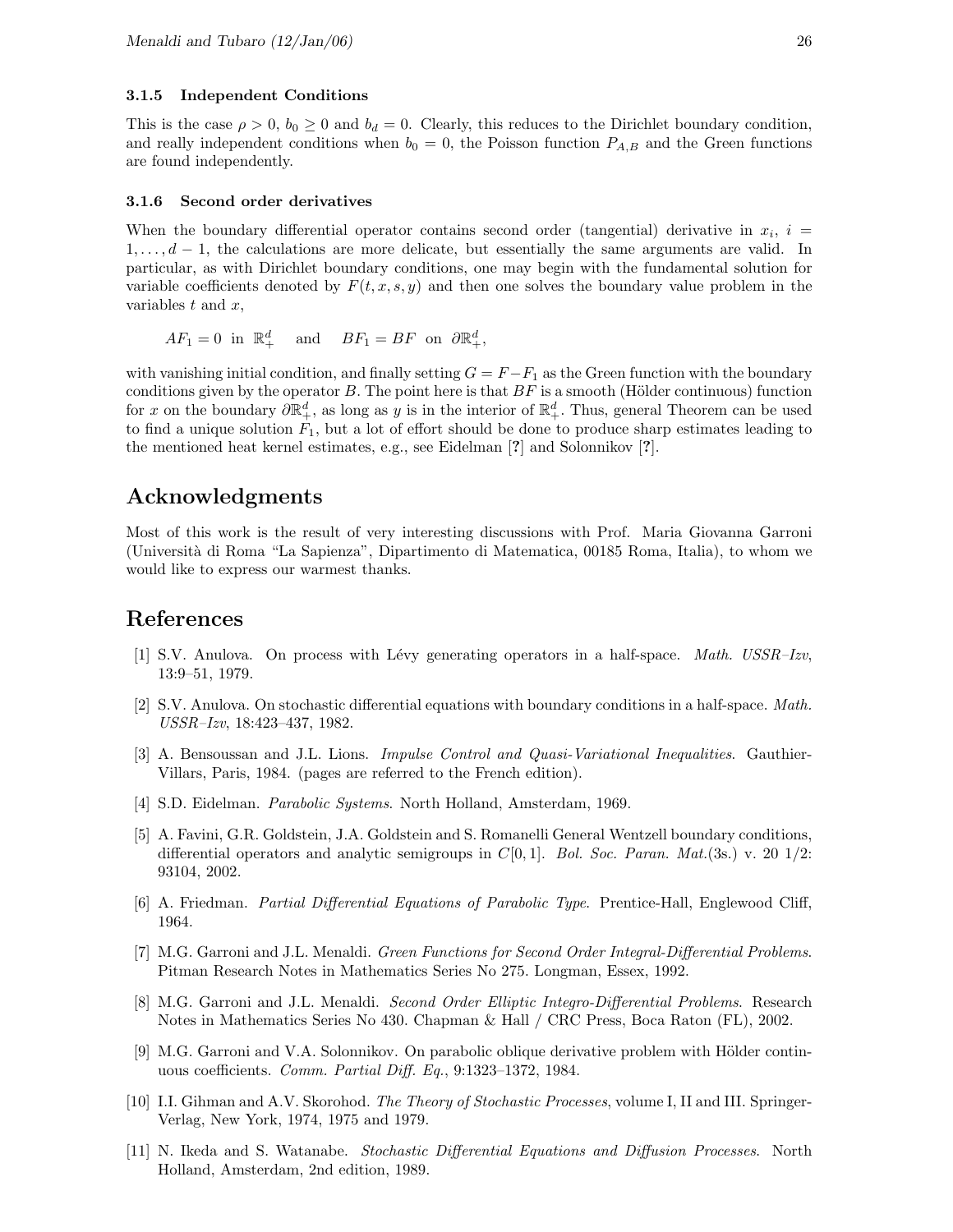#### 3.1.5 Independent Conditions

This is the case  $\rho > 0$ ,  $b_0 \ge 0$  and  $b_d = 0$ . Clearly, this reduces to the Dirichlet boundary condition, and really independent conditions when  $b_0 = 0$ , the Poisson function  $P_{A,B}$  and the Green functions are found independently.

#### 3.1.6 Second order derivatives

When the boundary differential operator contains second order (tangential) derivative in  $x_i$ ,  $i =$  $1, \ldots, d-1$ , the calculations are more delicate, but essentially the same arguments are valid. In particular, as with Dirichlet boundary conditions, one may begin with the fundamental solution for variable coefficients denoted by  $F(t, x, s, y)$  and then one solves the boundary value problem in the variables  $t$  and  $x$ ,

$$
AF_1=0 \text{ in } \mathbb{R}^d_+ \quad \text{and} \quad BF_1=BF \text{ on } \partial \mathbb{R}^d_+,
$$

with vanishing initial condition, and finally setting  $G = F - F_1$  as the Green function with the boundary conditions given by the operator  $B$ . The point here is that  $BF$  is a smooth (Hölder continuous) function for x on the boundary  $\partial \mathbb{R}^d_+$ , as long as y is in the interior of  $\mathbb{R}^d_+$ . Thus, general Theorem can be used to find a unique solution  $F_1$ , but a lot of effort should be done to produce sharp estimates leading to the mentioned heat kernel estimates, e.g., see Eidelman [?] and Solonnikov [?].

### Acknowledgments

Most of this work is the result of very interesting discussions with Prof. Maria Giovanna Garroni (Universit`a di Roma "La Sapienza", Dipartimento di Matematica, 00185 Roma, Italia), to whom we would like to express our warmest thanks.

## References

- [1] S.V. Anulova. On process with Lévy generating operators in a half-space. *Math.* USSR–Izv, 13:9–51, 1979.
- [2] S.V. Anulova. On stochastic differential equations with boundary conditions in a half-space. Math. USSR–Izv, 18:423–437, 1982.
- [3] A. Bensoussan and J.L. Lions. Impulse Control and Quasi-Variational Inequalities. Gauthier-Villars, Paris, 1984. (pages are referred to the French edition).
- [4] S.D. Eidelman. Parabolic Systems. North Holland, Amsterdam, 1969.
- [5] A. Favini, G.R. Goldstein, J.A. Goldstein and S. Romanelli General Wentzell boundary conditions, differential operators and analytic semigroups in  $C[0, 1]$ . Bol. Soc. Paran. Mat.(3s.) v. 20 1/2: 93104, 2002.
- [6] A. Friedman. Partial Differential Equations of Parabolic Type. Prentice-Hall, Englewood Cliff, 1964.
- [7] M.G. Garroni and J.L. Menaldi. Green Functions for Second Order Integral-Differential Problems. Pitman Research Notes in Mathematics Series No 275. Longman, Essex, 1992.
- [8] M.G. Garroni and J.L. Menaldi. Second Order Elliptic Integro-Differential Problems. Research Notes in Mathematics Series No 430. Chapman & Hall / CRC Press, Boca Raton (FL), 2002.
- [9] M.G. Garroni and V.A. Solonnikov. On parabolic oblique derivative problem with Hölder continuous coefficients. Comm. Partial Diff. Eq., 9:1323–1372, 1984.
- [10] I.I. Gihman and A.V. Skorohod. The Theory of Stochastic Processes, volume I, II and III. Springer-Verlag, New York, 1974, 1975 and 1979.
- [11] N. Ikeda and S. Watanabe. Stochastic Differential Equations and Diffusion Processes. North Holland, Amsterdam, 2nd edition, 1989.